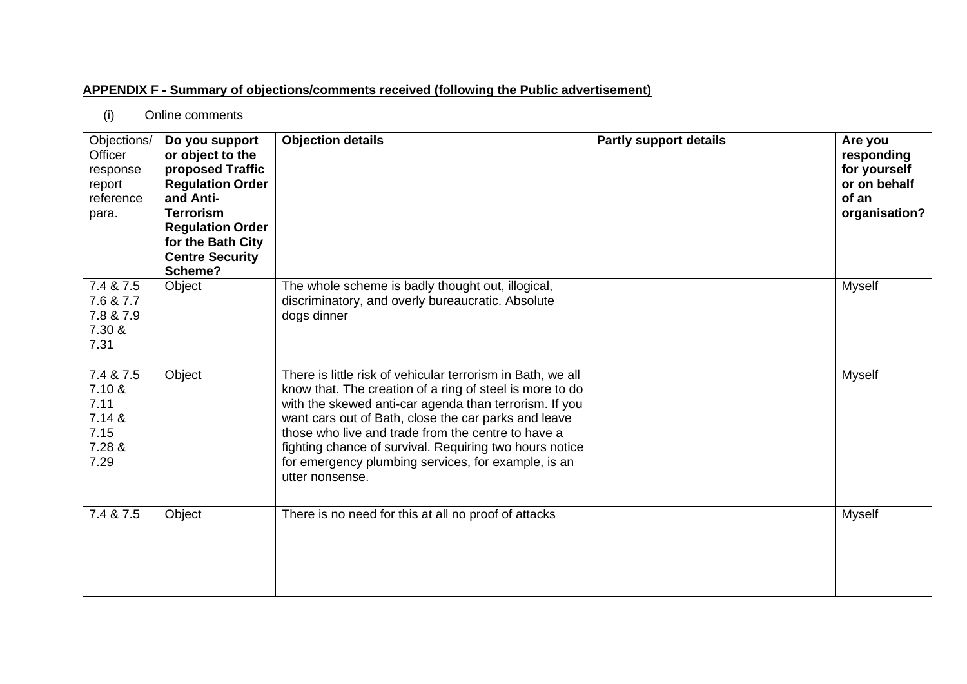## **APPENDIX F - Summary of objections/comments received (following the Public advertisement)**

(i) Online comments

| Objections/<br>Officer<br>response<br>report<br>reference<br>para. | Do you support<br>or object to the<br>proposed Traffic<br><b>Regulation Order</b><br>and Anti-<br><b>Terrorism</b><br><b>Regulation Order</b><br>for the Bath City<br><b>Centre Security</b><br>Scheme? | <b>Objection details</b>                                                                                                                                                                                                                                                                                                                                                                                                             | <b>Partly support details</b> | Are you<br>responding<br>for yourself<br>or on behalf<br>of an<br>organisation? |
|--------------------------------------------------------------------|---------------------------------------------------------------------------------------------------------------------------------------------------------------------------------------------------------|--------------------------------------------------------------------------------------------------------------------------------------------------------------------------------------------------------------------------------------------------------------------------------------------------------------------------------------------------------------------------------------------------------------------------------------|-------------------------------|---------------------------------------------------------------------------------|
| 7.4 & 7.5<br>7.6 & 7.7<br>7.8 & 7.9<br>7.30 &<br>7.31              | Object                                                                                                                                                                                                  | The whole scheme is badly thought out, illogical,<br>discriminatory, and overly bureaucratic. Absolute<br>dogs dinner                                                                                                                                                                                                                                                                                                                |                               | <b>Myself</b>                                                                   |
| 7.4 & 7.5<br>7.10 &<br>7.11<br>7.14 &<br>7.15<br>7.28 &<br>7.29    | Object                                                                                                                                                                                                  | There is little risk of vehicular terrorism in Bath, we all<br>know that. The creation of a ring of steel is more to do<br>with the skewed anti-car agenda than terrorism. If you<br>want cars out of Bath, close the car parks and leave<br>those who live and trade from the centre to have a<br>fighting chance of survival. Requiring two hours notice<br>for emergency plumbing services, for example, is an<br>utter nonsense. |                               | <b>Myself</b>                                                                   |
| 7.4 & 7.5                                                          | Object                                                                                                                                                                                                  | There is no need for this at all no proof of attacks                                                                                                                                                                                                                                                                                                                                                                                 |                               | <b>Myself</b>                                                                   |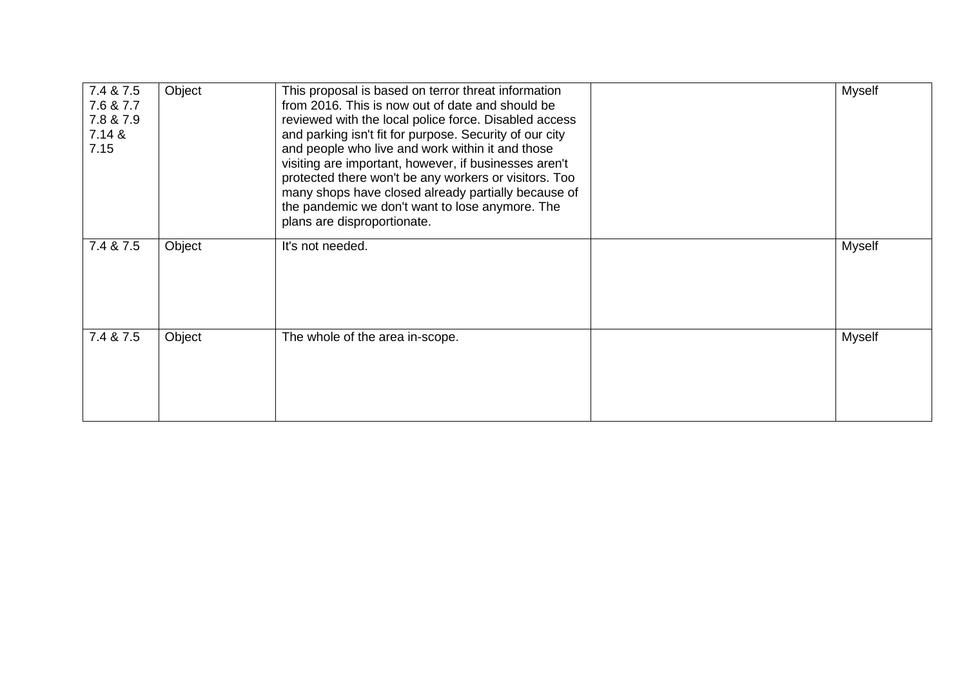| 7.4 & 7.5<br>7.6 & 7.7<br>7.8 & 7.9<br>7.14 &<br>7.15 | Object | This proposal is based on terror threat information<br>from 2016. This is now out of date and should be<br>reviewed with the local police force. Disabled access<br>and parking isn't fit for purpose. Security of our city<br>and people who live and work within it and those<br>visiting are important, however, if businesses aren't<br>protected there won't be any workers or visitors. Too<br>many shops have closed already partially because of<br>the pandemic we don't want to lose anymore. The<br>plans are disproportionate. | Myself        |
|-------------------------------------------------------|--------|--------------------------------------------------------------------------------------------------------------------------------------------------------------------------------------------------------------------------------------------------------------------------------------------------------------------------------------------------------------------------------------------------------------------------------------------------------------------------------------------------------------------------------------------|---------------|
| 7.4 & 7.5                                             | Object | It's not needed.                                                                                                                                                                                                                                                                                                                                                                                                                                                                                                                           | Myself        |
| 7.4 & 7.5                                             | Object | The whole of the area in-scope.                                                                                                                                                                                                                                                                                                                                                                                                                                                                                                            | <b>Myself</b> |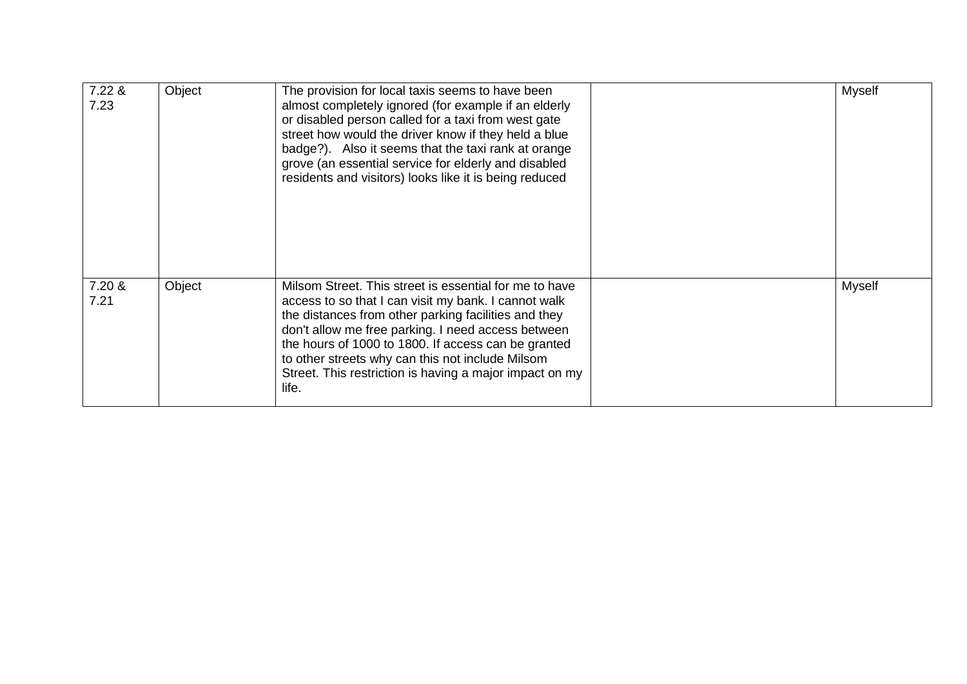| 7.22 &<br>7.23 | Object | The provision for local taxis seems to have been<br>almost completely ignored (for example if an elderly<br>or disabled person called for a taxi from west gate<br>street how would the driver know if they held a blue<br>badge?). Also it seems that the taxi rank at orange<br>grove (an essential service for elderly and disabled<br>residents and visitors) looks like it is being reduced            | <b>Myself</b> |
|----------------|--------|-------------------------------------------------------------------------------------------------------------------------------------------------------------------------------------------------------------------------------------------------------------------------------------------------------------------------------------------------------------------------------------------------------------|---------------|
| 7.20 &<br>7.21 | Object | Milsom Street. This street is essential for me to have<br>access to so that I can visit my bank. I cannot walk<br>the distances from other parking facilities and they<br>don't allow me free parking. I need access between<br>the hours of 1000 to 1800. If access can be granted<br>to other streets why can this not include Milsom<br>Street. This restriction is having a major impact on my<br>life. | <b>Myself</b> |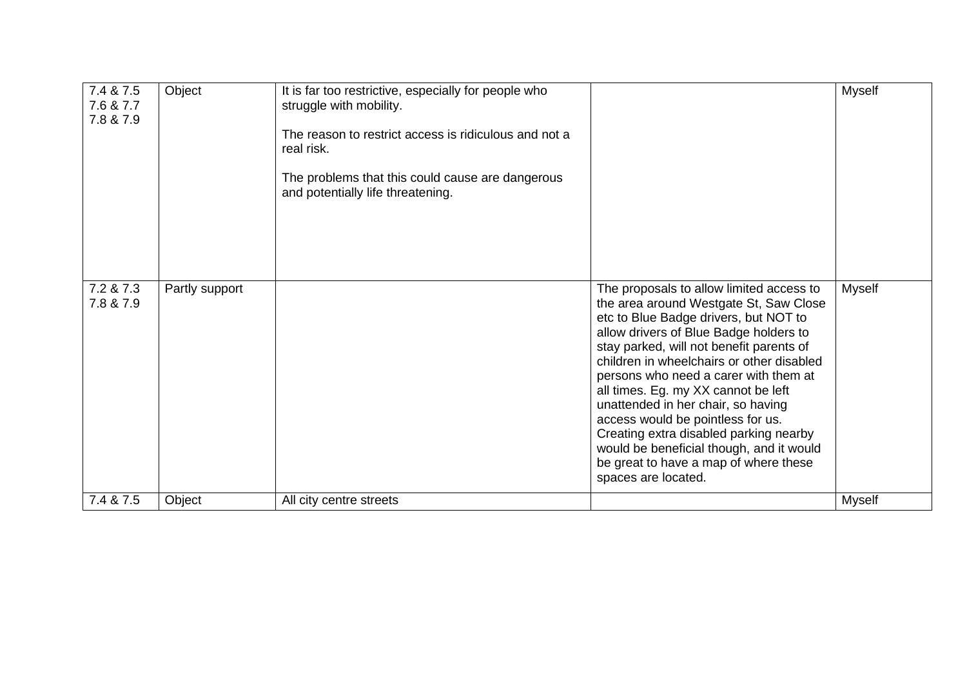| 7.4 & 7.5<br>7.6 & 7.7<br>7.8 & 7.9 | Object         | It is far too restrictive, especially for people who<br>struggle with mobility.<br>The reason to restrict access is ridiculous and not a<br>real risk.<br>The problems that this could cause are dangerous<br>and potentially life threatening. |                                                                                                                                                                                                                                                                                                                                                                                                                                                                                                                                                                                 | Myself        |
|-------------------------------------|----------------|-------------------------------------------------------------------------------------------------------------------------------------------------------------------------------------------------------------------------------------------------|---------------------------------------------------------------------------------------------------------------------------------------------------------------------------------------------------------------------------------------------------------------------------------------------------------------------------------------------------------------------------------------------------------------------------------------------------------------------------------------------------------------------------------------------------------------------------------|---------------|
| 7.2 & 7.3<br>7.8 & 7.9              | Partly support |                                                                                                                                                                                                                                                 | The proposals to allow limited access to<br>the area around Westgate St, Saw Close<br>etc to Blue Badge drivers, but NOT to<br>allow drivers of Blue Badge holders to<br>stay parked, will not benefit parents of<br>children in wheelchairs or other disabled<br>persons who need a carer with them at<br>all times. Eg. my XX cannot be left<br>unattended in her chair, so having<br>access would be pointless for us.<br>Creating extra disabled parking nearby<br>would be beneficial though, and it would<br>be great to have a map of where these<br>spaces are located. | <b>Myself</b> |
| 7.4 & 7.5                           | Object         | All city centre streets                                                                                                                                                                                                                         |                                                                                                                                                                                                                                                                                                                                                                                                                                                                                                                                                                                 | <b>Myself</b> |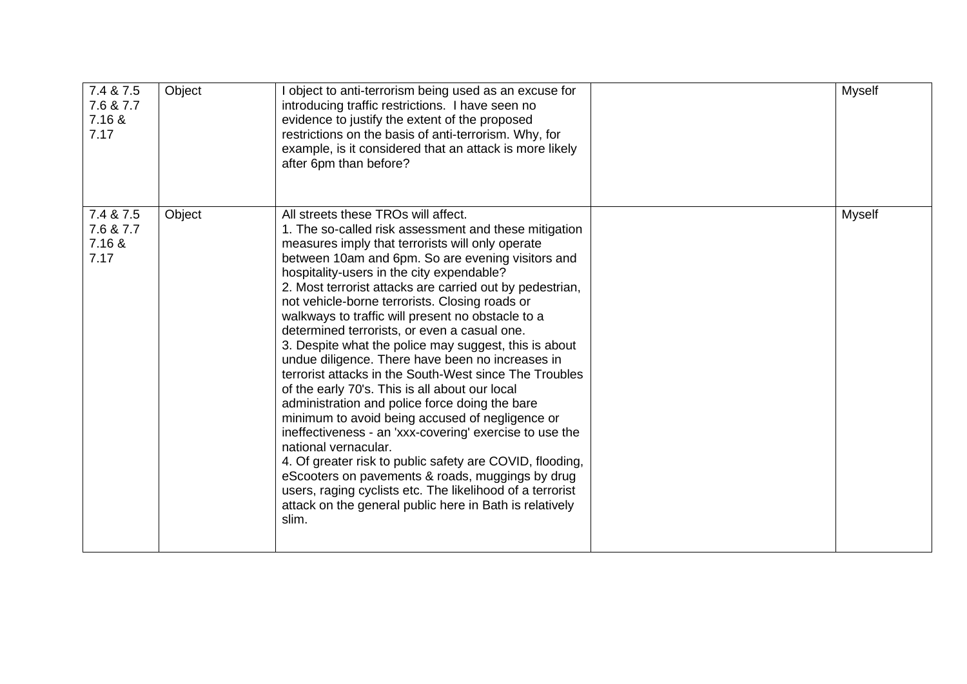| 7.4 & 7.5<br>7.6 & 7.7<br>7.16 &<br>7.17 | Object | I object to anti-terrorism being used as an excuse for<br>introducing traffic restrictions. I have seen no<br>evidence to justify the extent of the proposed<br>restrictions on the basis of anti-terrorism. Why, for<br>example, is it considered that an attack is more likely<br>after 6pm than before?                                                                                                                                                                                                                                                                                                                                                                                                                                                                                                                                                                                                                                                                                                                                                                                                                              | Myself        |
|------------------------------------------|--------|-----------------------------------------------------------------------------------------------------------------------------------------------------------------------------------------------------------------------------------------------------------------------------------------------------------------------------------------------------------------------------------------------------------------------------------------------------------------------------------------------------------------------------------------------------------------------------------------------------------------------------------------------------------------------------------------------------------------------------------------------------------------------------------------------------------------------------------------------------------------------------------------------------------------------------------------------------------------------------------------------------------------------------------------------------------------------------------------------------------------------------------------|---------------|
| 7.4 & 7.5<br>7.6 & 7.7<br>7.16 &<br>7.17 | Object | All streets these TROs will affect.<br>1. The so-called risk assessment and these mitigation<br>measures imply that terrorists will only operate<br>between 10am and 6pm. So are evening visitors and<br>hospitality-users in the city expendable?<br>2. Most terrorist attacks are carried out by pedestrian,<br>not vehicle-borne terrorists. Closing roads or<br>walkways to traffic will present no obstacle to a<br>determined terrorists, or even a casual one.<br>3. Despite what the police may suggest, this is about<br>undue diligence. There have been no increases in<br>terrorist attacks in the South-West since The Troubles<br>of the early 70's. This is all about our local<br>administration and police force doing the bare<br>minimum to avoid being accused of negligence or<br>ineffectiveness - an 'xxx-covering' exercise to use the<br>national vernacular.<br>4. Of greater risk to public safety are COVID, flooding,<br>eScooters on pavements & roads, muggings by drug<br>users, raging cyclists etc. The likelihood of a terrorist<br>attack on the general public here in Bath is relatively<br>slim. | <b>Myself</b> |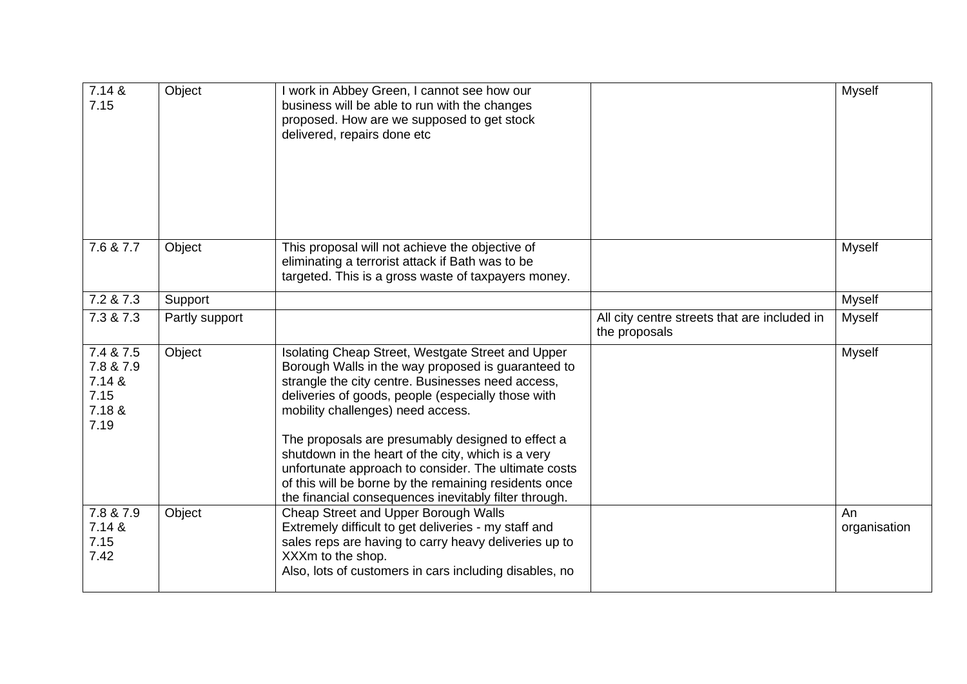| 7.14 &<br>7.15                                             | Object         | I work in Abbey Green, I cannot see how our<br>business will be able to run with the changes<br>proposed. How are we supposed to get stock<br>delivered, repairs done etc                                                                                                                                                                                                                                                                                                                                                                    |                                                               | Myself             |
|------------------------------------------------------------|----------------|----------------------------------------------------------------------------------------------------------------------------------------------------------------------------------------------------------------------------------------------------------------------------------------------------------------------------------------------------------------------------------------------------------------------------------------------------------------------------------------------------------------------------------------------|---------------------------------------------------------------|--------------------|
| 7.6 & 7.7                                                  | Object         | This proposal will not achieve the objective of<br>eliminating a terrorist attack if Bath was to be<br>targeted. This is a gross waste of taxpayers money.                                                                                                                                                                                                                                                                                                                                                                                   |                                                               | <b>Myself</b>      |
| 7.2 & 7.3                                                  | Support        |                                                                                                                                                                                                                                                                                                                                                                                                                                                                                                                                              |                                                               | Myself             |
| 7.3 & 7.3                                                  | Partly support |                                                                                                                                                                                                                                                                                                                                                                                                                                                                                                                                              | All city centre streets that are included in<br>the proposals | <b>Myself</b>      |
| 7.4 & 7.5<br>7.8 & 7.9<br>7.14 &<br>7.15<br>7.18 &<br>7.19 | Object         | Isolating Cheap Street, Westgate Street and Upper<br>Borough Walls in the way proposed is guaranteed to<br>strangle the city centre. Businesses need access,<br>deliveries of goods, people (especially those with<br>mobility challenges) need access.<br>The proposals are presumably designed to effect a<br>shutdown in the heart of the city, which is a very<br>unfortunate approach to consider. The ultimate costs<br>of this will be borne by the remaining residents once<br>the financial consequences inevitably filter through. |                                                               | Myself             |
| 7.8 & 7.9<br>7.14 &<br>7.15<br>7.42                        | Object         | Cheap Street and Upper Borough Walls<br>Extremely difficult to get deliveries - my staff and<br>sales reps are having to carry heavy deliveries up to<br>XXXm to the shop.<br>Also, lots of customers in cars including disables, no                                                                                                                                                                                                                                                                                                         |                                                               | An<br>organisation |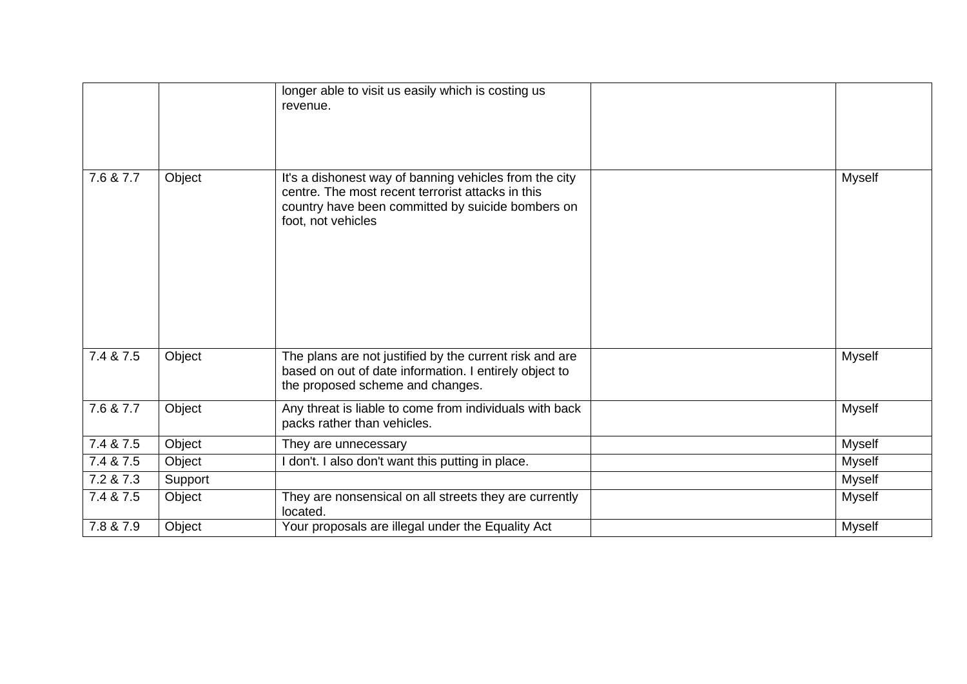|           |         | longer able to visit us easily which is costing us<br>revenue.                                                                                                                         |               |
|-----------|---------|----------------------------------------------------------------------------------------------------------------------------------------------------------------------------------------|---------------|
| 7.6 & 7.7 | Object  | It's a dishonest way of banning vehicles from the city<br>centre. The most recent terrorist attacks in this<br>country have been committed by suicide bombers on<br>foot, not vehicles | <b>Myself</b> |
| 7.4 & 7.5 | Object  | The plans are not justified by the current risk and are<br>based on out of date information. I entirely object to<br>the proposed scheme and changes.                                  | <b>Myself</b> |
| 7.6 & 7.7 | Object  | Any threat is liable to come from individuals with back<br>packs rather than vehicles.                                                                                                 | <b>Myself</b> |
| 7.4 & 7.5 | Object  | They are unnecessary                                                                                                                                                                   | Myself        |
| 7.4 & 7.5 | Object  | I don't. I also don't want this putting in place.                                                                                                                                      | <b>Myself</b> |
| 7.2 & 7.3 | Support |                                                                                                                                                                                        | <b>Myself</b> |
| 7.4 & 7.5 | Object  | They are nonsensical on all streets they are currently<br>located.                                                                                                                     | <b>Myself</b> |
| 7.8 & 7.9 | Object  | Your proposals are illegal under the Equality Act                                                                                                                                      | <b>Myself</b> |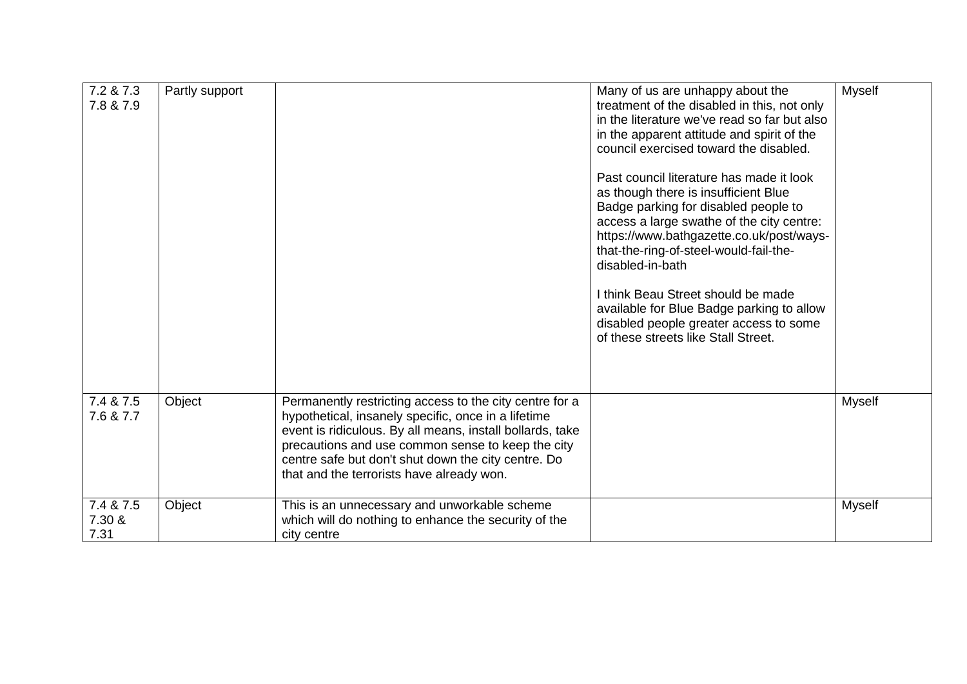| 7.2 & 7.3<br>7.8 & 7.9      | Partly support |                                                                                                                                                                                                                                                                                                                                      | Many of us are unhappy about the<br>treatment of the disabled in this, not only<br>in the literature we've read so far but also<br>in the apparent attitude and spirit of the<br>council exercised toward the disabled.<br>Past council literature has made it look<br>as though there is insufficient Blue<br>Badge parking for disabled people to<br>access a large swathe of the city centre:<br>https://www.bathgazette.co.uk/post/ways-<br>that-the-ring-of-steel-would-fail-the-<br>disabled-in-bath<br>I think Beau Street should be made<br>available for Blue Badge parking to allow<br>disabled people greater access to some<br>of these streets like Stall Street. | <b>Myself</b> |
|-----------------------------|----------------|--------------------------------------------------------------------------------------------------------------------------------------------------------------------------------------------------------------------------------------------------------------------------------------------------------------------------------------|--------------------------------------------------------------------------------------------------------------------------------------------------------------------------------------------------------------------------------------------------------------------------------------------------------------------------------------------------------------------------------------------------------------------------------------------------------------------------------------------------------------------------------------------------------------------------------------------------------------------------------------------------------------------------------|---------------|
| 7.4 & 7.5<br>7.6 & 7.7      | Object         | Permanently restricting access to the city centre for a<br>hypothetical, insanely specific, once in a lifetime<br>event is ridiculous. By all means, install bollards, take<br>precautions and use common sense to keep the city<br>centre safe but don't shut down the city centre. Do<br>that and the terrorists have already won. |                                                                                                                                                                                                                                                                                                                                                                                                                                                                                                                                                                                                                                                                                | <b>Myself</b> |
| 7.4 & 7.5<br>7.30 &<br>7.31 | Object         | This is an unnecessary and unworkable scheme<br>which will do nothing to enhance the security of the<br>city centre                                                                                                                                                                                                                  |                                                                                                                                                                                                                                                                                                                                                                                                                                                                                                                                                                                                                                                                                | <b>Myself</b> |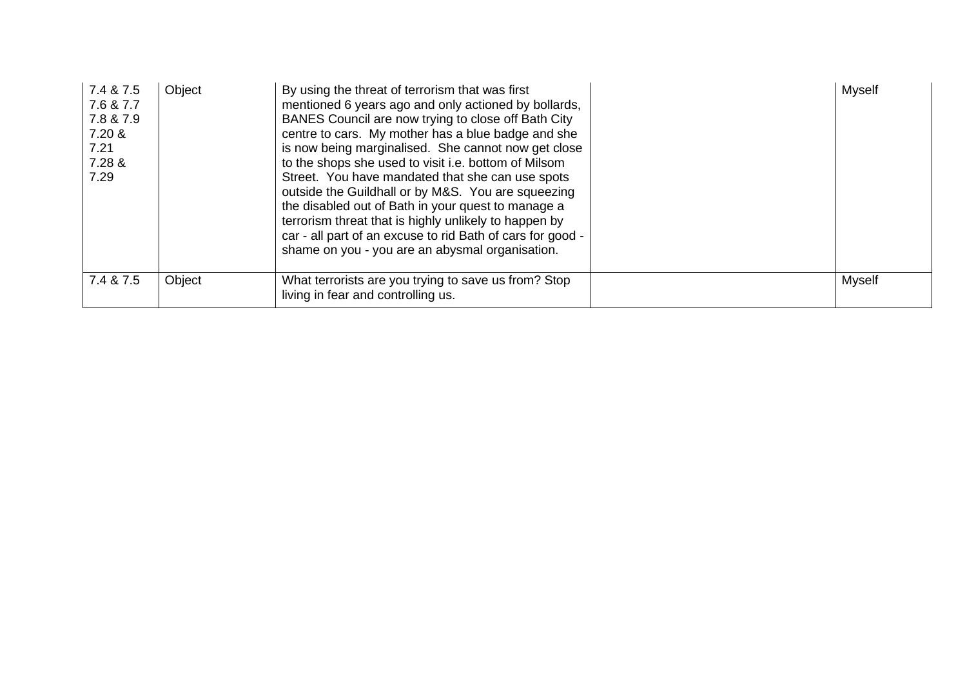| 7.4 & 7.5<br>7.6 & 7.7<br>7.8 & 7.9<br>7.20 &<br>7.21<br>7.28 &<br>7.29 | Object | By using the threat of terrorism that was first<br>mentioned 6 years ago and only actioned by bollards,<br>BANES Council are now trying to close off Bath City<br>centre to cars. My mother has a blue badge and she<br>is now being marginalised. She cannot now get close<br>to the shops she used to visit i.e. bottom of Milsom<br>Street. You have mandated that she can use spots<br>outside the Guildhall or by M&S. You are squeezing<br>the disabled out of Bath in your quest to manage a<br>terrorism threat that is highly unlikely to happen by<br>car - all part of an excuse to rid Bath of cars for good -<br>shame on you - you are an abysmal organisation. | <b>Myself</b> |
|-------------------------------------------------------------------------|--------|-------------------------------------------------------------------------------------------------------------------------------------------------------------------------------------------------------------------------------------------------------------------------------------------------------------------------------------------------------------------------------------------------------------------------------------------------------------------------------------------------------------------------------------------------------------------------------------------------------------------------------------------------------------------------------|---------------|
| 7.4 & 7.5                                                               | Object | What terrorists are you trying to save us from? Stop<br>living in fear and controlling us.                                                                                                                                                                                                                                                                                                                                                                                                                                                                                                                                                                                    | Myself        |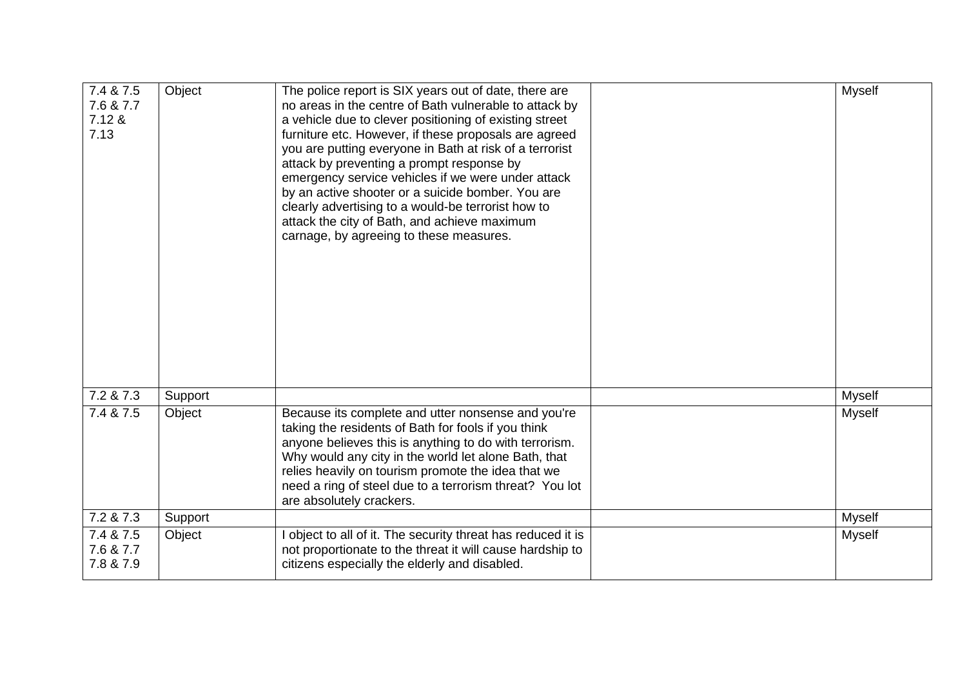| 7.4 & 7.5<br>7.6 & 7.7<br>7.12 &<br>7.13 | Object  | The police report is SIX years out of date, there are<br>no areas in the centre of Bath vulnerable to attack by<br>a vehicle due to clever positioning of existing street<br>furniture etc. However, if these proposals are agreed<br>you are putting everyone in Bath at risk of a terrorist<br>attack by preventing a prompt response by<br>emergency service vehicles if we were under attack<br>by an active shooter or a suicide bomber. You are<br>clearly advertising to a would-be terrorist how to<br>attack the city of Bath, and achieve maximum<br>carnage, by agreeing to these measures. | <b>Myself</b> |
|------------------------------------------|---------|--------------------------------------------------------------------------------------------------------------------------------------------------------------------------------------------------------------------------------------------------------------------------------------------------------------------------------------------------------------------------------------------------------------------------------------------------------------------------------------------------------------------------------------------------------------------------------------------------------|---------------|
| 7.2 & 7.3                                | Support |                                                                                                                                                                                                                                                                                                                                                                                                                                                                                                                                                                                                        | <b>Myself</b> |
| 7.4 & 7.5                                | Object  | Because its complete and utter nonsense and you're<br>taking the residents of Bath for fools if you think<br>anyone believes this is anything to do with terrorism.<br>Why would any city in the world let alone Bath, that<br>relies heavily on tourism promote the idea that we<br>need a ring of steel due to a terrorism threat? You lot<br>are absolutely crackers.                                                                                                                                                                                                                               | Myself        |
| 7.2 & 7.3                                | Support |                                                                                                                                                                                                                                                                                                                                                                                                                                                                                                                                                                                                        | <b>Myself</b> |
| 7.4 & 7.5<br>7.6 & 7.7<br>7.8 & 7.9      | Object  | I object to all of it. The security threat has reduced it is<br>not proportionate to the threat it will cause hardship to<br>citizens especially the elderly and disabled.                                                                                                                                                                                                                                                                                                                                                                                                                             | <b>Myself</b> |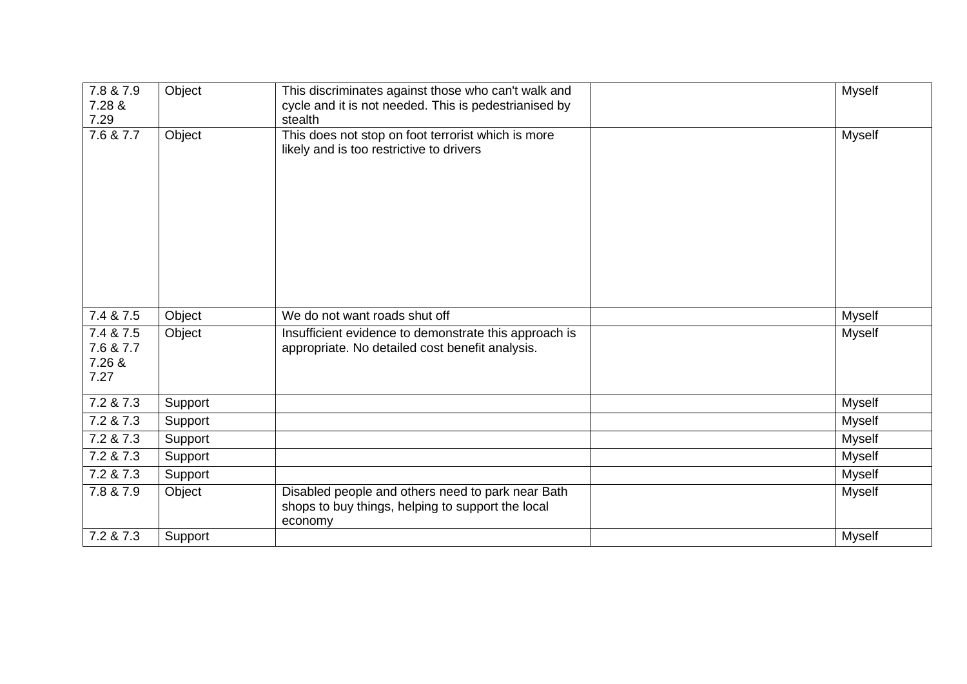| 7.8 & 7.9<br>7.28 &<br>7.29              | Object  | This discriminates against those who can't walk and<br>cycle and it is not needed. This is pedestrianised by<br>stealth | <b>Myself</b> |
|------------------------------------------|---------|-------------------------------------------------------------------------------------------------------------------------|---------------|
| 7.6 & 7.7                                | Object  | This does not stop on foot terrorist which is more<br>likely and is too restrictive to drivers                          | <b>Myself</b> |
| 7.4 & 7.5                                | Object  | We do not want roads shut off                                                                                           | Myself        |
| 7.4 & 7.5<br>7.6 & 7.7<br>7.26 &<br>7.27 | Object  | Insufficient evidence to demonstrate this approach is<br>appropriate. No detailed cost benefit analysis.                | Myself        |
| 7.2 & 7.3                                | Support |                                                                                                                         | Myself        |
| 7.2 & 7.3                                | Support |                                                                                                                         | Myself        |
| 7.2 & 7.3                                | Support |                                                                                                                         | Myself        |
| 7.2 & 7.3                                | Support |                                                                                                                         | Myself        |
| 7.2 & 7.3                                | Support |                                                                                                                         | Myself        |
| 7.8 & 7.9                                | Object  | Disabled people and others need to park near Bath<br>shops to buy things, helping to support the local<br>economy       | <b>Myself</b> |
| 7.2 & 7.3                                | Support |                                                                                                                         | Myself        |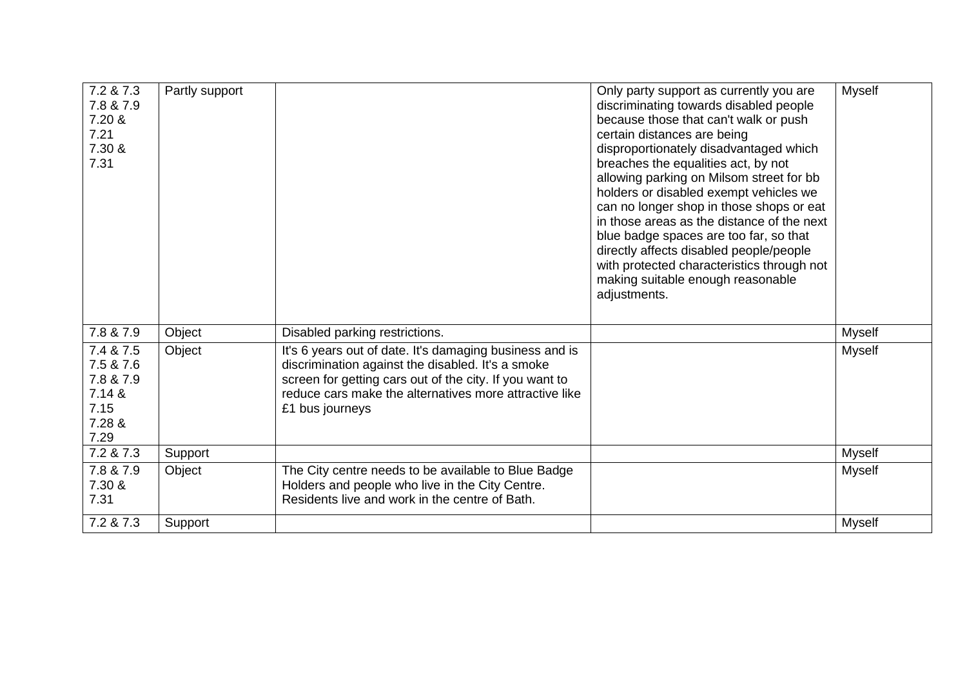| 7.2 & 7.3<br>7.8 & 7.9<br>7.20 &<br>7.21<br>7.30 &<br>7.31              | Partly support |                                                                                                                                                                                                                                                      | Only party support as currently you are<br>discriminating towards disabled people<br>because those that can't walk or push<br>certain distances are being<br>disproportionately disadvantaged which<br>breaches the equalities act, by not<br>allowing parking on Milsom street for bb<br>holders or disabled exempt vehicles we<br>can no longer shop in those shops or eat<br>in those areas as the distance of the next<br>blue badge spaces are too far, so that<br>directly affects disabled people/people<br>with protected characteristics through not<br>making suitable enough reasonable<br>adjustments. | <b>Myself</b> |
|-------------------------------------------------------------------------|----------------|------------------------------------------------------------------------------------------------------------------------------------------------------------------------------------------------------------------------------------------------------|--------------------------------------------------------------------------------------------------------------------------------------------------------------------------------------------------------------------------------------------------------------------------------------------------------------------------------------------------------------------------------------------------------------------------------------------------------------------------------------------------------------------------------------------------------------------------------------------------------------------|---------------|
| 7.8 & 7.9                                                               | Object         | Disabled parking restrictions.                                                                                                                                                                                                                       |                                                                                                                                                                                                                                                                                                                                                                                                                                                                                                                                                                                                                    | Myself        |
| 7.4 & 7.5<br>7.5 & 7.6<br>7.8 & 7.9<br>7.14 &<br>7.15<br>7.28 &<br>7.29 | Object         | It's 6 years out of date. It's damaging business and is<br>discrimination against the disabled. It's a smoke<br>screen for getting cars out of the city. If you want to<br>reduce cars make the alternatives more attractive like<br>£1 bus journeys |                                                                                                                                                                                                                                                                                                                                                                                                                                                                                                                                                                                                                    | <b>Myself</b> |
| 7.2 & 7.3                                                               | Support        |                                                                                                                                                                                                                                                      |                                                                                                                                                                                                                                                                                                                                                                                                                                                                                                                                                                                                                    | Myself        |
| 7.8 & 7.9<br>7.30 &<br>7.31                                             | Object         | The City centre needs to be available to Blue Badge<br>Holders and people who live in the City Centre.<br>Residents live and work in the centre of Bath.                                                                                             |                                                                                                                                                                                                                                                                                                                                                                                                                                                                                                                                                                                                                    | <b>Myself</b> |
| 7.2 & 7.3                                                               | Support        |                                                                                                                                                                                                                                                      |                                                                                                                                                                                                                                                                                                                                                                                                                                                                                                                                                                                                                    | <b>Myself</b> |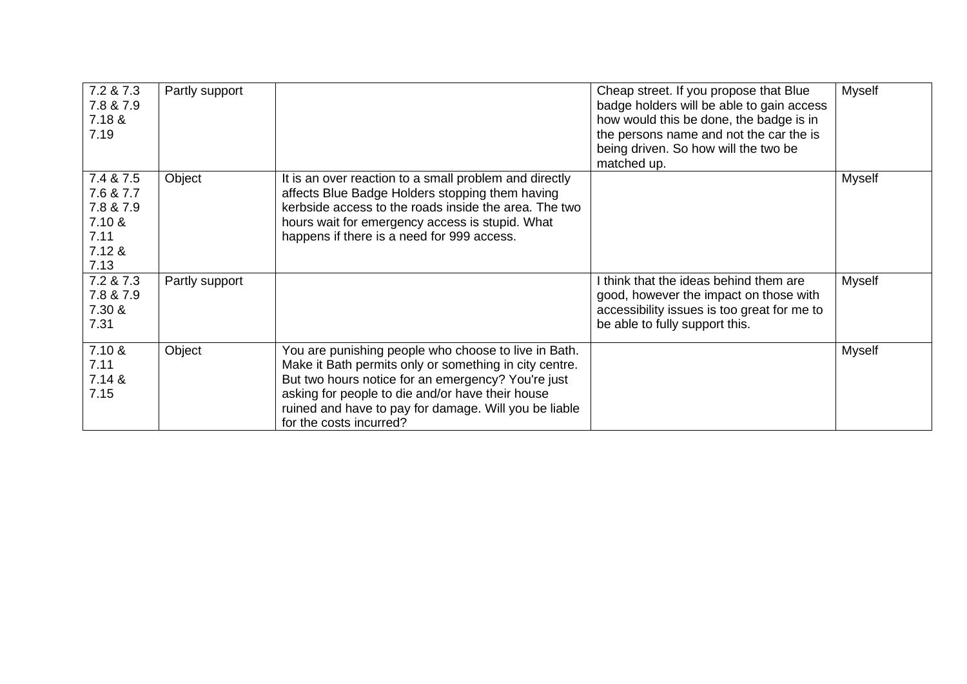| 7.2 & 7.3<br>7.8 & 7.9<br>7.18 &<br>7.19                                | Partly support |                                                                                                                                                                                                                                                                                                              | Cheap street. If you propose that Blue<br>badge holders will be able to gain access<br>how would this be done, the badge is in<br>the persons name and not the car the is<br>being driven. So how will the two be<br>matched up. | <b>Myself</b> |
|-------------------------------------------------------------------------|----------------|--------------------------------------------------------------------------------------------------------------------------------------------------------------------------------------------------------------------------------------------------------------------------------------------------------------|----------------------------------------------------------------------------------------------------------------------------------------------------------------------------------------------------------------------------------|---------------|
| 7.4 & 7.5<br>7.6 & 7.7<br>7.8 & 7.9<br>7.10 &<br>7.11<br>7.12 &<br>7.13 | Object         | It is an over reaction to a small problem and directly<br>affects Blue Badge Holders stopping them having<br>kerbside access to the roads inside the area. The two<br>hours wait for emergency access is stupid. What<br>happens if there is a need for 999 access.                                          |                                                                                                                                                                                                                                  | <b>Myself</b> |
| 7.2 & 7.3<br>7.8 & 7.9<br>7.30 &<br>7.31                                | Partly support |                                                                                                                                                                                                                                                                                                              | I think that the ideas behind them are<br>good, however the impact on those with<br>accessibility issues is too great for me to<br>be able to fully support this.                                                                | Myself        |
| 7.10 &<br>7.11<br>7.14 &<br>7.15                                        | Object         | You are punishing people who choose to live in Bath.<br>Make it Bath permits only or something in city centre.<br>But two hours notice for an emergency? You're just<br>asking for people to die and/or have their house<br>ruined and have to pay for damage. Will you be liable<br>for the costs incurred? |                                                                                                                                                                                                                                  | Myself        |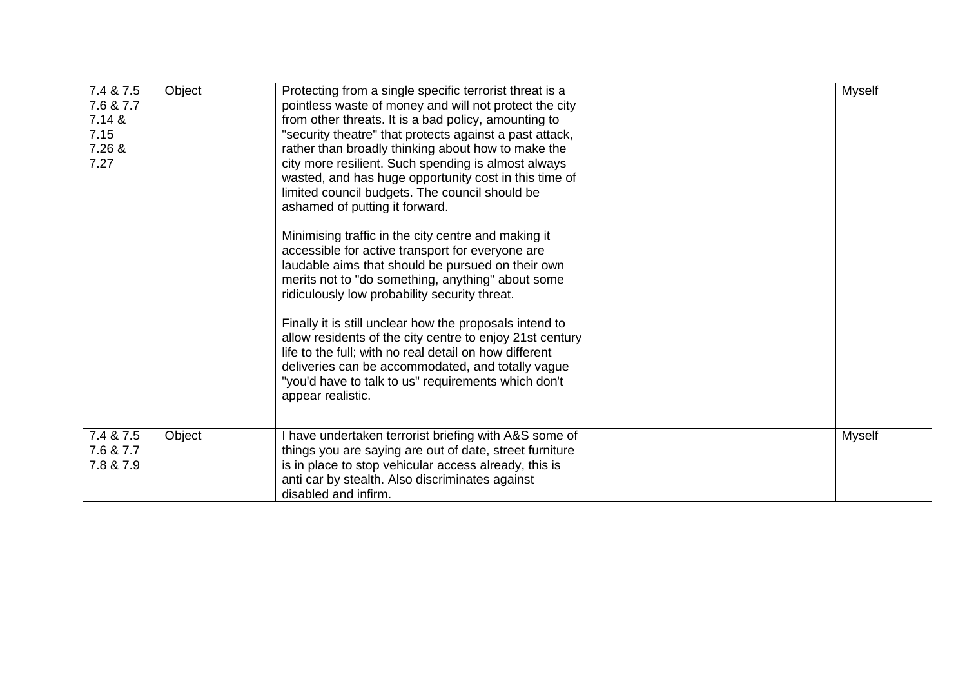| 7.4 & 7.5<br>7.6 & 7.7 | Object | Protecting from a single specific terrorist threat is a<br>pointless waste of money and will not protect the city  | Myself        |
|------------------------|--------|--------------------------------------------------------------------------------------------------------------------|---------------|
| 7.14 &                 |        | from other threats. It is a bad policy, amounting to                                                               |               |
| 7.15<br>7.26 &         |        | "security theatre" that protects against a past attack,<br>rather than broadly thinking about how to make the      |               |
| 7.27                   |        | city more resilient. Such spending is almost always                                                                |               |
|                        |        | wasted, and has huge opportunity cost in this time of<br>limited council budgets. The council should be            |               |
|                        |        | ashamed of putting it forward.                                                                                     |               |
|                        |        | Minimising traffic in the city centre and making it                                                                |               |
|                        |        | accessible for active transport for everyone are<br>laudable aims that should be pursued on their own              |               |
|                        |        | merits not to "do something, anything" about some                                                                  |               |
|                        |        | ridiculously low probability security threat.                                                                      |               |
|                        |        | Finally it is still unclear how the proposals intend to                                                            |               |
|                        |        | allow residents of the city centre to enjoy 21st century<br>life to the full; with no real detail on how different |               |
|                        |        | deliveries can be accommodated, and totally vague<br>"you'd have to talk to us" requirements which don't           |               |
|                        |        | appear realistic.                                                                                                  |               |
|                        |        |                                                                                                                    |               |
| 7.4 & 7.5<br>7.6 & 7.7 | Object | I have undertaken terrorist briefing with A&S some of<br>things you are saying are out of date, street furniture   | <b>Myself</b> |
| 7.8 & 7.9              |        | is in place to stop vehicular access already, this is                                                              |               |
|                        |        | anti car by stealth. Also discriminates against<br>disabled and infirm.                                            |               |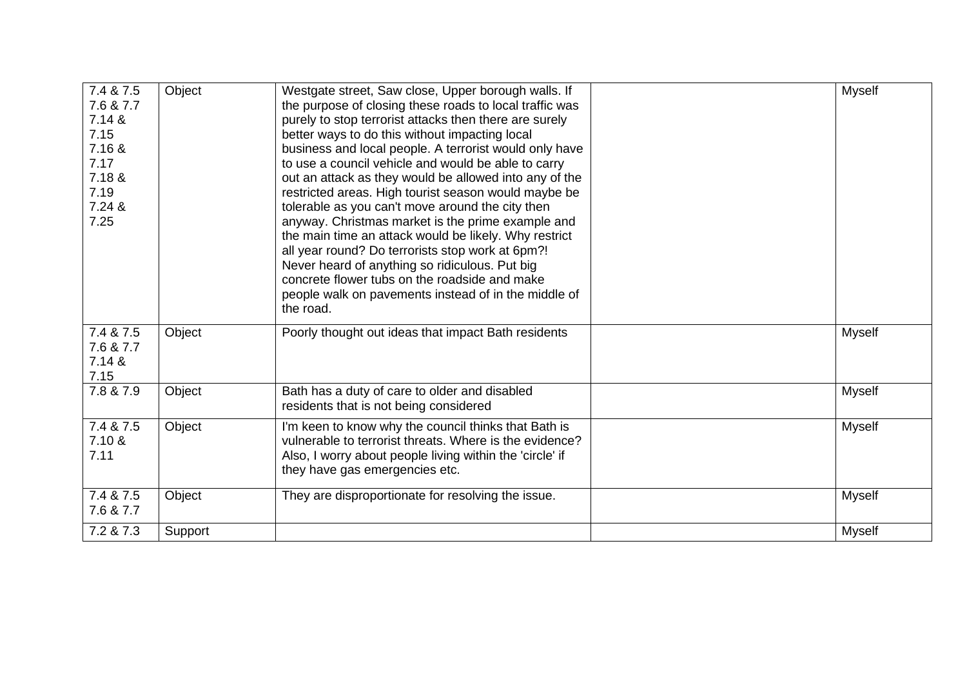| 7.4 & 7.5<br>7.6 & 7.7<br>7.14 &<br>7.15<br>7.16 &<br>7.17<br>7.18 &<br>7.19<br>7.24 &<br>7.25 | Object  | Westgate street, Saw close, Upper borough walls. If<br>the purpose of closing these roads to local traffic was<br>purely to stop terrorist attacks then there are surely<br>better ways to do this without impacting local<br>business and local people. A terrorist would only have<br>to use a council vehicle and would be able to carry<br>out an attack as they would be allowed into any of the<br>restricted areas. High tourist season would maybe be<br>tolerable as you can't move around the city then<br>anyway. Christmas market is the prime example and<br>the main time an attack would be likely. Why restrict<br>all year round? Do terrorists stop work at 6pm?!<br>Never heard of anything so ridiculous. Put big<br>concrete flower tubs on the roadside and make<br>people walk on pavements instead of in the middle of<br>the road. | <b>Myself</b> |
|------------------------------------------------------------------------------------------------|---------|-------------------------------------------------------------------------------------------------------------------------------------------------------------------------------------------------------------------------------------------------------------------------------------------------------------------------------------------------------------------------------------------------------------------------------------------------------------------------------------------------------------------------------------------------------------------------------------------------------------------------------------------------------------------------------------------------------------------------------------------------------------------------------------------------------------------------------------------------------------|---------------|
| 7.4 & 7.5<br>7.6 & 7.7<br>7.14 &<br>7.15                                                       | Object  | Poorly thought out ideas that impact Bath residents                                                                                                                                                                                                                                                                                                                                                                                                                                                                                                                                                                                                                                                                                                                                                                                                         | Myself        |
| 7.8 & 7.9                                                                                      | Object  | Bath has a duty of care to older and disabled<br>residents that is not being considered                                                                                                                                                                                                                                                                                                                                                                                                                                                                                                                                                                                                                                                                                                                                                                     | Myself        |
| 7.4 & 7.5<br>7.10 &<br>7.11                                                                    | Object  | I'm keen to know why the council thinks that Bath is<br>vulnerable to terrorist threats. Where is the evidence?<br>Also, I worry about people living within the 'circle' if<br>they have gas emergencies etc.                                                                                                                                                                                                                                                                                                                                                                                                                                                                                                                                                                                                                                               | Myself        |
| 7.4 & 7.5<br>7.6 & 7.7                                                                         | Object  | They are disproportionate for resolving the issue.                                                                                                                                                                                                                                                                                                                                                                                                                                                                                                                                                                                                                                                                                                                                                                                                          | Myself        |
| 7.2 & 7.3                                                                                      | Support |                                                                                                                                                                                                                                                                                                                                                                                                                                                                                                                                                                                                                                                                                                                                                                                                                                                             | <b>Myself</b> |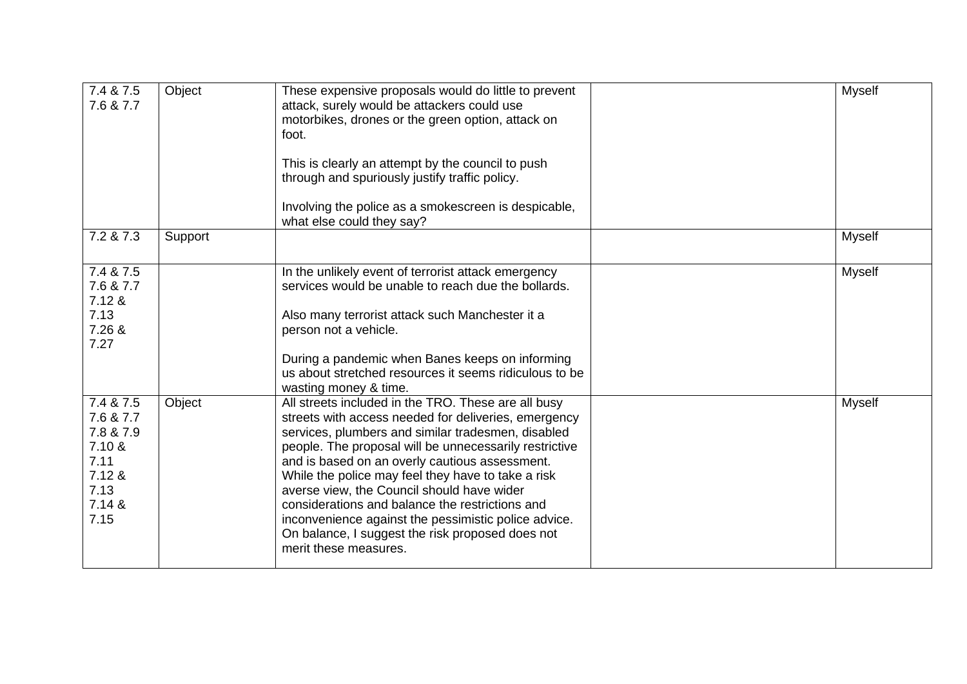| 7.4 & 7.5<br>7.6 & 7.7                                                                    | Object  | These expensive proposals would do little to prevent<br>attack, surely would be attackers could use<br>motorbikes, drones or the green option, attack on<br>foot.<br>This is clearly an attempt by the council to push<br>through and spuriously justify traffic policy.<br>Involving the police as a smokescreen is despicable,<br>what else could they say?                                                                                                                                                                                                             | <b>Myself</b> |
|-------------------------------------------------------------------------------------------|---------|---------------------------------------------------------------------------------------------------------------------------------------------------------------------------------------------------------------------------------------------------------------------------------------------------------------------------------------------------------------------------------------------------------------------------------------------------------------------------------------------------------------------------------------------------------------------------|---------------|
| 7.2 & 7.3                                                                                 | Support |                                                                                                                                                                                                                                                                                                                                                                                                                                                                                                                                                                           | Myself        |
| 7.4 & 7.5<br>7.6 & 7.7<br>7.12 &<br>7.13<br>7.26 &<br>7.27                                |         | In the unlikely event of terrorist attack emergency<br>services would be unable to reach due the bollards.<br>Also many terrorist attack such Manchester it a<br>person not a vehicle.<br>During a pandemic when Banes keeps on informing<br>us about stretched resources it seems ridiculous to be<br>wasting money & time.                                                                                                                                                                                                                                              | Myself        |
| 7.4 & 7.5<br>7.6 & 7.7<br>7.8 & 7.9<br>7.10 &<br>7.11<br>7.12 &<br>7.13<br>7.14 &<br>7.15 | Object  | All streets included in the TRO. These are all busy<br>streets with access needed for deliveries, emergency<br>services, plumbers and similar tradesmen, disabled<br>people. The proposal will be unnecessarily restrictive<br>and is based on an overly cautious assessment.<br>While the police may feel they have to take a risk<br>averse view, the Council should have wider<br>considerations and balance the restrictions and<br>inconvenience against the pessimistic police advice.<br>On balance, I suggest the risk proposed does not<br>merit these measures. | <b>Myself</b> |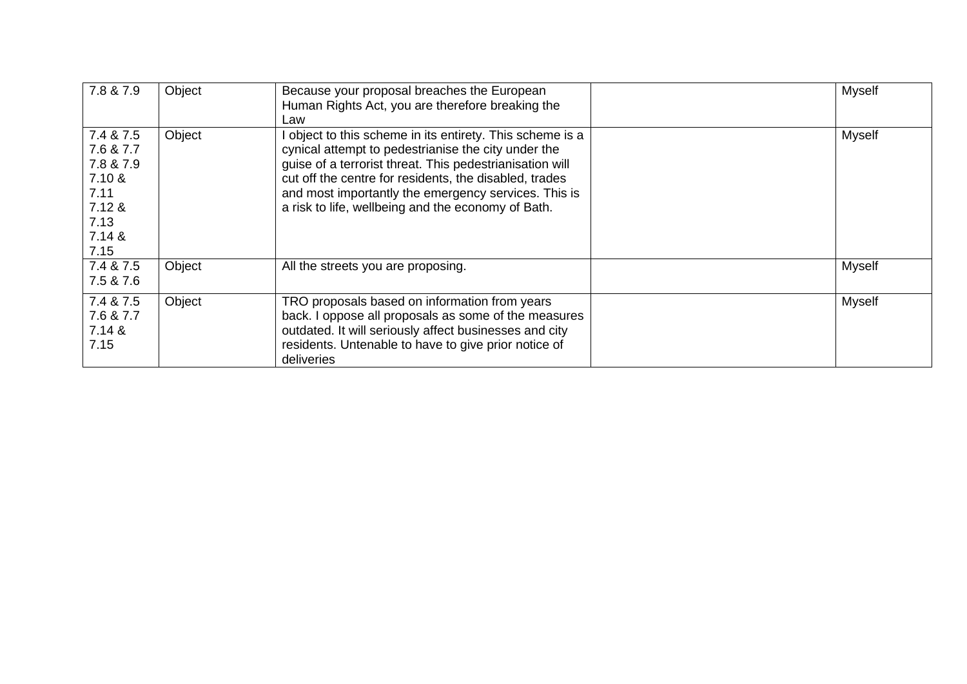| 7.8 & 7.9                                                                                 | Object | Because your proposal breaches the European<br>Human Rights Act, you are therefore breaking the<br>Law                                                                                                                                                                                                                                               | <b>Myself</b> |
|-------------------------------------------------------------------------------------------|--------|------------------------------------------------------------------------------------------------------------------------------------------------------------------------------------------------------------------------------------------------------------------------------------------------------------------------------------------------------|---------------|
| 7.4 & 7.5<br>7.6 & 7.7<br>7.8 & 7.9<br>7.10 &<br>7.11<br>7.12 &<br>7.13<br>7.14 &<br>7.15 | Object | I object to this scheme in its entirety. This scheme is a<br>cynical attempt to pedestrianise the city under the<br>guise of a terrorist threat. This pedestrianisation will<br>cut off the centre for residents, the disabled, trades<br>and most importantly the emergency services. This is<br>a risk to life, wellbeing and the economy of Bath. | Myself        |
| 7.4 & 7.5<br>7.5 & 7.6                                                                    | Object | All the streets you are proposing.                                                                                                                                                                                                                                                                                                                   | Myself        |
| 7.4 & 7.5<br>7.6 & 7.7<br>7.14 &<br>7.15                                                  | Object | TRO proposals based on information from years<br>back. I oppose all proposals as some of the measures<br>outdated. It will seriously affect businesses and city<br>residents. Untenable to have to give prior notice of<br>deliveries                                                                                                                | Myself        |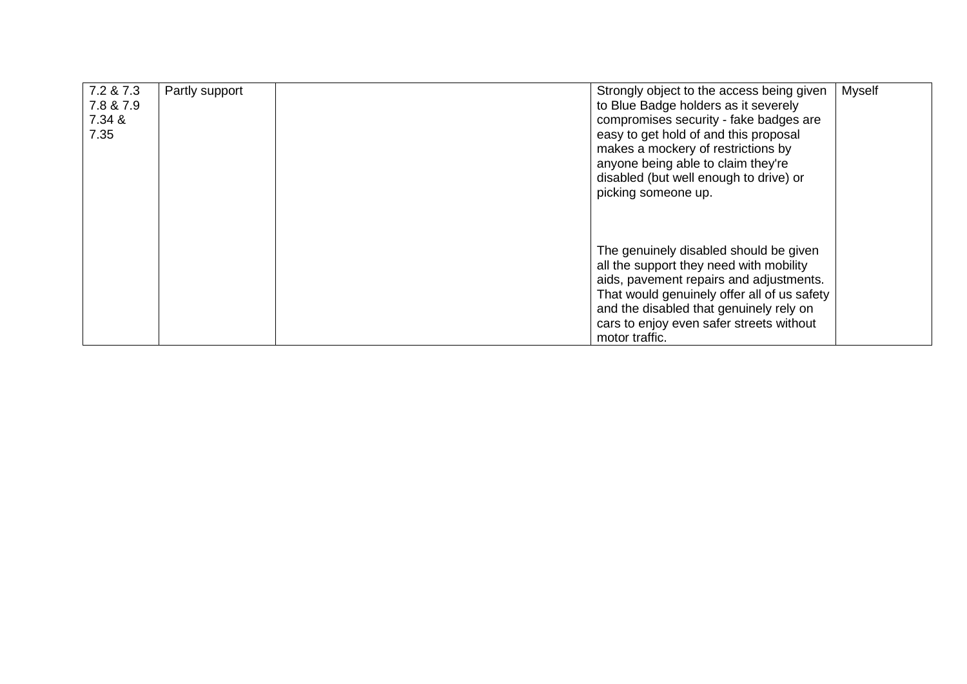| 7.2 & 7.3<br>7.8 & 7.9<br>7.34 &<br>7.35 | Partly support | Strongly object to the access being given<br>to Blue Badge holders as it severely<br>compromises security - fake badges are<br>easy to get hold of and this proposal<br>makes a mockery of restrictions by<br>anyone being able to claim they're<br>disabled (but well enough to drive) or<br>picking someone up. | <b>Myself</b> |
|------------------------------------------|----------------|-------------------------------------------------------------------------------------------------------------------------------------------------------------------------------------------------------------------------------------------------------------------------------------------------------------------|---------------|
|                                          |                | The genuinely disabled should be given<br>all the support they need with mobility<br>aids, pavement repairs and adjustments.<br>That would genuinely offer all of us safety<br>and the disabled that genuinely rely on<br>cars to enjoy even safer streets without<br>motor traffic.                              |               |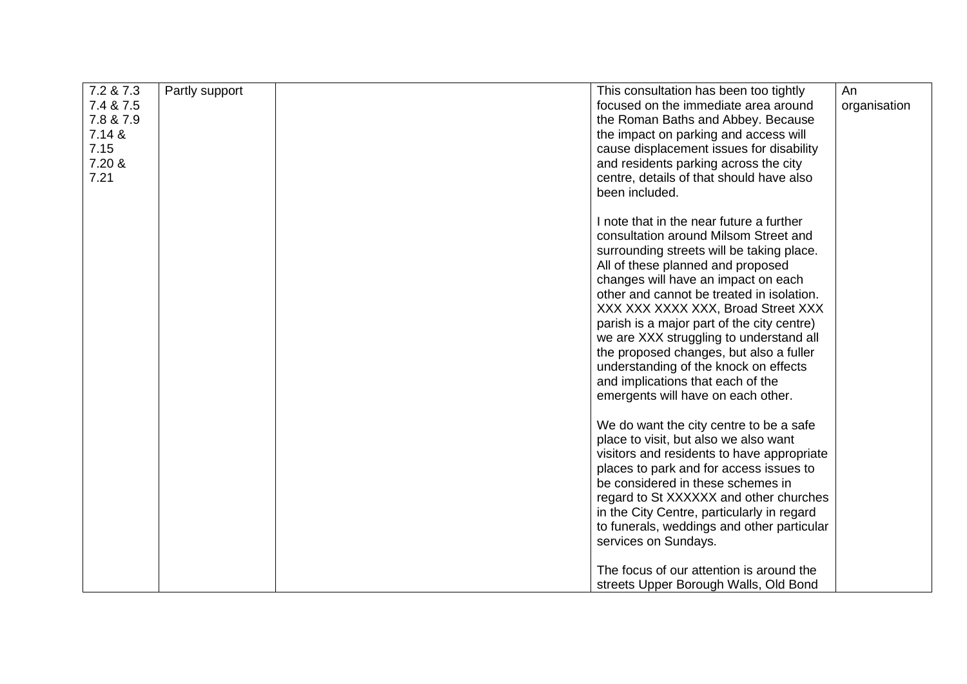| 7.2 & 7.3<br>7.4 & 7.5<br>7.8 & 7.9<br>7.14 &<br>7.15<br>7.20 &<br>7.21 | Partly support | This consultation has been too tightly<br>focused on the immediate area around<br>the Roman Baths and Abbey. Because<br>the impact on parking and access will<br>cause displacement issues for disability<br>and residents parking across the city<br>centre, details of that should have also<br>been included.                                                                                                                                                                                                                                      | An<br>organisation |
|-------------------------------------------------------------------------|----------------|-------------------------------------------------------------------------------------------------------------------------------------------------------------------------------------------------------------------------------------------------------------------------------------------------------------------------------------------------------------------------------------------------------------------------------------------------------------------------------------------------------------------------------------------------------|--------------------|
|                                                                         |                | I note that in the near future a further<br>consultation around Milsom Street and<br>surrounding streets will be taking place.<br>All of these planned and proposed<br>changes will have an impact on each<br>other and cannot be treated in isolation.<br>XXX XXX XXXX XXX, Broad Street XXX<br>parish is a major part of the city centre)<br>we are XXX struggling to understand all<br>the proposed changes, but also a fuller<br>understanding of the knock on effects<br>and implications that each of the<br>emergents will have on each other. |                    |
|                                                                         |                | We do want the city centre to be a safe<br>place to visit, but also we also want<br>visitors and residents to have appropriate<br>places to park and for access issues to<br>be considered in these schemes in<br>regard to St XXXXXX and other churches<br>in the City Centre, particularly in regard<br>to funerals, weddings and other particular<br>services on Sundays.                                                                                                                                                                          |                    |
|                                                                         |                | The focus of our attention is around the<br>streets Upper Borough Walls, Old Bond                                                                                                                                                                                                                                                                                                                                                                                                                                                                     |                    |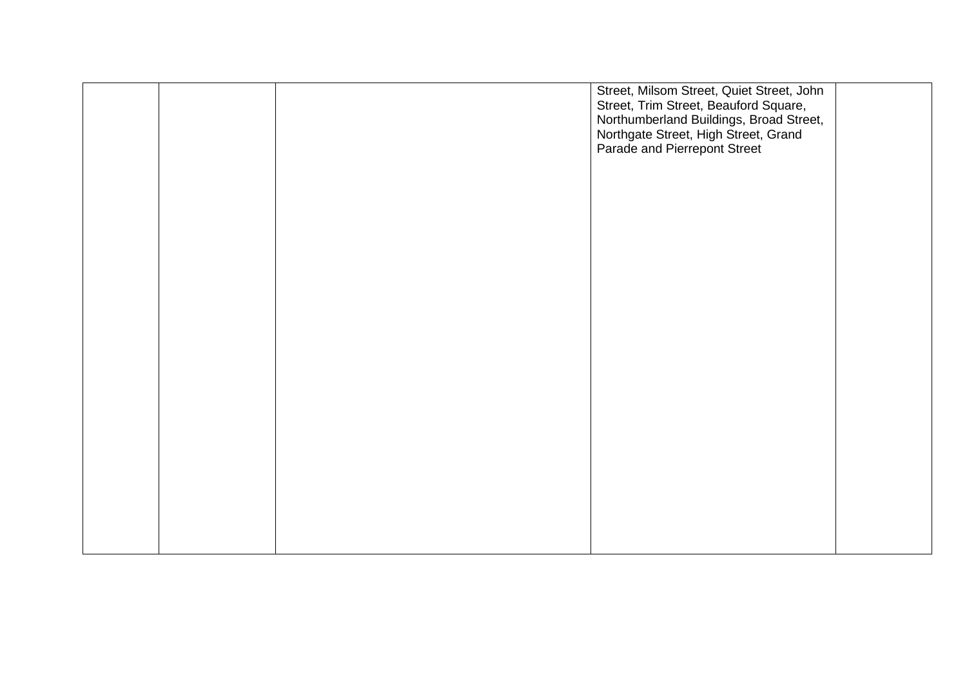|  | Street, Milsom Street, Quiet Street, John<br>Street, Trim Street, Beauford Square,<br>Northumberland Buildings, Broad Street,<br>Northgate Street, High Street, Grand<br>Parade and Pierrepont Street |  |
|--|-------------------------------------------------------------------------------------------------------------------------------------------------------------------------------------------------------|--|
|  |                                                                                                                                                                                                       |  |
|  |                                                                                                                                                                                                       |  |
|  |                                                                                                                                                                                                       |  |
|  |                                                                                                                                                                                                       |  |
|  |                                                                                                                                                                                                       |  |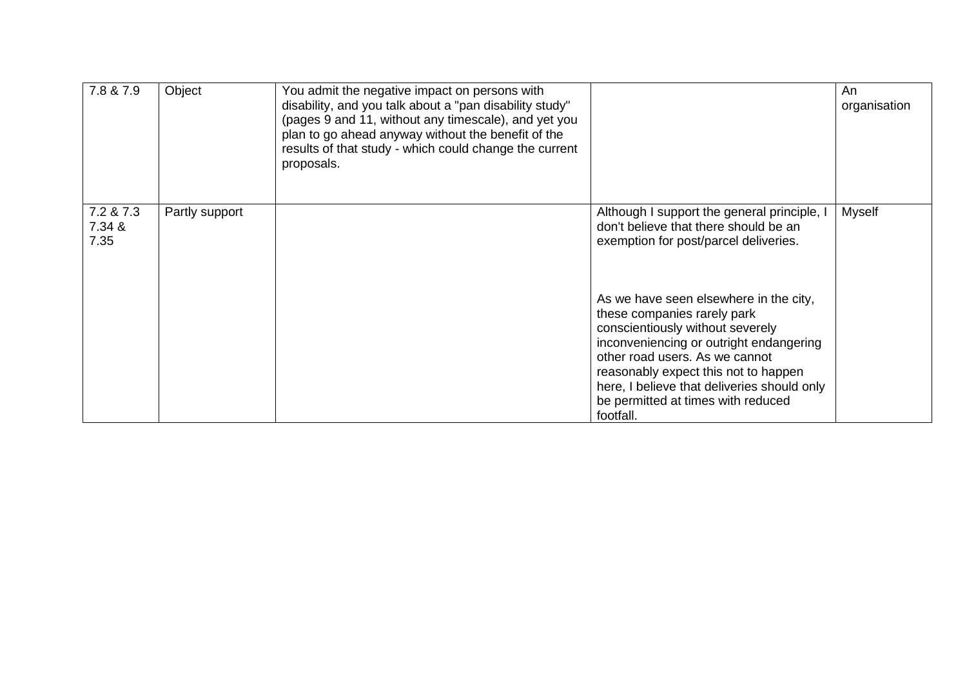| 7.8 & 7.9                   | Object         | You admit the negative impact on persons with<br>disability, and you talk about a "pan disability study"<br>(pages 9 and 11, without any timescale), and yet you<br>plan to go ahead anyway without the benefit of the<br>results of that study - which could change the current<br>proposals. |                                                                                                                                                                                                                                                                                                                                  | An<br>organisation |
|-----------------------------|----------------|------------------------------------------------------------------------------------------------------------------------------------------------------------------------------------------------------------------------------------------------------------------------------------------------|----------------------------------------------------------------------------------------------------------------------------------------------------------------------------------------------------------------------------------------------------------------------------------------------------------------------------------|--------------------|
| 7.2 & 7.3<br>7.34 &<br>7.35 | Partly support |                                                                                                                                                                                                                                                                                                | Although I support the general principle, I<br>don't believe that there should be an<br>exemption for post/parcel deliveries.                                                                                                                                                                                                    | Myself             |
|                             |                |                                                                                                                                                                                                                                                                                                | As we have seen elsewhere in the city,<br>these companies rarely park<br>conscientiously without severely<br>inconveniencing or outright endangering<br>other road users. As we cannot<br>reasonably expect this not to happen<br>here, I believe that deliveries should only<br>be permitted at times with reduced<br>footfall. |                    |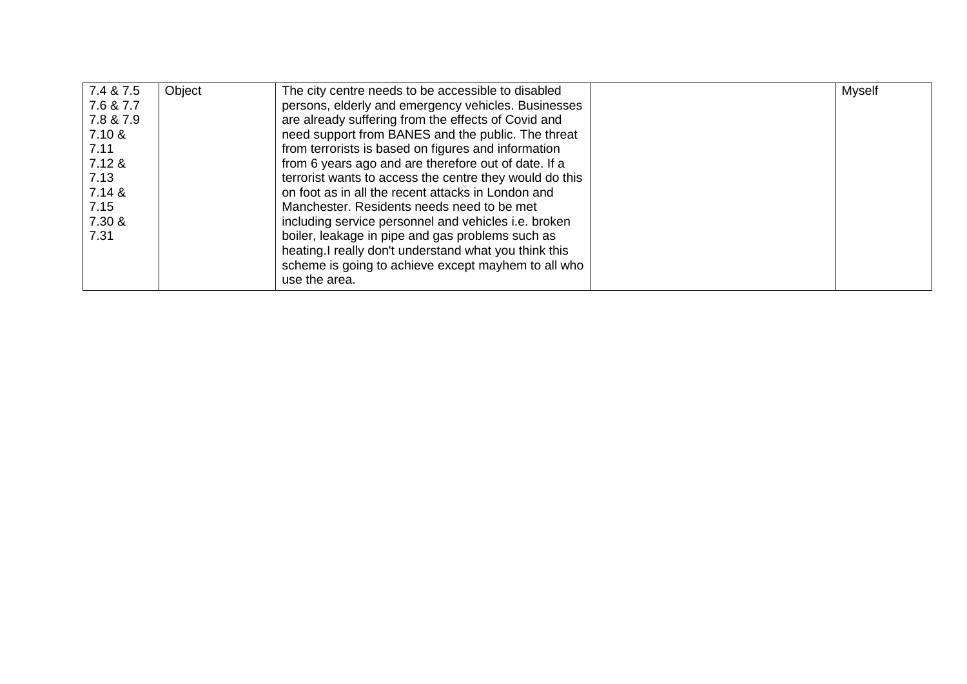| 7.4 & 7.5 | Object | The city centre needs to be accessible to disabled      | <b>Myself</b> |
|-----------|--------|---------------------------------------------------------|---------------|
| 7.6 & 7.7 |        | persons, elderly and emergency vehicles. Businesses     |               |
| 7.8 & 7.9 |        | are already suffering from the effects of Covid and     |               |
| 7.10 &    |        | need support from BANES and the public. The threat      |               |
| 7.11      |        | from terrorists is based on figures and information     |               |
| 7.12 &    |        | from 6 years ago and are therefore out of date. If a    |               |
| 7.13      |        | terrorist wants to access the centre they would do this |               |
| 7.14 &    |        | on foot as in all the recent attacks in London and      |               |
| 7.15      |        | Manchester. Residents needs need to be met              |               |
| 7.30 &    |        | including service personnel and vehicles i.e. broken    |               |
| 7.31      |        | boiler, leakage in pipe and gas problems such as        |               |
|           |        | heating. I really don't understand what you think this  |               |
|           |        | scheme is going to achieve except mayhem to all who     |               |
|           |        | use the area.                                           |               |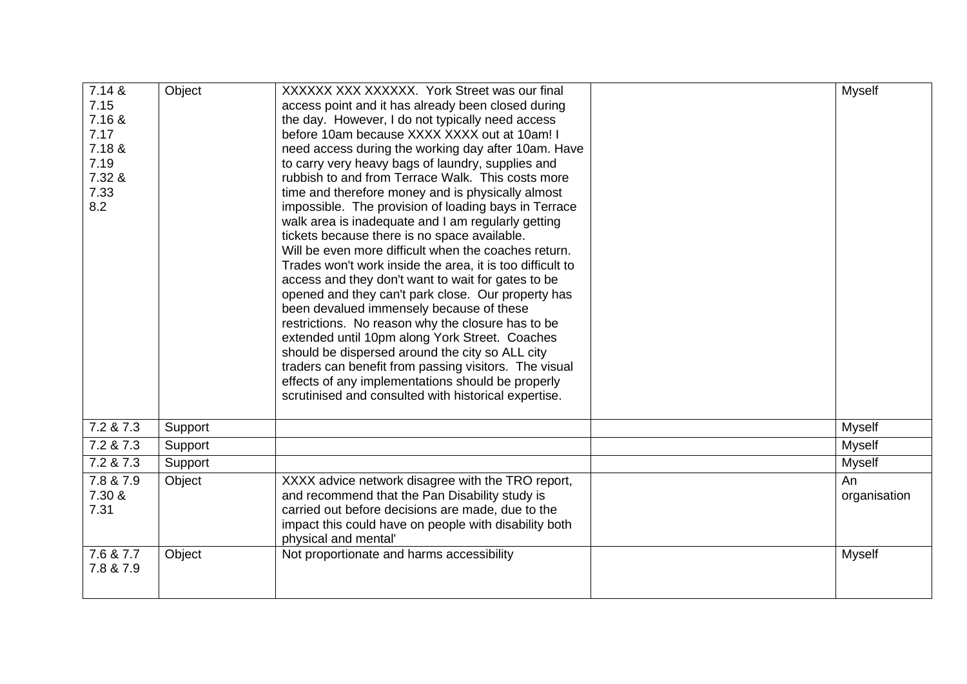| 7.14 &    | Object  | XXXXXX XXX XXXXXX. York Street was our final              | <b>Myself</b> |
|-----------|---------|-----------------------------------------------------------|---------------|
| 7.15      |         | access point and it has already been closed during        |               |
| 7.16 &    |         | the day. However, I do not typically need access          |               |
| 7.17      |         | before 10am because XXXX XXXX out at 10am! I              |               |
| 7.18 &    |         | need access during the working day after 10am. Have       |               |
| 7.19      |         | to carry very heavy bags of laundry, supplies and         |               |
| 7.32 &    |         | rubbish to and from Terrace Walk. This costs more         |               |
| 7.33      |         | time and therefore money and is physically almost         |               |
| 8.2       |         | impossible. The provision of loading bays in Terrace      |               |
|           |         | walk area is inadequate and I am regularly getting        |               |
|           |         | tickets because there is no space available.              |               |
|           |         | Will be even more difficult when the coaches return.      |               |
|           |         | Trades won't work inside the area, it is too difficult to |               |
|           |         | access and they don't want to wait for gates to be        |               |
|           |         | opened and they can't park close. Our property has        |               |
|           |         | been devalued immensely because of these                  |               |
|           |         | restrictions. No reason why the closure has to be         |               |
|           |         | extended until 10pm along York Street. Coaches            |               |
|           |         | should be dispersed around the city so ALL city           |               |
|           |         | traders can benefit from passing visitors. The visual     |               |
|           |         | effects of any implementations should be properly         |               |
|           |         | scrutinised and consulted with historical expertise.      |               |
|           |         |                                                           |               |
| 7.2 & 7.3 | Support |                                                           | <b>Myself</b> |
| 7.2 & 7.3 | Support |                                                           | <b>Myself</b> |
| 7.2 & 7.3 | Support |                                                           | <b>Myself</b> |
| 7.8 & 7.9 | Object  | XXXX advice network disagree with the TRO report,         | An            |
| 7.30 &    |         | and recommend that the Pan Disability study is            | organisation  |
| 7.31      |         | carried out before decisions are made, due to the         |               |
|           |         | impact this could have on people with disability both     |               |
|           |         | physical and mental'                                      |               |
| 7.6 & 7.7 | Object  | Not proportionate and harms accessibility                 | <b>Myself</b> |
| 7.8 & 7.9 |         |                                                           |               |
|           |         |                                                           |               |
|           |         |                                                           |               |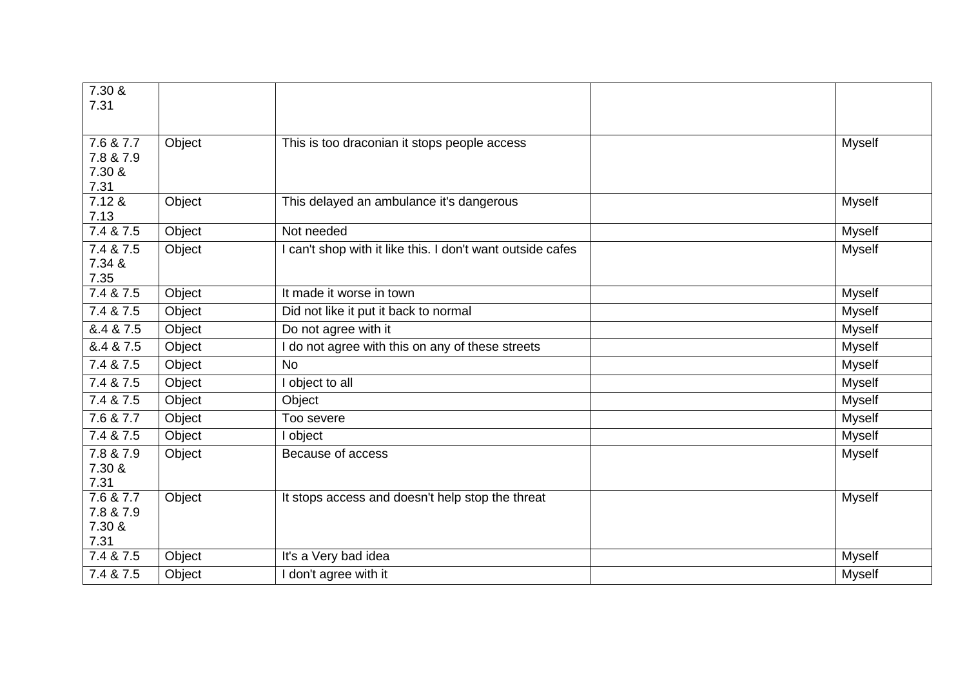| 7.30 &            |        |                                                            |               |
|-------------------|--------|------------------------------------------------------------|---------------|
| 7.31              |        |                                                            |               |
|                   |        |                                                            |               |
| 7.6 & 7.7         | Object | This is too draconian it stops people access               | <b>Myself</b> |
| 7.8 & 7.9         |        |                                                            |               |
| 7.30 &            |        |                                                            |               |
| 7.31              |        |                                                            |               |
| 7.12 &            | Object | This delayed an ambulance it's dangerous                   | <b>Myself</b> |
| 7.13              |        |                                                            |               |
| 7.4 & 7.5         | Object | Not needed                                                 | Myself        |
| 7.4 & 7.5         | Object | I can't shop with it like this. I don't want outside cafes | Myself        |
| 7.34 &            |        |                                                            |               |
| 7.35<br>7.4 & 7.5 |        | It made it worse in town                                   |               |
|                   | Object |                                                            | <b>Myself</b> |
| 7.4 & 7.5         | Object | Did not like it put it back to normal                      | <b>Myself</b> |
| &.4 & 7.5         | Object | Do not agree with it                                       | <b>Myself</b> |
| &.4 & 7.5         | Object | I do not agree with this on any of these streets           | <b>Myself</b> |
| 7.4 & 7.5         | Object | <b>No</b>                                                  | <b>Myself</b> |
| 7.4 & 7.5         | Object | I object to all                                            | <b>Myself</b> |
| 7.4 & 7.5         | Object | Object                                                     | <b>Myself</b> |
| 7.6 & 7.7         | Object | Too severe                                                 | <b>Myself</b> |
| 7.4 & 7.5         | Object | I object                                                   | <b>Myself</b> |
| 7.8 & 7.9         | Object | Because of access                                          | Myself        |
| 7.30 &            |        |                                                            |               |
| 7.31              |        |                                                            |               |
| 7.6 & 7.7         | Object | It stops access and doesn't help stop the threat           | <b>Myself</b> |
| 7.8 & 7.9         |        |                                                            |               |
| 7.30 &<br>7.31    |        |                                                            |               |
| 7.4 & 7.5         | Object | It's a Very bad idea                                       | <b>Myself</b> |
|                   |        |                                                            |               |
| 7.4 & 7.5         | Object | I don't agree with it                                      | <b>Myself</b> |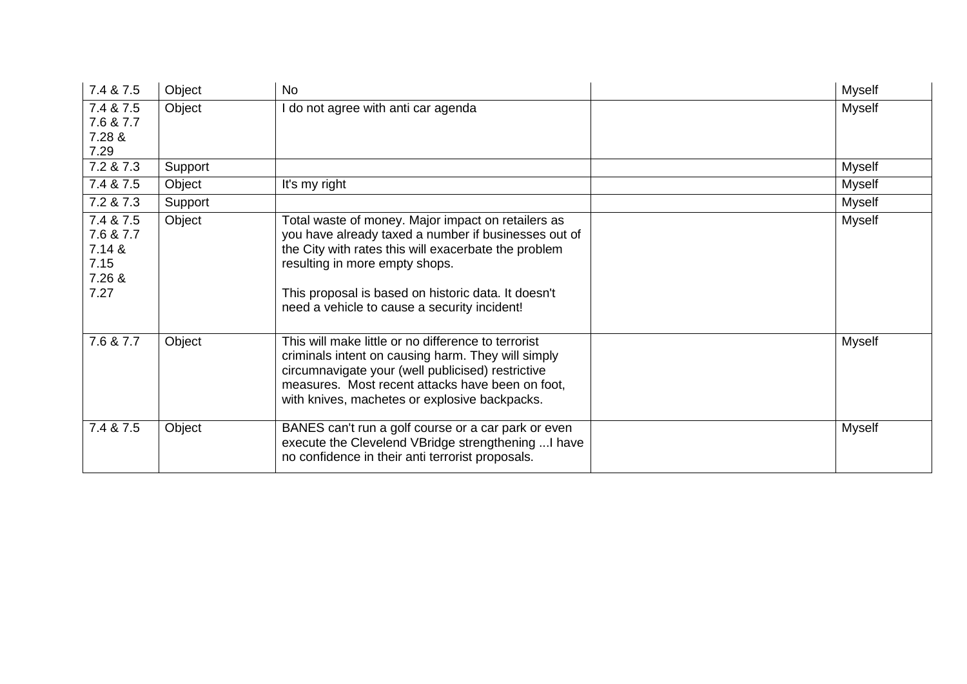| 7.4 & 7.5                                                  | Object  | No                                                                                                                                                                                                                                                                                                          | Myself        |
|------------------------------------------------------------|---------|-------------------------------------------------------------------------------------------------------------------------------------------------------------------------------------------------------------------------------------------------------------------------------------------------------------|---------------|
| 7.4 & 7.5                                                  | Object  | I do not agree with anti car agenda                                                                                                                                                                                                                                                                         | <b>Myself</b> |
| 7.6 & 7.7                                                  |         |                                                                                                                                                                                                                                                                                                             |               |
| 7.28 &<br>7.29                                             |         |                                                                                                                                                                                                                                                                                                             |               |
| 7.2 & 7.3                                                  | Support |                                                                                                                                                                                                                                                                                                             | Myself        |
| 7.4 & 7.5                                                  | Object  | It's my right                                                                                                                                                                                                                                                                                               | Myself        |
| 7.2 & 7.3                                                  | Support |                                                                                                                                                                                                                                                                                                             | Myself        |
| 7.4 & 7.5<br>7.6 & 7.7<br>7.14 &<br>7.15<br>7.26 &<br>7.27 | Object  | Total waste of money. Major impact on retailers as<br>you have already taxed a number if businesses out of<br>the City with rates this will exacerbate the problem<br>resulting in more empty shops.<br>This proposal is based on historic data. It doesn't<br>need a vehicle to cause a security incident! | Myself        |
| 7.6 & 7.7                                                  | Object  | This will make little or no difference to terrorist<br>criminals intent on causing harm. They will simply<br>circumnavigate your (well publicised) restrictive<br>measures. Most recent attacks have been on foot,<br>with knives, machetes or explosive backpacks.                                         | <b>Myself</b> |
| 7.4 & 7.5                                                  | Object  | BANES can't run a golf course or a car park or even<br>execute the Clevelend VBridge strengthening  I have<br>no confidence in their anti terrorist proposals.                                                                                                                                              | Myself        |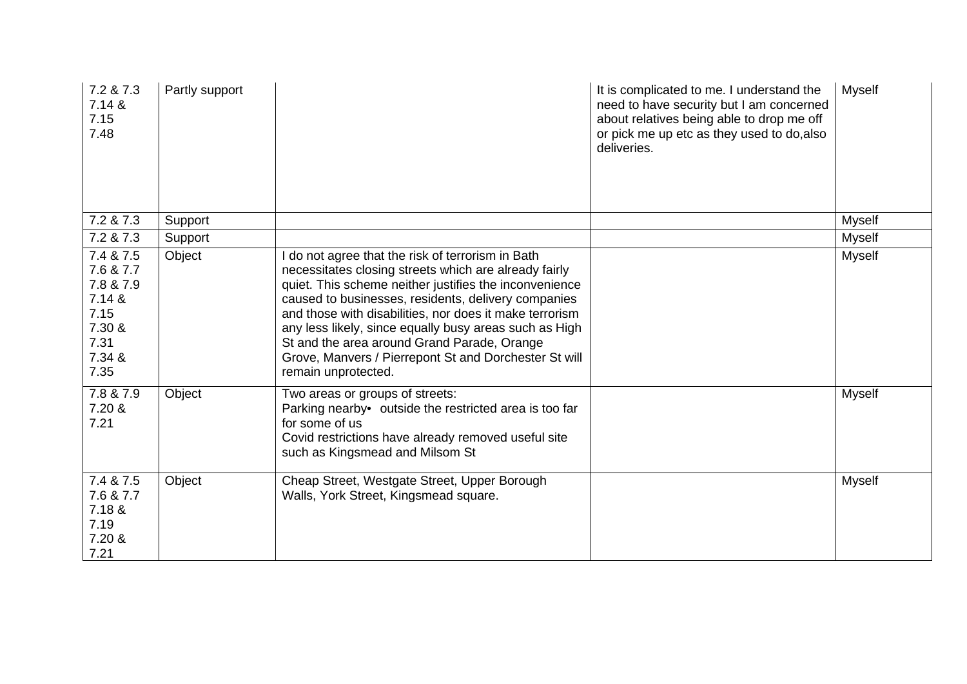| 7.2 & 7.3<br>7.14 &<br>7.15<br>7.48                                                       | Partly support |                                                                                                                                                                                                                                                                                                                                                                                                                                                                                 | It is complicated to me. I understand the<br>need to have security but I am concerned<br>about relatives being able to drop me off<br>or pick me up etc as they used to do, also<br>deliveries. | <b>Myself</b> |
|-------------------------------------------------------------------------------------------|----------------|---------------------------------------------------------------------------------------------------------------------------------------------------------------------------------------------------------------------------------------------------------------------------------------------------------------------------------------------------------------------------------------------------------------------------------------------------------------------------------|-------------------------------------------------------------------------------------------------------------------------------------------------------------------------------------------------|---------------|
| 7.2 & 7.3                                                                                 | Support        |                                                                                                                                                                                                                                                                                                                                                                                                                                                                                 |                                                                                                                                                                                                 | <b>Myself</b> |
| 7.2 & 7.3                                                                                 | Support        |                                                                                                                                                                                                                                                                                                                                                                                                                                                                                 |                                                                                                                                                                                                 | <b>Myself</b> |
| 7.4 & 7.5<br>7.6 & 7.7<br>7.8 & 7.9<br>7.14 &<br>7.15<br>7.30 &<br>7.31<br>7.34 &<br>7.35 | Object         | I do not agree that the risk of terrorism in Bath<br>necessitates closing streets which are already fairly<br>quiet. This scheme neither justifies the inconvenience<br>caused to businesses, residents, delivery companies<br>and those with disabilities, nor does it make terrorism<br>any less likely, since equally busy areas such as High<br>St and the area around Grand Parade, Orange<br>Grove, Manvers / Pierrepont St and Dorchester St will<br>remain unprotected. |                                                                                                                                                                                                 | <b>Myself</b> |
| 7.8 & 7.9<br>7.20 &<br>7.21                                                               | Object         | Two areas or groups of streets:<br>Parking nearby• outside the restricted area is too far<br>for some of us<br>Covid restrictions have already removed useful site<br>such as Kingsmead and Milsom St                                                                                                                                                                                                                                                                           |                                                                                                                                                                                                 | <b>Myself</b> |
| 7.4 & 7.5<br>7.6 & 7.7<br>7.18 &<br>7.19<br>7.20 &<br>7.21                                | Object         | Cheap Street, Westgate Street, Upper Borough<br>Walls, York Street, Kingsmead square.                                                                                                                                                                                                                                                                                                                                                                                           |                                                                                                                                                                                                 | <b>Myself</b> |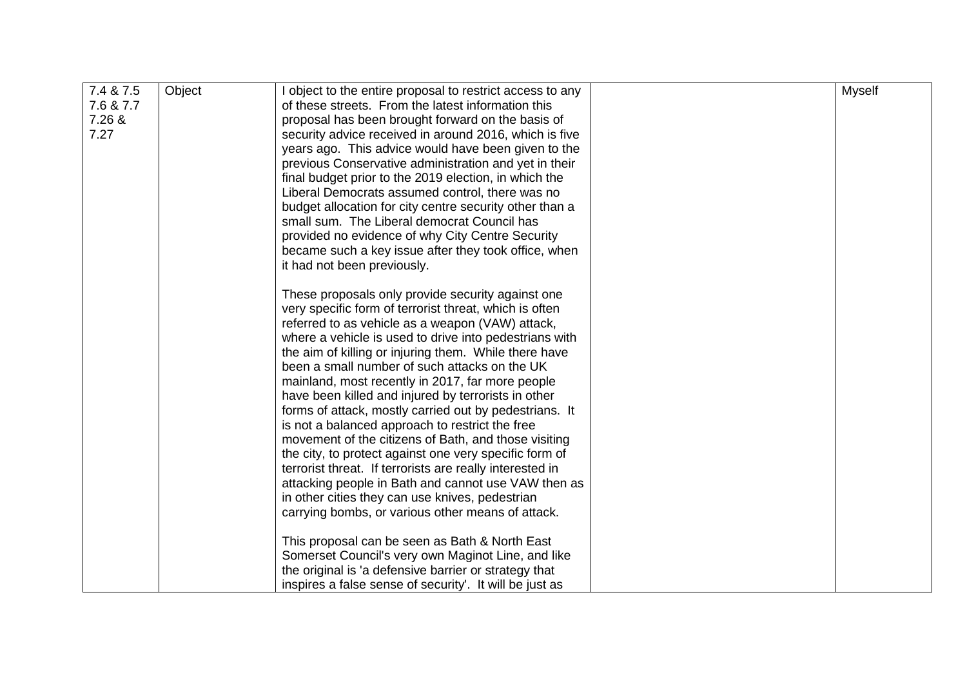| 7.4 & 7.5<br>Object<br>object to the entire proposal to restrict access to any<br><b>Myself</b><br>7.6 & 7.7<br>of these streets. From the latest information this<br>7.26 &<br>proposal has been brought forward on the basis of<br>7.27<br>security advice received in around 2016, which is five |  |
|-----------------------------------------------------------------------------------------------------------------------------------------------------------------------------------------------------------------------------------------------------------------------------------------------------|--|
|                                                                                                                                                                                                                                                                                                     |  |
|                                                                                                                                                                                                                                                                                                     |  |
|                                                                                                                                                                                                                                                                                                     |  |
|                                                                                                                                                                                                                                                                                                     |  |
| years ago. This advice would have been given to the                                                                                                                                                                                                                                                 |  |
| previous Conservative administration and yet in their                                                                                                                                                                                                                                               |  |
| final budget prior to the 2019 election, in which the                                                                                                                                                                                                                                               |  |
| Liberal Democrats assumed control, there was no                                                                                                                                                                                                                                                     |  |
| budget allocation for city centre security other than a                                                                                                                                                                                                                                             |  |
| small sum. The Liberal democrat Council has                                                                                                                                                                                                                                                         |  |
|                                                                                                                                                                                                                                                                                                     |  |
| provided no evidence of why City Centre Security                                                                                                                                                                                                                                                    |  |
| became such a key issue after they took office, when                                                                                                                                                                                                                                                |  |
| it had not been previously.                                                                                                                                                                                                                                                                         |  |
| These proposals only provide security against one                                                                                                                                                                                                                                                   |  |
| very specific form of terrorist threat, which is often                                                                                                                                                                                                                                              |  |
| referred to as vehicle as a weapon (VAW) attack,                                                                                                                                                                                                                                                    |  |
| where a vehicle is used to drive into pedestrians with                                                                                                                                                                                                                                              |  |
| the aim of killing or injuring them. While there have                                                                                                                                                                                                                                               |  |
|                                                                                                                                                                                                                                                                                                     |  |
| been a small number of such attacks on the UK                                                                                                                                                                                                                                                       |  |
| mainland, most recently in 2017, far more people                                                                                                                                                                                                                                                    |  |
| have been killed and injured by terrorists in other                                                                                                                                                                                                                                                 |  |
| forms of attack, mostly carried out by pedestrians. It                                                                                                                                                                                                                                              |  |
| is not a balanced approach to restrict the free                                                                                                                                                                                                                                                     |  |
| movement of the citizens of Bath, and those visiting                                                                                                                                                                                                                                                |  |
| the city, to protect against one very specific form of                                                                                                                                                                                                                                              |  |
| terrorist threat. If terrorists are really interested in                                                                                                                                                                                                                                            |  |
| attacking people in Bath and cannot use VAW then as                                                                                                                                                                                                                                                 |  |
| in other cities they can use knives, pedestrian                                                                                                                                                                                                                                                     |  |
| carrying bombs, or various other means of attack.                                                                                                                                                                                                                                                   |  |
|                                                                                                                                                                                                                                                                                                     |  |
| This proposal can be seen as Bath & North East                                                                                                                                                                                                                                                      |  |
| Somerset Council's very own Maginot Line, and like                                                                                                                                                                                                                                                  |  |
| the original is 'a defensive barrier or strategy that                                                                                                                                                                                                                                               |  |
| inspires a false sense of security'. It will be just as                                                                                                                                                                                                                                             |  |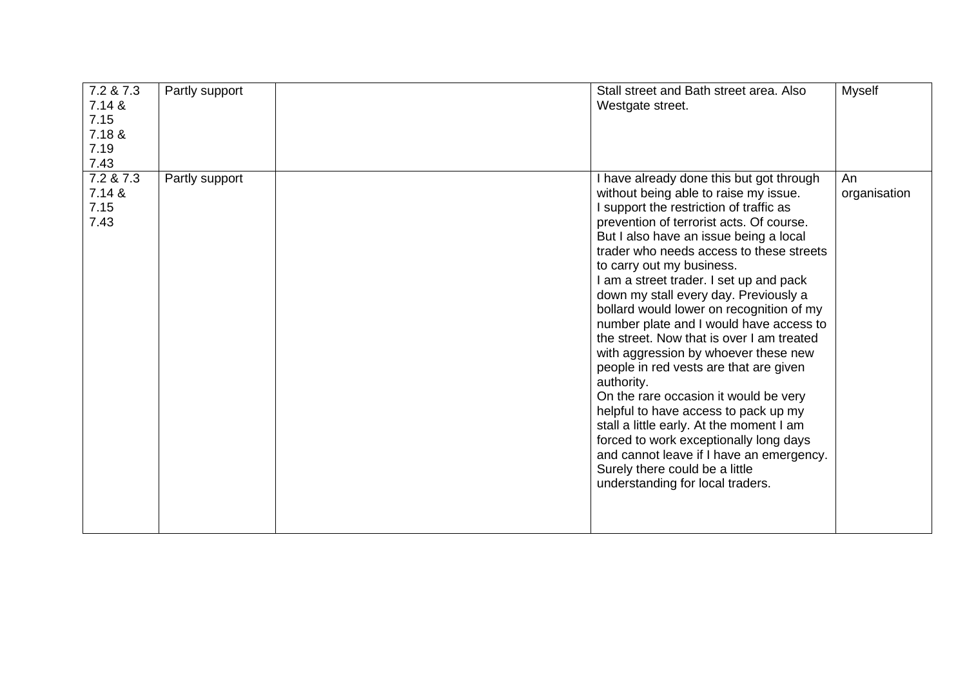| 7.2 & 7.3<br>7.14 &<br>7.15<br>7.18 &<br>7.19<br>7.43 | Partly support | Stall street and Bath street area. Also<br>Westgate street.                                                                                                                                                                                                                                                                                                                                                                                                                                                                                                                                                                                                                                                                                                                                                                                                                                                  | <b>Myself</b>      |
|-------------------------------------------------------|----------------|--------------------------------------------------------------------------------------------------------------------------------------------------------------------------------------------------------------------------------------------------------------------------------------------------------------------------------------------------------------------------------------------------------------------------------------------------------------------------------------------------------------------------------------------------------------------------------------------------------------------------------------------------------------------------------------------------------------------------------------------------------------------------------------------------------------------------------------------------------------------------------------------------------------|--------------------|
| 7.2 & 7.3<br>7.14 &<br>7.15<br>7.43                   | Partly support | I have already done this but got through<br>without being able to raise my issue.<br>I support the restriction of traffic as<br>prevention of terrorist acts. Of course.<br>But I also have an issue being a local<br>trader who needs access to these streets<br>to carry out my business.<br>I am a street trader. I set up and pack<br>down my stall every day. Previously a<br>bollard would lower on recognition of my<br>number plate and I would have access to<br>the street. Now that is over I am treated<br>with aggression by whoever these new<br>people in red vests are that are given<br>authority.<br>On the rare occasion it would be very<br>helpful to have access to pack up my<br>stall a little early. At the moment I am<br>forced to work exceptionally long days<br>and cannot leave if I have an emergency.<br>Surely there could be a little<br>understanding for local traders. | An<br>organisation |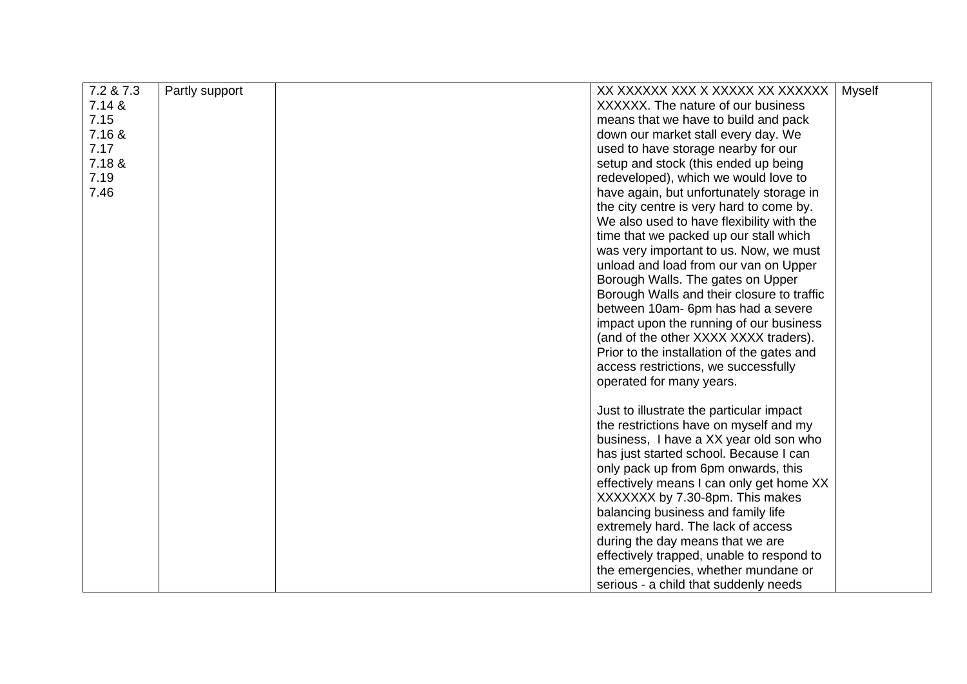| 7.2 & 7.3 | Partly support | XX XXXXXX XXX X XXXXX XX XXXXXX            | <b>Myself</b> |
|-----------|----------------|--------------------------------------------|---------------|
| 7.14 &    |                | XXXXXX. The nature of our business         |               |
| 7.15      |                | means that we have to build and pack       |               |
| 7.16 &    |                | down our market stall every day. We        |               |
| 7.17      |                | used to have storage nearby for our        |               |
| 7.18 &    |                | setup and stock (this ended up being       |               |
| 7.19      |                | redeveloped), which we would love to       |               |
| 7.46      |                | have again, but unfortunately storage in   |               |
|           |                | the city centre is very hard to come by.   |               |
|           |                | We also used to have flexibility with the  |               |
|           |                | time that we packed up our stall which     |               |
|           |                | was very important to us. Now, we must     |               |
|           |                | unload and load from our van on Upper      |               |
|           |                | Borough Walls. The gates on Upper          |               |
|           |                | Borough Walls and their closure to traffic |               |
|           |                | between 10am- 6pm has had a severe         |               |
|           |                | impact upon the running of our business    |               |
|           |                | (and of the other XXXX XXXX traders).      |               |
|           |                | Prior to the installation of the gates and |               |
|           |                | access restrictions, we successfully       |               |
|           |                | operated for many years.                   |               |
|           |                |                                            |               |
|           |                | Just to illustrate the particular impact   |               |
|           |                | the restrictions have on myself and my     |               |
|           |                | business, I have a XX year old son who     |               |
|           |                | has just started school. Because I can     |               |
|           |                | only pack up from 6pm onwards, this        |               |
|           |                | effectively means I can only get home XX   |               |
|           |                | XXXXXXX by 7.30-8pm. This makes            |               |
|           |                | balancing business and family life         |               |
|           |                | extremely hard. The lack of access         |               |
|           |                | during the day means that we are           |               |
|           |                | effectively trapped, unable to respond to  |               |
|           |                | the emergencies, whether mundane or        |               |
|           |                | serious - a child that suddenly needs      |               |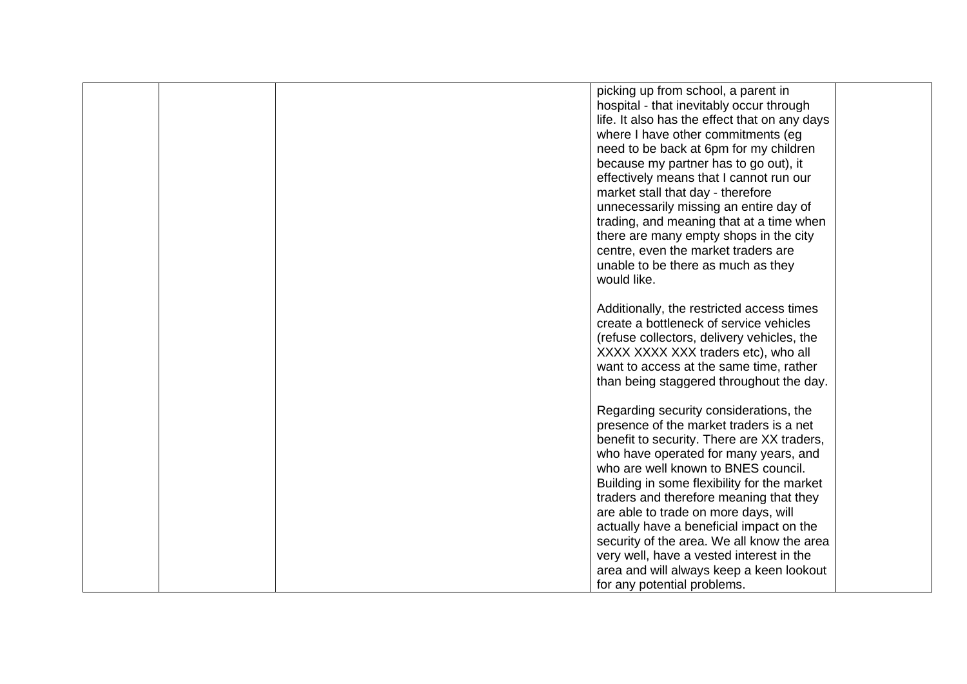|  | picking up from school, a parent in           |  |
|--|-----------------------------------------------|--|
|  |                                               |  |
|  | hospital - that inevitably occur through      |  |
|  | life. It also has the effect that on any days |  |
|  | where I have other commitments (eg            |  |
|  | need to be back at 6pm for my children        |  |
|  | because my partner has to go out), it         |  |
|  | effectively means that I cannot run our       |  |
|  | market stall that day - therefore             |  |
|  | unnecessarily missing an entire day of        |  |
|  | trading, and meaning that at a time when      |  |
|  | there are many empty shops in the city        |  |
|  | centre, even the market traders are           |  |
|  | unable to be there as much as they            |  |
|  | would like.                                   |  |
|  |                                               |  |
|  | Additionally, the restricted access times     |  |
|  | create a bottleneck of service vehicles       |  |
|  | (refuse collectors, delivery vehicles, the    |  |
|  | XXXX XXXX XXX traders etc), who all           |  |
|  | want to access at the same time, rather       |  |
|  | than being staggered throughout the day.      |  |
|  |                                               |  |
|  | Regarding security considerations, the        |  |
|  | presence of the market traders is a net       |  |
|  | benefit to security. There are XX traders,    |  |
|  | who have operated for many years, and         |  |
|  | who are well known to BNES council.           |  |
|  | Building in some flexibility for the market   |  |
|  | traders and therefore meaning that they       |  |
|  | are able to trade on more days, will          |  |
|  | actually have a beneficial impact on the      |  |
|  | security of the area. We all know the area    |  |
|  | very well, have a vested interest in the      |  |
|  | area and will always keep a keen lookout      |  |
|  | for any potential problems.                   |  |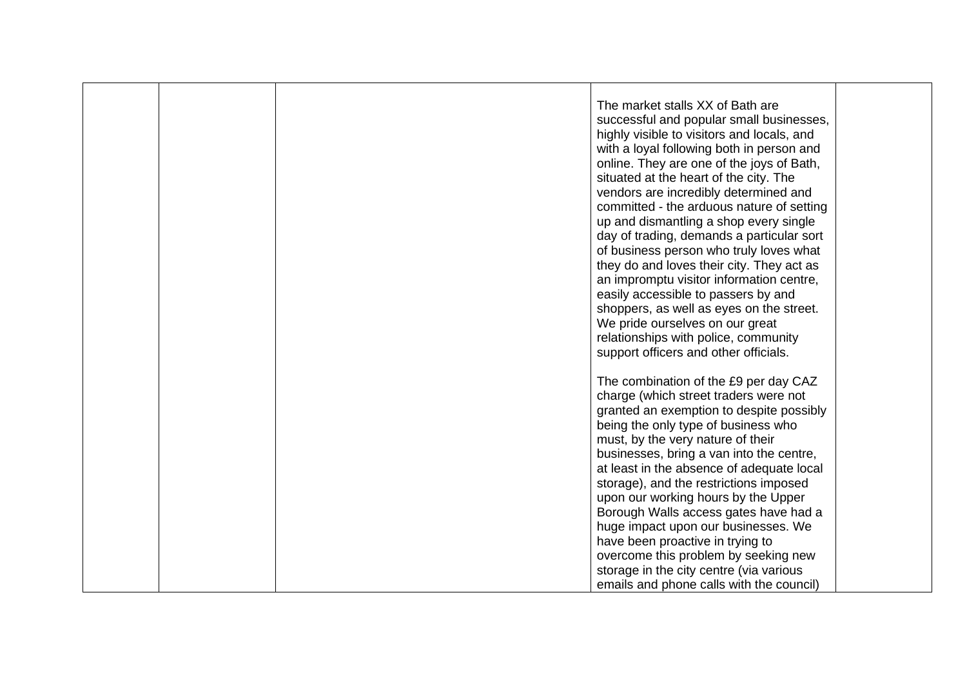| support officers and other officials.<br>The combination of the £9 per day CAZ<br>charge (which street traders were not<br>granted an exemption to despite possibly<br>being the only type of business who<br>must, by the very nature of their<br>businesses, bring a van into the centre,<br>at least in the absence of adequate local<br>storage), and the restrictions imposed<br>upon our working hours by the Upper<br>Borough Walls access gates have had a<br>huge impact upon our businesses. We<br>have been proactive in trying to<br>overcome this problem by seeking new<br>storage in the city centre (via various |  | The market stalls XX of Bath are<br>successful and popular small businesses,<br>highly visible to visitors and locals, and<br>with a loyal following both in person and<br>online. They are one of the joys of Bath,<br>situated at the heart of the city. The<br>vendors are incredibly determined and<br>committed - the arduous nature of setting<br>up and dismantling a shop every single<br>day of trading, demands a particular sort<br>of business person who truly loves what<br>they do and loves their city. They act as<br>an impromptu visitor information centre,<br>easily accessible to passers by and<br>shoppers, as well as eyes on the street.<br>We pride ourselves on our great |  |
|----------------------------------------------------------------------------------------------------------------------------------------------------------------------------------------------------------------------------------------------------------------------------------------------------------------------------------------------------------------------------------------------------------------------------------------------------------------------------------------------------------------------------------------------------------------------------------------------------------------------------------|--|-------------------------------------------------------------------------------------------------------------------------------------------------------------------------------------------------------------------------------------------------------------------------------------------------------------------------------------------------------------------------------------------------------------------------------------------------------------------------------------------------------------------------------------------------------------------------------------------------------------------------------------------------------------------------------------------------------|--|
|                                                                                                                                                                                                                                                                                                                                                                                                                                                                                                                                                                                                                                  |  | relationships with police, community                                                                                                                                                                                                                                                                                                                                                                                                                                                                                                                                                                                                                                                                  |  |
|                                                                                                                                                                                                                                                                                                                                                                                                                                                                                                                                                                                                                                  |  |                                                                                                                                                                                                                                                                                                                                                                                                                                                                                                                                                                                                                                                                                                       |  |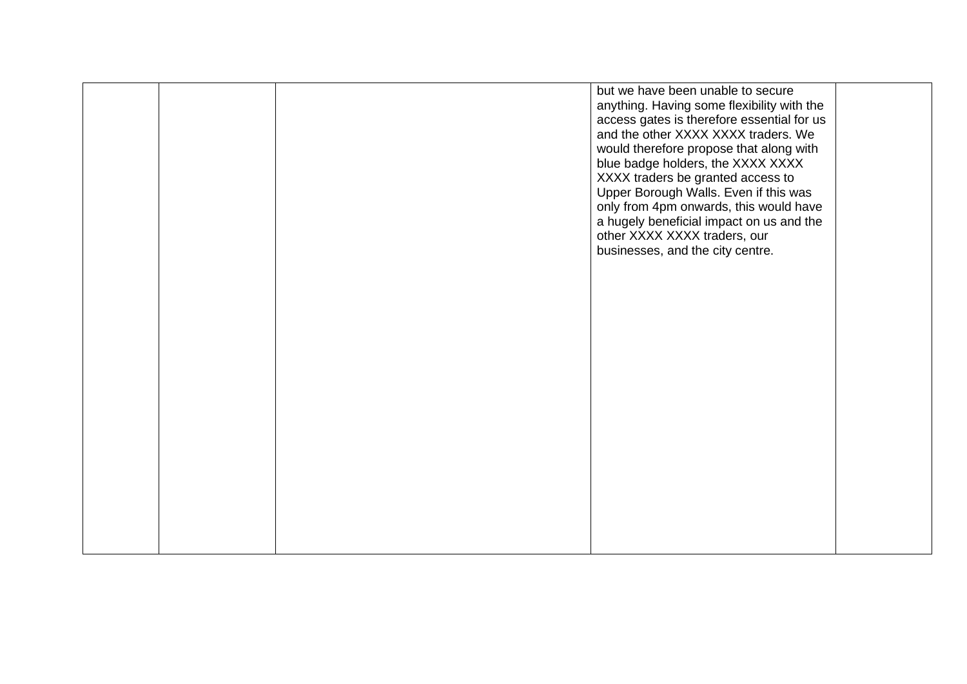|  | but we have been unable to secure<br>anything. Having some flexibility with the<br>access gates is therefore essential for us<br>and the other XXXX XXXX traders. We<br>would therefore propose that along with<br>blue badge holders, the XXXX XXXX<br>XXXX traders be granted access to<br>Upper Borough Walls. Even if this was<br>only from 4pm onwards, this would have<br>a hugely beneficial impact on us and the<br>other XXXX XXXX traders, our<br>businesses, and the city centre. |  |
|--|----------------------------------------------------------------------------------------------------------------------------------------------------------------------------------------------------------------------------------------------------------------------------------------------------------------------------------------------------------------------------------------------------------------------------------------------------------------------------------------------|--|
|  |                                                                                                                                                                                                                                                                                                                                                                                                                                                                                              |  |
|  |                                                                                                                                                                                                                                                                                                                                                                                                                                                                                              |  |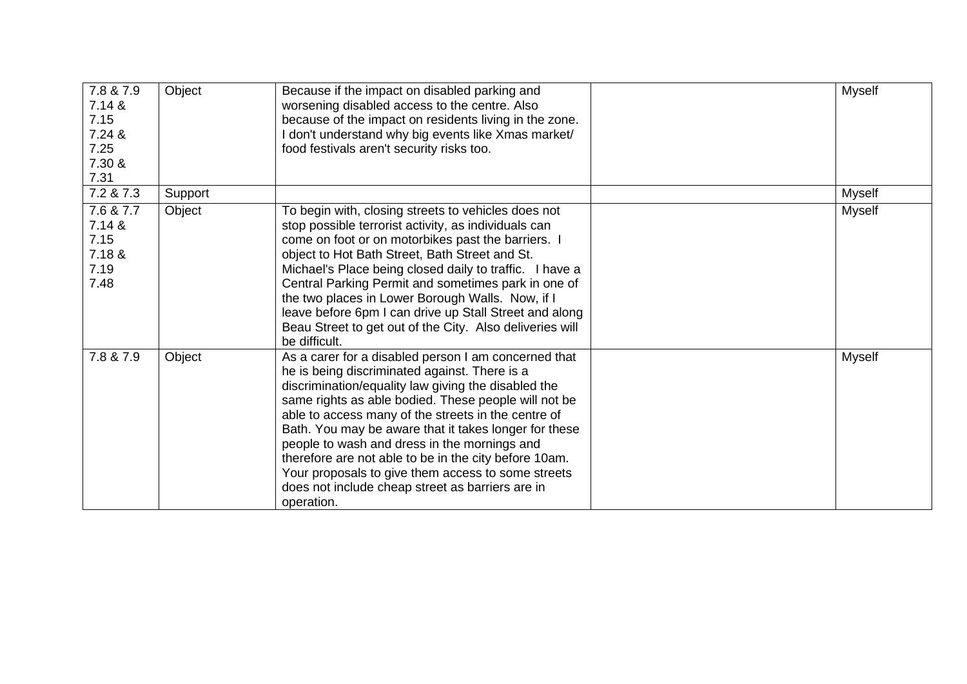| 7.8 & 7.9<br>7.14 &<br>7.15<br>7.24 &<br>7.25<br>7.30 &<br>7.31 | Object  | Because if the impact on disabled parking and<br>worsening disabled access to the centre. Also<br>because of the impact on residents living in the zone.<br>I don't understand why big events like Xmas market/<br>food festivals aren't security risks too.                                                                                                                                                                                                                                                                                                          | <b>Myself</b> |
|-----------------------------------------------------------------|---------|-----------------------------------------------------------------------------------------------------------------------------------------------------------------------------------------------------------------------------------------------------------------------------------------------------------------------------------------------------------------------------------------------------------------------------------------------------------------------------------------------------------------------------------------------------------------------|---------------|
| 7.2 & 7.3                                                       | Support |                                                                                                                                                                                                                                                                                                                                                                                                                                                                                                                                                                       | <b>Myself</b> |
| 7.6 & 7.7<br>7.14 &<br>7.15<br>7.18 &<br>7.19<br>7.48           | Object  | To begin with, closing streets to vehicles does not<br>stop possible terrorist activity, as individuals can<br>come on foot or on motorbikes past the barriers. I<br>object to Hot Bath Street, Bath Street and St.<br>Michael's Place being closed daily to traffic. I have a<br>Central Parking Permit and sometimes park in one of<br>the two places in Lower Borough Walls. Now, if I<br>leave before 6pm I can drive up Stall Street and along<br>Beau Street to get out of the City. Also deliveries will<br>be difficult.                                      | <b>Myself</b> |
| 7.8 & 7.9                                                       | Object  | As a carer for a disabled person I am concerned that<br>he is being discriminated against. There is a<br>discrimination/equality law giving the disabled the<br>same rights as able bodied. These people will not be<br>able to access many of the streets in the centre of<br>Bath. You may be aware that it takes longer for these<br>people to wash and dress in the mornings and<br>therefore are not able to be in the city before 10am.<br>Your proposals to give them access to some streets<br>does not include cheap street as barriers are in<br>operation. | Myself        |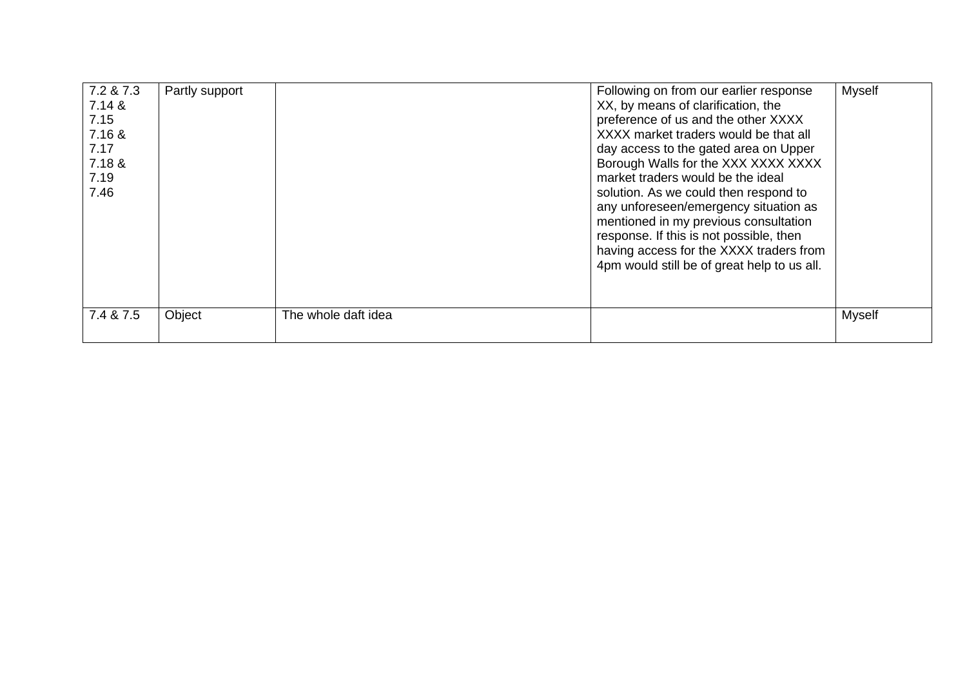| 7.2 & 7.3<br>7.14 &<br>7.15<br>7.16 &<br>7.17<br>7.18 &<br>7.19<br>7.46 | Partly support |                     | Following on from our earlier response<br>XX, by means of clarification, the<br>preference of us and the other XXXX<br>XXXX market traders would be that all<br>day access to the gated area on Upper<br>Borough Walls for the XXX XXXX XXXX<br>market traders would be the ideal<br>solution. As we could then respond to<br>any unforeseen/emergency situation as<br>mentioned in my previous consultation<br>response. If this is not possible, then<br>having access for the XXXX traders from<br>4pm would still be of great help to us all. | <b>Myself</b> |
|-------------------------------------------------------------------------|----------------|---------------------|---------------------------------------------------------------------------------------------------------------------------------------------------------------------------------------------------------------------------------------------------------------------------------------------------------------------------------------------------------------------------------------------------------------------------------------------------------------------------------------------------------------------------------------------------|---------------|
| 7.4 & 7.5                                                               | Object         | The whole daft idea |                                                                                                                                                                                                                                                                                                                                                                                                                                                                                                                                                   | <b>Myself</b> |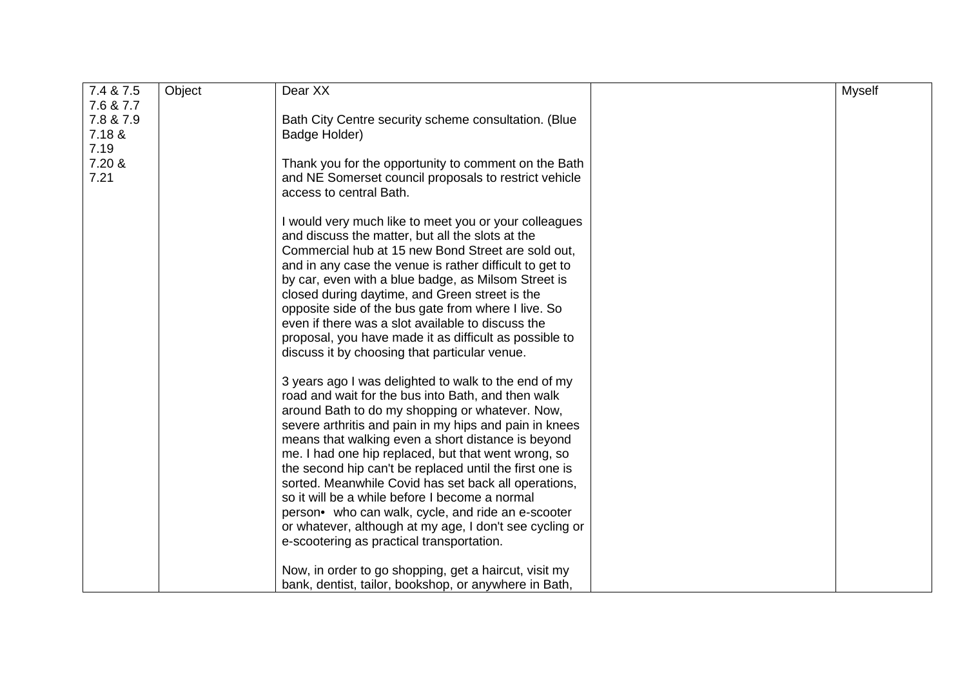| 7.4 & 7.5 | Object | Dear XX                                                 | <b>Myself</b> |
|-----------|--------|---------------------------------------------------------|---------------|
| 7.6 & 7.7 |        |                                                         |               |
| 7.8 & 7.9 |        | Bath City Centre security scheme consultation. (Blue    |               |
| 7.18 &    |        | Badge Holder)                                           |               |
| 7.19      |        |                                                         |               |
| 7.20 &    |        | Thank you for the opportunity to comment on the Bath    |               |
| 7.21      |        | and NE Somerset council proposals to restrict vehicle   |               |
|           |        | access to central Bath.                                 |               |
|           |        |                                                         |               |
|           |        |                                                         |               |
|           |        | I would very much like to meet you or your colleagues   |               |
|           |        | and discuss the matter, but all the slots at the        |               |
|           |        | Commercial hub at 15 new Bond Street are sold out,      |               |
|           |        | and in any case the venue is rather difficult to get to |               |
|           |        | by car, even with a blue badge, as Milsom Street is     |               |
|           |        | closed during daytime, and Green street is the          |               |
|           |        | opposite side of the bus gate from where I live. So     |               |
|           |        | even if there was a slot available to discuss the       |               |
|           |        | proposal, you have made it as difficult as possible to  |               |
|           |        | discuss it by choosing that particular venue.           |               |
|           |        |                                                         |               |
|           |        | 3 years ago I was delighted to walk to the end of my    |               |
|           |        |                                                         |               |
|           |        | road and wait for the bus into Bath, and then walk      |               |
|           |        | around Bath to do my shopping or whatever. Now,         |               |
|           |        | severe arthritis and pain in my hips and pain in knees  |               |
|           |        | means that walking even a short distance is beyond      |               |
|           |        | me. I had one hip replaced, but that went wrong, so     |               |
|           |        | the second hip can't be replaced until the first one is |               |
|           |        | sorted. Meanwhile Covid has set back all operations,    |               |
|           |        | so it will be a while before I become a normal          |               |
|           |        | person• who can walk, cycle, and ride an e-scooter      |               |
|           |        |                                                         |               |
|           |        | or whatever, although at my age, I don't see cycling or |               |
|           |        | e-scootering as practical transportation.               |               |
|           |        |                                                         |               |
|           |        | Now, in order to go shopping, get a haircut, visit my   |               |
|           |        | bank, dentist, tailor, bookshop, or anywhere in Bath,   |               |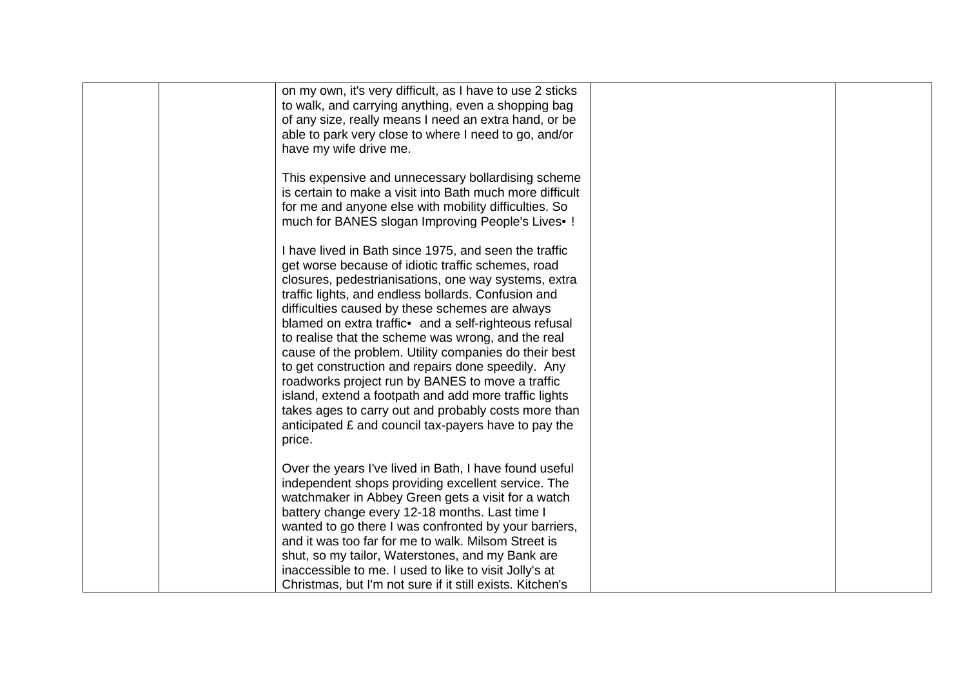| on my own, it's very difficult, as I have to use 2 sticks<br>to walk, and carrying anything, even a shopping bag<br>of any size, really means I need an extra hand, or be<br>able to park very close to where I need to go, and/or<br>have my wife drive me.                                                                                                                                                                                                                                                                                                                                                                                                                                                                                       |  |
|----------------------------------------------------------------------------------------------------------------------------------------------------------------------------------------------------------------------------------------------------------------------------------------------------------------------------------------------------------------------------------------------------------------------------------------------------------------------------------------------------------------------------------------------------------------------------------------------------------------------------------------------------------------------------------------------------------------------------------------------------|--|
| This expensive and unnecessary bollardising scheme<br>is certain to make a visit into Bath much more difficult<br>for me and anyone else with mobility difficulties. So<br>much for BANES slogan Improving People's Lives .!                                                                                                                                                                                                                                                                                                                                                                                                                                                                                                                       |  |
| I have lived in Bath since 1975, and seen the traffic<br>get worse because of idiotic traffic schemes, road<br>closures, pedestrianisations, one way systems, extra<br>traffic lights, and endless bollards. Confusion and<br>difficulties caused by these schemes are always<br>blamed on extra traffic• and a self-righteous refusal<br>to realise that the scheme was wrong, and the real<br>cause of the problem. Utility companies do their best<br>to get construction and repairs done speedily. Any<br>roadworks project run by BANES to move a traffic<br>island, extend a footpath and add more traffic lights<br>takes ages to carry out and probably costs more than<br>anticipated £ and council tax-payers have to pay the<br>price. |  |
| Over the years I've lived in Bath, I have found useful<br>independent shops providing excellent service. The<br>watchmaker in Abbey Green gets a visit for a watch<br>battery change every 12-18 months. Last time I<br>wanted to go there I was confronted by your barriers,<br>and it was too far for me to walk. Milsom Street is<br>shut, so my tailor, Waterstones, and my Bank are<br>inaccessible to me. I used to like to visit Jolly's at<br>Christmas, but I'm not sure if it still exists. Kitchen's                                                                                                                                                                                                                                    |  |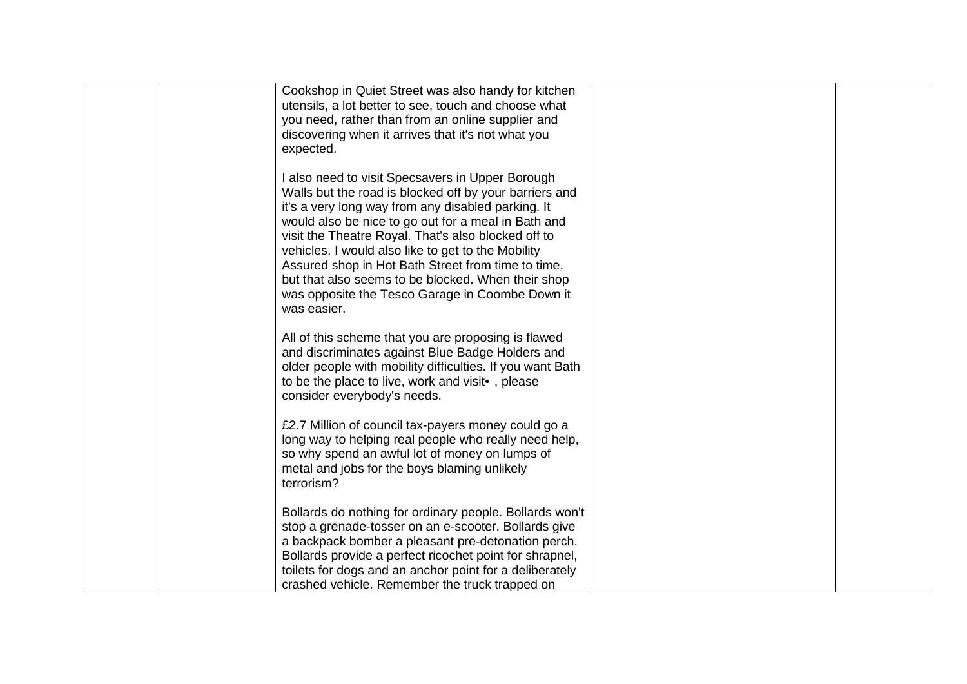| Cookshop in Quiet Street was also handy for kitchen<br>utensils, a lot better to see, touch and choose what<br>you need, rather than from an online supplier and<br>discovering when it arrives that it's not what you                                                                                                                                                                                  |  |
|---------------------------------------------------------------------------------------------------------------------------------------------------------------------------------------------------------------------------------------------------------------------------------------------------------------------------------------------------------------------------------------------------------|--|
| expected.<br>I also need to visit Specsavers in Upper Borough<br>Walls but the road is blocked off by your barriers and<br>it's a very long way from any disabled parking. It<br>would also be nice to go out for a meal in Bath and<br>visit the Theatre Royal. That's also blocked off to<br>vehicles. I would also like to get to the Mobility<br>Assured shop in Hot Bath Street from time to time, |  |
| but that also seems to be blocked. When their shop<br>was opposite the Tesco Garage in Coombe Down it<br>was easier.                                                                                                                                                                                                                                                                                    |  |
| All of this scheme that you are proposing is flawed<br>and discriminates against Blue Badge Holders and<br>older people with mobility difficulties. If you want Bath<br>to be the place to live, work and visit•, please<br>consider everybody's needs.                                                                                                                                                 |  |
| £2.7 Million of council tax-payers money could go a<br>long way to helping real people who really need help,<br>so why spend an awful lot of money on lumps of<br>metal and jobs for the boys blaming unlikely<br>terrorism?                                                                                                                                                                            |  |
| Bollards do nothing for ordinary people. Bollards won't<br>stop a grenade-tosser on an e-scooter. Bollards give<br>a backpack bomber a pleasant pre-detonation perch.<br>Bollards provide a perfect ricochet point for shrapnel,<br>toilets for dogs and an anchor point for a deliberately<br>crashed vehicle. Remember the truck trapped on                                                           |  |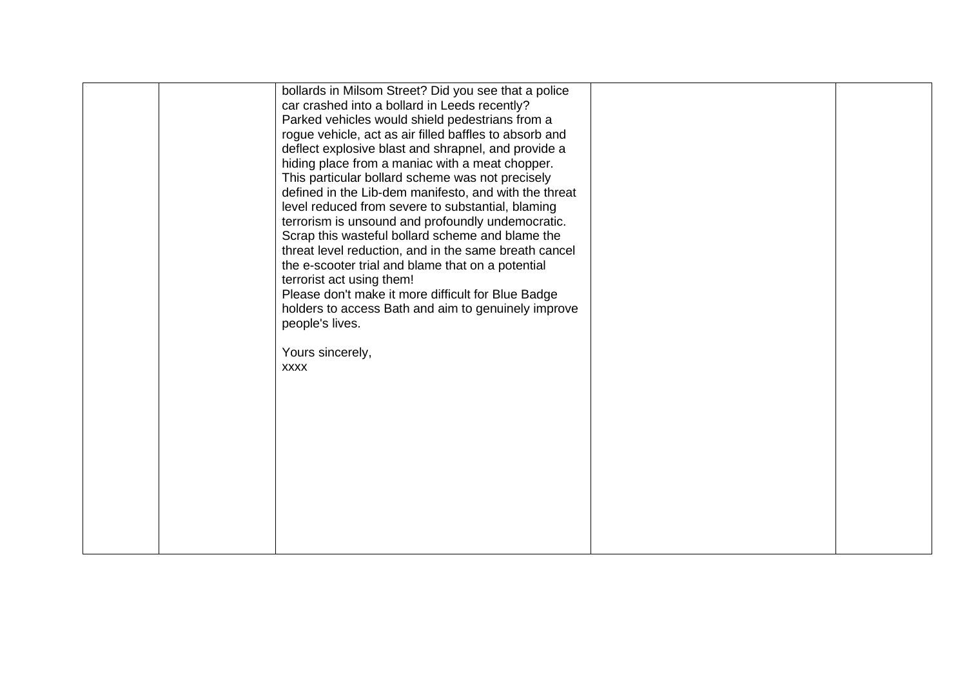|  | bollards in Milsom Street? Did you see that a police   |  |
|--|--------------------------------------------------------|--|
|  | car crashed into a bollard in Leeds recently?          |  |
|  | Parked vehicles would shield pedestrians from a        |  |
|  | rogue vehicle, act as air filled baffles to absorb and |  |
|  | deflect explosive blast and shrapnel, and provide a    |  |
|  | hiding place from a maniac with a meat chopper.        |  |
|  | This particular bollard scheme was not precisely       |  |
|  | defined in the Lib-dem manifesto, and with the threat  |  |
|  | level reduced from severe to substantial, blaming      |  |
|  | terrorism is unsound and profoundly undemocratic.      |  |
|  | Scrap this wasteful bollard scheme and blame the       |  |
|  | threat level reduction, and in the same breath cancel  |  |
|  | the e-scooter trial and blame that on a potential      |  |
|  | terrorist act using them!                              |  |
|  | Please don't make it more difficult for Blue Badge     |  |
|  | holders to access Bath and aim to genuinely improve    |  |
|  | people's lives.                                        |  |
|  |                                                        |  |
|  | Yours sincerely,                                       |  |
|  | <b>XXXX</b>                                            |  |
|  |                                                        |  |
|  |                                                        |  |
|  |                                                        |  |
|  |                                                        |  |
|  |                                                        |  |
|  |                                                        |  |
|  |                                                        |  |
|  |                                                        |  |
|  |                                                        |  |
|  |                                                        |  |
|  |                                                        |  |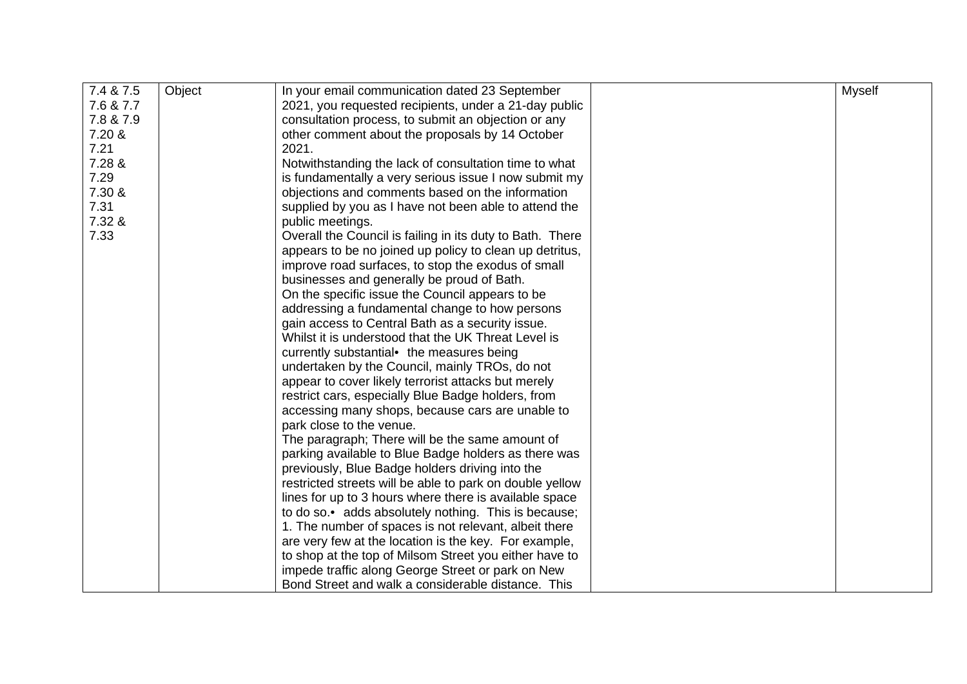| Object<br>In your email communication dated 23 September<br><b>Myself</b><br>7.6 & 7.7<br>2021, you requested recipients, under a 21-day public<br>7.8 & 7.9<br>consultation process, to submit an objection or any<br>7.20 &<br>other comment about the proposals by 14 October<br>7.21<br>2021.<br>7.28 &<br>Notwithstanding the lack of consultation time to what<br>7.29<br>is fundamentally a very serious issue I now submit my<br>7.30 &<br>objections and comments based on the information<br>7.31<br>supplied by you as I have not been able to attend the<br>7.32 &<br>public meetings.<br>7.33<br>Overall the Council is failing in its duty to Bath. There<br>appears to be no joined up policy to clean up detritus,<br>improve road surfaces, to stop the exodus of small<br>businesses and generally be proud of Bath.<br>On the specific issue the Council appears to be<br>addressing a fundamental change to how persons<br>gain access to Central Bath as a security issue.<br>Whilst it is understood that the UK Threat Level is<br>currently substantial the measures being<br>undertaken by the Council, mainly TROs, do not<br>appear to cover likely terrorist attacks but merely<br>restrict cars, especially Blue Badge holders, from<br>accessing many shops, because cars are unable to<br>park close to the venue.<br>The paragraph; There will be the same amount of<br>parking available to Blue Badge holders as there was<br>previously, Blue Badge holders driving into the<br>restricted streets will be able to park on double yellow<br>lines for up to 3 hours where there is available space |           |                                                      |  |
|---------------------------------------------------------------------------------------------------------------------------------------------------------------------------------------------------------------------------------------------------------------------------------------------------------------------------------------------------------------------------------------------------------------------------------------------------------------------------------------------------------------------------------------------------------------------------------------------------------------------------------------------------------------------------------------------------------------------------------------------------------------------------------------------------------------------------------------------------------------------------------------------------------------------------------------------------------------------------------------------------------------------------------------------------------------------------------------------------------------------------------------------------------------------------------------------------------------------------------------------------------------------------------------------------------------------------------------------------------------------------------------------------------------------------------------------------------------------------------------------------------------------------------------------------------------------------------------------------------------------------------------|-----------|------------------------------------------------------|--|
|                                                                                                                                                                                                                                                                                                                                                                                                                                                                                                                                                                                                                                                                                                                                                                                                                                                                                                                                                                                                                                                                                                                                                                                                                                                                                                                                                                                                                                                                                                                                                                                                                                       | 7.4 & 7.5 |                                                      |  |
|                                                                                                                                                                                                                                                                                                                                                                                                                                                                                                                                                                                                                                                                                                                                                                                                                                                                                                                                                                                                                                                                                                                                                                                                                                                                                                                                                                                                                                                                                                                                                                                                                                       |           |                                                      |  |
|                                                                                                                                                                                                                                                                                                                                                                                                                                                                                                                                                                                                                                                                                                                                                                                                                                                                                                                                                                                                                                                                                                                                                                                                                                                                                                                                                                                                                                                                                                                                                                                                                                       |           |                                                      |  |
|                                                                                                                                                                                                                                                                                                                                                                                                                                                                                                                                                                                                                                                                                                                                                                                                                                                                                                                                                                                                                                                                                                                                                                                                                                                                                                                                                                                                                                                                                                                                                                                                                                       |           |                                                      |  |
|                                                                                                                                                                                                                                                                                                                                                                                                                                                                                                                                                                                                                                                                                                                                                                                                                                                                                                                                                                                                                                                                                                                                                                                                                                                                                                                                                                                                                                                                                                                                                                                                                                       |           |                                                      |  |
|                                                                                                                                                                                                                                                                                                                                                                                                                                                                                                                                                                                                                                                                                                                                                                                                                                                                                                                                                                                                                                                                                                                                                                                                                                                                                                                                                                                                                                                                                                                                                                                                                                       |           |                                                      |  |
|                                                                                                                                                                                                                                                                                                                                                                                                                                                                                                                                                                                                                                                                                                                                                                                                                                                                                                                                                                                                                                                                                                                                                                                                                                                                                                                                                                                                                                                                                                                                                                                                                                       |           |                                                      |  |
|                                                                                                                                                                                                                                                                                                                                                                                                                                                                                                                                                                                                                                                                                                                                                                                                                                                                                                                                                                                                                                                                                                                                                                                                                                                                                                                                                                                                                                                                                                                                                                                                                                       |           |                                                      |  |
|                                                                                                                                                                                                                                                                                                                                                                                                                                                                                                                                                                                                                                                                                                                                                                                                                                                                                                                                                                                                                                                                                                                                                                                                                                                                                                                                                                                                                                                                                                                                                                                                                                       |           |                                                      |  |
|                                                                                                                                                                                                                                                                                                                                                                                                                                                                                                                                                                                                                                                                                                                                                                                                                                                                                                                                                                                                                                                                                                                                                                                                                                                                                                                                                                                                                                                                                                                                                                                                                                       |           |                                                      |  |
|                                                                                                                                                                                                                                                                                                                                                                                                                                                                                                                                                                                                                                                                                                                                                                                                                                                                                                                                                                                                                                                                                                                                                                                                                                                                                                                                                                                                                                                                                                                                                                                                                                       |           |                                                      |  |
|                                                                                                                                                                                                                                                                                                                                                                                                                                                                                                                                                                                                                                                                                                                                                                                                                                                                                                                                                                                                                                                                                                                                                                                                                                                                                                                                                                                                                                                                                                                                                                                                                                       |           |                                                      |  |
|                                                                                                                                                                                                                                                                                                                                                                                                                                                                                                                                                                                                                                                                                                                                                                                                                                                                                                                                                                                                                                                                                                                                                                                                                                                                                                                                                                                                                                                                                                                                                                                                                                       |           |                                                      |  |
|                                                                                                                                                                                                                                                                                                                                                                                                                                                                                                                                                                                                                                                                                                                                                                                                                                                                                                                                                                                                                                                                                                                                                                                                                                                                                                                                                                                                                                                                                                                                                                                                                                       |           |                                                      |  |
|                                                                                                                                                                                                                                                                                                                                                                                                                                                                                                                                                                                                                                                                                                                                                                                                                                                                                                                                                                                                                                                                                                                                                                                                                                                                                                                                                                                                                                                                                                                                                                                                                                       |           |                                                      |  |
|                                                                                                                                                                                                                                                                                                                                                                                                                                                                                                                                                                                                                                                                                                                                                                                                                                                                                                                                                                                                                                                                                                                                                                                                                                                                                                                                                                                                                                                                                                                                                                                                                                       |           |                                                      |  |
|                                                                                                                                                                                                                                                                                                                                                                                                                                                                                                                                                                                                                                                                                                                                                                                                                                                                                                                                                                                                                                                                                                                                                                                                                                                                                                                                                                                                                                                                                                                                                                                                                                       |           |                                                      |  |
|                                                                                                                                                                                                                                                                                                                                                                                                                                                                                                                                                                                                                                                                                                                                                                                                                                                                                                                                                                                                                                                                                                                                                                                                                                                                                                                                                                                                                                                                                                                                                                                                                                       |           |                                                      |  |
|                                                                                                                                                                                                                                                                                                                                                                                                                                                                                                                                                                                                                                                                                                                                                                                                                                                                                                                                                                                                                                                                                                                                                                                                                                                                                                                                                                                                                                                                                                                                                                                                                                       |           |                                                      |  |
|                                                                                                                                                                                                                                                                                                                                                                                                                                                                                                                                                                                                                                                                                                                                                                                                                                                                                                                                                                                                                                                                                                                                                                                                                                                                                                                                                                                                                                                                                                                                                                                                                                       |           |                                                      |  |
|                                                                                                                                                                                                                                                                                                                                                                                                                                                                                                                                                                                                                                                                                                                                                                                                                                                                                                                                                                                                                                                                                                                                                                                                                                                                                                                                                                                                                                                                                                                                                                                                                                       |           |                                                      |  |
|                                                                                                                                                                                                                                                                                                                                                                                                                                                                                                                                                                                                                                                                                                                                                                                                                                                                                                                                                                                                                                                                                                                                                                                                                                                                                                                                                                                                                                                                                                                                                                                                                                       |           |                                                      |  |
|                                                                                                                                                                                                                                                                                                                                                                                                                                                                                                                                                                                                                                                                                                                                                                                                                                                                                                                                                                                                                                                                                                                                                                                                                                                                                                                                                                                                                                                                                                                                                                                                                                       |           |                                                      |  |
|                                                                                                                                                                                                                                                                                                                                                                                                                                                                                                                                                                                                                                                                                                                                                                                                                                                                                                                                                                                                                                                                                                                                                                                                                                                                                                                                                                                                                                                                                                                                                                                                                                       |           |                                                      |  |
|                                                                                                                                                                                                                                                                                                                                                                                                                                                                                                                                                                                                                                                                                                                                                                                                                                                                                                                                                                                                                                                                                                                                                                                                                                                                                                                                                                                                                                                                                                                                                                                                                                       |           |                                                      |  |
|                                                                                                                                                                                                                                                                                                                                                                                                                                                                                                                                                                                                                                                                                                                                                                                                                                                                                                                                                                                                                                                                                                                                                                                                                                                                                                                                                                                                                                                                                                                                                                                                                                       |           |                                                      |  |
|                                                                                                                                                                                                                                                                                                                                                                                                                                                                                                                                                                                                                                                                                                                                                                                                                                                                                                                                                                                                                                                                                                                                                                                                                                                                                                                                                                                                                                                                                                                                                                                                                                       |           |                                                      |  |
|                                                                                                                                                                                                                                                                                                                                                                                                                                                                                                                                                                                                                                                                                                                                                                                                                                                                                                                                                                                                                                                                                                                                                                                                                                                                                                                                                                                                                                                                                                                                                                                                                                       |           |                                                      |  |
|                                                                                                                                                                                                                                                                                                                                                                                                                                                                                                                                                                                                                                                                                                                                                                                                                                                                                                                                                                                                                                                                                                                                                                                                                                                                                                                                                                                                                                                                                                                                                                                                                                       |           |                                                      |  |
|                                                                                                                                                                                                                                                                                                                                                                                                                                                                                                                                                                                                                                                                                                                                                                                                                                                                                                                                                                                                                                                                                                                                                                                                                                                                                                                                                                                                                                                                                                                                                                                                                                       |           | to do so.• adds absolutely nothing. This is because; |  |
| 1. The number of spaces is not relevant, albeit there                                                                                                                                                                                                                                                                                                                                                                                                                                                                                                                                                                                                                                                                                                                                                                                                                                                                                                                                                                                                                                                                                                                                                                                                                                                                                                                                                                                                                                                                                                                                                                                 |           |                                                      |  |
| are very few at the location is the key. For example,                                                                                                                                                                                                                                                                                                                                                                                                                                                                                                                                                                                                                                                                                                                                                                                                                                                                                                                                                                                                                                                                                                                                                                                                                                                                                                                                                                                                                                                                                                                                                                                 |           |                                                      |  |
| to shop at the top of Milsom Street you either have to                                                                                                                                                                                                                                                                                                                                                                                                                                                                                                                                                                                                                                                                                                                                                                                                                                                                                                                                                                                                                                                                                                                                                                                                                                                                                                                                                                                                                                                                                                                                                                                |           |                                                      |  |
| impede traffic along George Street or park on New                                                                                                                                                                                                                                                                                                                                                                                                                                                                                                                                                                                                                                                                                                                                                                                                                                                                                                                                                                                                                                                                                                                                                                                                                                                                                                                                                                                                                                                                                                                                                                                     |           |                                                      |  |
| Bond Street and walk a considerable distance. This                                                                                                                                                                                                                                                                                                                                                                                                                                                                                                                                                                                                                                                                                                                                                                                                                                                                                                                                                                                                                                                                                                                                                                                                                                                                                                                                                                                                                                                                                                                                                                                    |           |                                                      |  |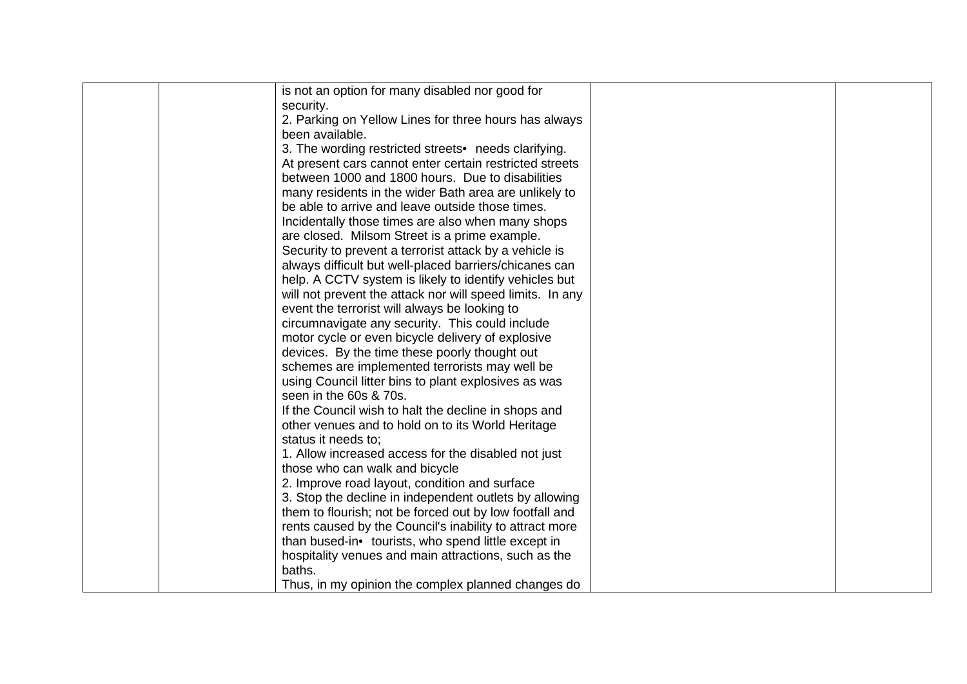|  | is not an option for many disabled nor good for           |  |
|--|-----------------------------------------------------------|--|
|  | security.                                                 |  |
|  | 2. Parking on Yellow Lines for three hours has always     |  |
|  | been available.                                           |  |
|  |                                                           |  |
|  | 3. The wording restricted streets• needs clarifying.      |  |
|  | At present cars cannot enter certain restricted streets   |  |
|  | between 1000 and 1800 hours. Due to disabilities          |  |
|  | many residents in the wider Bath area are unlikely to     |  |
|  | be able to arrive and leave outside those times.          |  |
|  | Incidentally those times are also when many shops         |  |
|  | are closed. Milsom Street is a prime example.             |  |
|  | Security to prevent a terrorist attack by a vehicle is    |  |
|  | always difficult but well-placed barriers/chicanes can    |  |
|  | help. A CCTV system is likely to identify vehicles but    |  |
|  | will not prevent the attack nor will speed limits. In any |  |
|  | event the terrorist will always be looking to             |  |
|  | circumnavigate any security. This could include           |  |
|  | motor cycle or even bicycle delivery of explosive         |  |
|  | devices. By the time these poorly thought out             |  |
|  | schemes are implemented terrorists may well be            |  |
|  | using Council litter bins to plant explosives as was      |  |
|  | seen in the 60s & 70s.                                    |  |
|  | If the Council wish to halt the decline in shops and      |  |
|  | other venues and to hold on to its World Heritage         |  |
|  | status it needs to:                                       |  |
|  | 1. Allow increased access for the disabled not just       |  |
|  | those who can walk and bicycle                            |  |
|  |                                                           |  |
|  | 2. Improve road layout, condition and surface             |  |
|  | 3. Stop the decline in independent outlets by allowing    |  |
|  | them to flourish; not be forced out by low footfall and   |  |
|  | rents caused by the Council's inability to attract more   |  |
|  | than bused-in• tourists, who spend little except in       |  |
|  | hospitality venues and main attractions, such as the      |  |
|  | baths.                                                    |  |
|  | Thus, in my opinion the complex planned changes do        |  |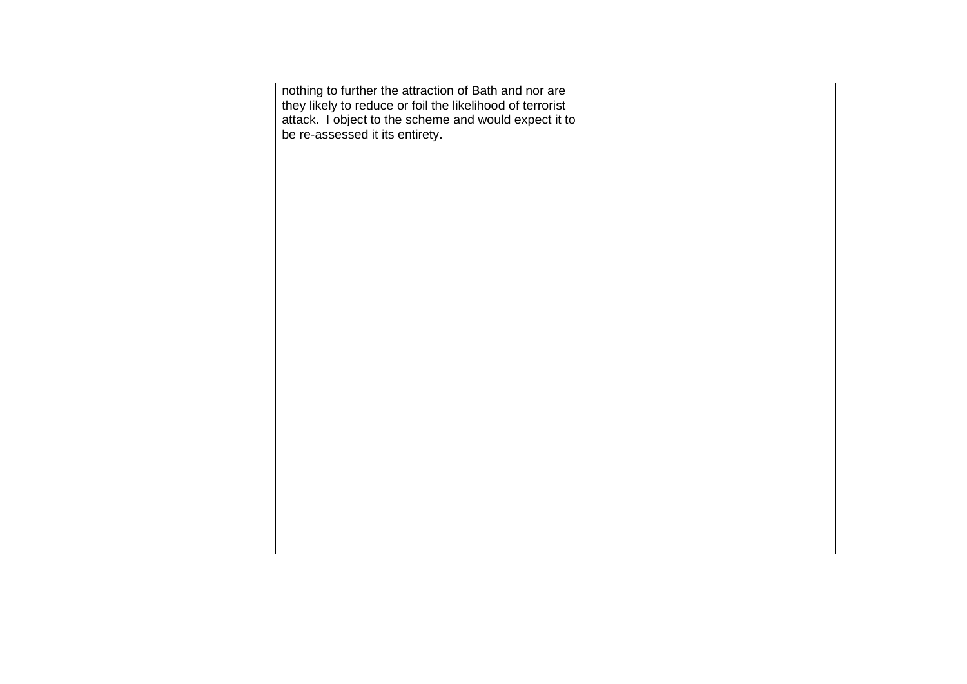|  | nothing to further the attraction of Bath and nor are<br>they likely to reduce or foil the likelihood of terrorist<br>attack. I object to the scheme and would expect it to<br>be re-assessed it its entirety. |  |
|--|----------------------------------------------------------------------------------------------------------------------------------------------------------------------------------------------------------------|--|
|  |                                                                                                                                                                                                                |  |
|  |                                                                                                                                                                                                                |  |
|  |                                                                                                                                                                                                                |  |
|  |                                                                                                                                                                                                                |  |
|  |                                                                                                                                                                                                                |  |
|  |                                                                                                                                                                                                                |  |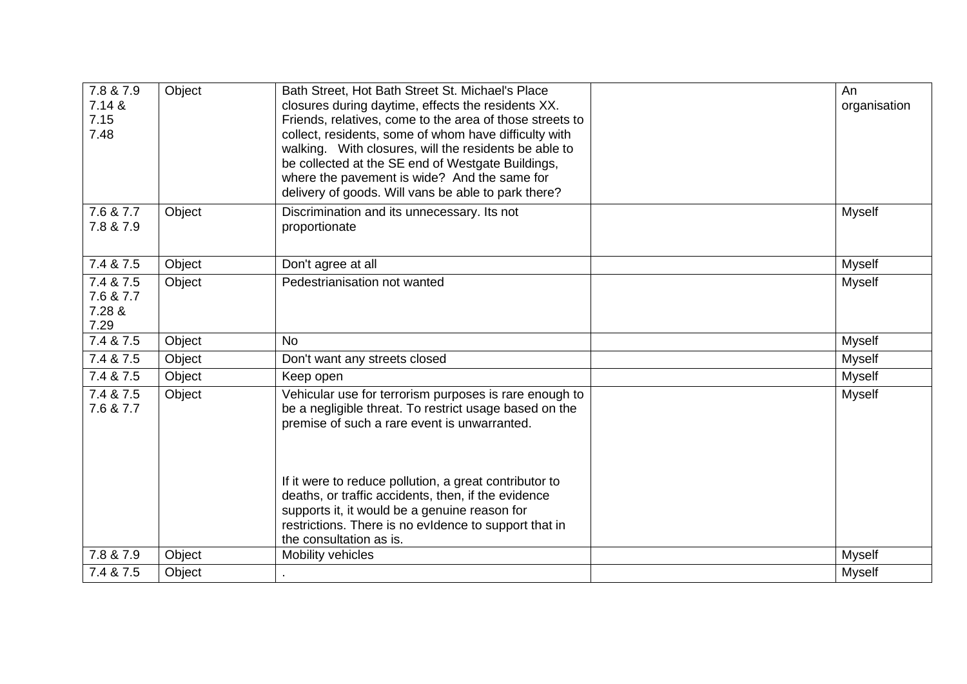| 7.8 & 7.9<br>7.14 &<br>7.15<br>7.48      | Object | Bath Street, Hot Bath Street St. Michael's Place<br>closures during daytime, effects the residents XX.<br>Friends, relatives, come to the area of those streets to<br>collect, residents, some of whom have difficulty with<br>walking. With closures, will the residents be able to<br>be collected at the SE end of Westgate Buildings,<br>where the pavement is wide? And the same for<br>delivery of goods. Will vans be able to park there? | An<br>organisation |
|------------------------------------------|--------|--------------------------------------------------------------------------------------------------------------------------------------------------------------------------------------------------------------------------------------------------------------------------------------------------------------------------------------------------------------------------------------------------------------------------------------------------|--------------------|
| 7.6 & 7.7<br>7.8 & 7.9                   | Object | Discrimination and its unnecessary. Its not<br>proportionate                                                                                                                                                                                                                                                                                                                                                                                     | Myself             |
| 7.4 & 7.5                                | Object | Don't agree at all                                                                                                                                                                                                                                                                                                                                                                                                                               | Myself             |
| 7.4 & 7.5<br>7.6 & 7.7<br>7.28 &<br>7.29 | Object | Pedestrianisation not wanted                                                                                                                                                                                                                                                                                                                                                                                                                     | <b>Myself</b>      |
| 7.4 & 7.5                                | Object | <b>No</b>                                                                                                                                                                                                                                                                                                                                                                                                                                        | <b>Myself</b>      |
| 7.4 & 7.5                                | Object | Don't want any streets closed                                                                                                                                                                                                                                                                                                                                                                                                                    | <b>Myself</b>      |
| 7.4 & 7.5                                | Object | Keep open                                                                                                                                                                                                                                                                                                                                                                                                                                        | <b>Myself</b>      |
| 7.4 & 7.5<br>7.6 & 7.7                   | Object | Vehicular use for terrorism purposes is rare enough to<br>be a negligible threat. To restrict usage based on the<br>premise of such a rare event is unwarranted.<br>If it were to reduce pollution, a great contributor to<br>deaths, or traffic accidents, then, if the evidence<br>supports it, it would be a genuine reason for<br>restrictions. There is no evidence to support that in<br>the consultation as is.                           | Myself             |
| 7.8 & 7.9                                | Object | Mobility vehicles                                                                                                                                                                                                                                                                                                                                                                                                                                | <b>Myself</b>      |
| 7.4 & 7.5                                | Object |                                                                                                                                                                                                                                                                                                                                                                                                                                                  | <b>Myself</b>      |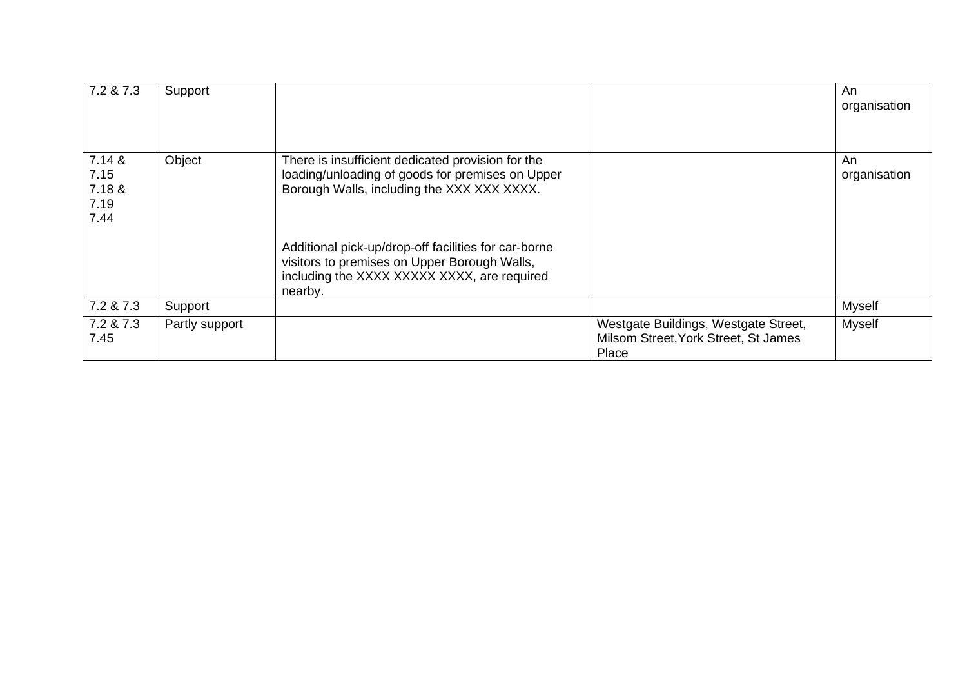| 7.2 & 7.3                                | Support        |                                                                                                                                                                |                                                                                       | An<br>organisation |
|------------------------------------------|----------------|----------------------------------------------------------------------------------------------------------------------------------------------------------------|---------------------------------------------------------------------------------------|--------------------|
| 7.14 &<br>7.15<br>7.18 &<br>7.19<br>7.44 | Object         | There is insufficient dedicated provision for the<br>loading/unloading of goods for premises on Upper<br>Borough Walls, including the XXX XXX XXXX.            |                                                                                       | An<br>organisation |
|                                          |                | Additional pick-up/drop-off facilities for car-borne<br>visitors to premises on Upper Borough Walls,<br>including the XXXX XXXXX XXXX, are required<br>nearby. |                                                                                       |                    |
| 7.2 & 7.3                                | Support        |                                                                                                                                                                |                                                                                       | <b>Myself</b>      |
| 7.2 & 7.3<br>7.45                        | Partly support |                                                                                                                                                                | Westgate Buildings, Westgate Street,<br>Milsom Street, York Street, St James<br>Place | <b>Myself</b>      |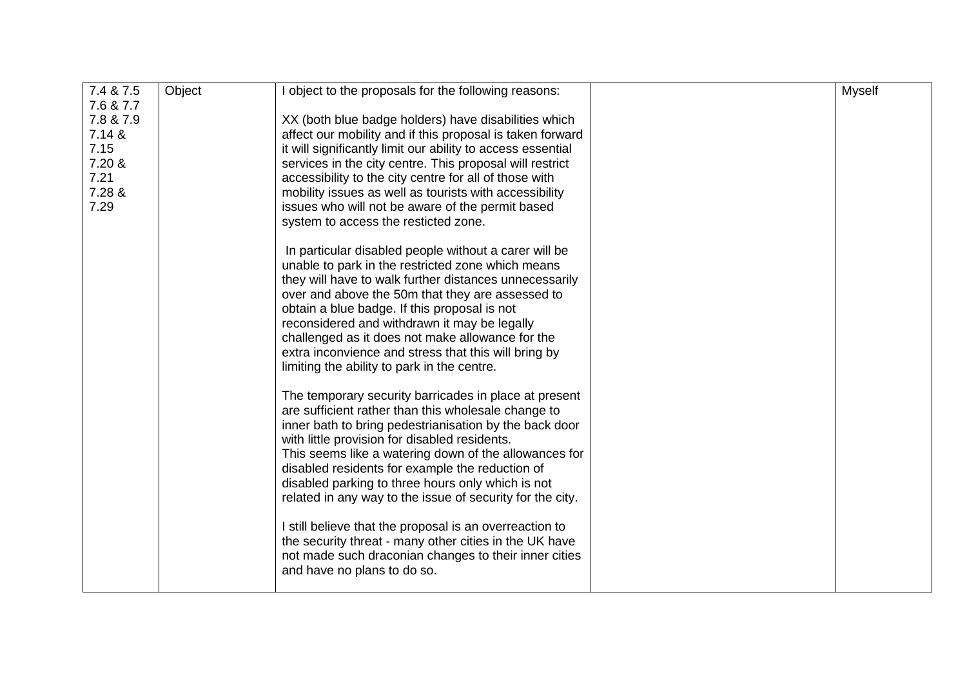| 7.4 & 7.5 | Object | object to the proposals for the following reasons:          | <b>Myself</b> |
|-----------|--------|-------------------------------------------------------------|---------------|
| 7.6 & 7.7 |        |                                                             |               |
| 7.8 & 7.9 |        | XX (both blue badge holders) have disabilities which        |               |
| 7.14 &    |        | affect our mobility and if this proposal is taken forward   |               |
| 7.15      |        | it will significantly limit our ability to access essential |               |
| 7.20 &    |        | services in the city centre. This proposal will restrict    |               |
| 7.21      |        | accessibility to the city centre for all of those with      |               |
| 7.28 &    |        | mobility issues as well as tourists with accessibility      |               |
| 7.29      |        | issues who will not be aware of the permit based            |               |
|           |        | system to access the resticted zone.                        |               |
|           |        | In particular disabled people without a carer will be       |               |
|           |        | unable to park in the restricted zone which means           |               |
|           |        | they will have to walk further distances unnecessarily      |               |
|           |        | over and above the 50m that they are assessed to            |               |
|           |        | obtain a blue badge. If this proposal is not                |               |
|           |        | reconsidered and withdrawn it may be legally                |               |
|           |        | challenged as it does not make allowance for the            |               |
|           |        | extra inconvience and stress that this will bring by        |               |
|           |        | limiting the ability to park in the centre.                 |               |
|           |        | The temporary security barricades in place at present       |               |
|           |        | are sufficient rather than this wholesale change to         |               |
|           |        | inner bath to bring pedestrianisation by the back door      |               |
|           |        | with little provision for disabled residents.               |               |
|           |        | This seems like a watering down of the allowances for       |               |
|           |        | disabled residents for example the reduction of             |               |
|           |        | disabled parking to three hours only which is not           |               |
|           |        | related in any way to the issue of security for the city.   |               |
|           |        | I still believe that the proposal is an overreaction to     |               |
|           |        | the security threat - many other cities in the UK have      |               |
|           |        | not made such draconian changes to their inner cities       |               |
|           |        | and have no plans to do so.                                 |               |
|           |        |                                                             |               |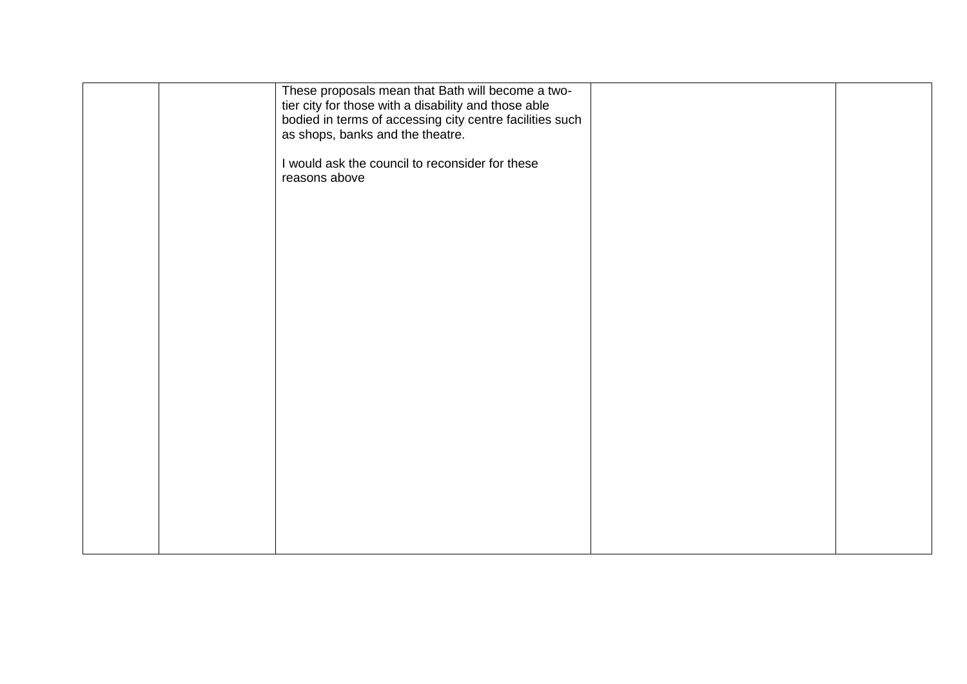|  | These proposals mean that Bath will become a two-<br>tier city for those with a disability and those able<br>bodied in terms of accessing city centre facilities such<br>as shops, banks and the theatre. |  |
|--|-----------------------------------------------------------------------------------------------------------------------------------------------------------------------------------------------------------|--|
|  | I would ask the council to reconsider for these<br>reasons above                                                                                                                                          |  |
|  |                                                                                                                                                                                                           |  |
|  |                                                                                                                                                                                                           |  |
|  |                                                                                                                                                                                                           |  |
|  |                                                                                                                                                                                                           |  |
|  |                                                                                                                                                                                                           |  |
|  |                                                                                                                                                                                                           |  |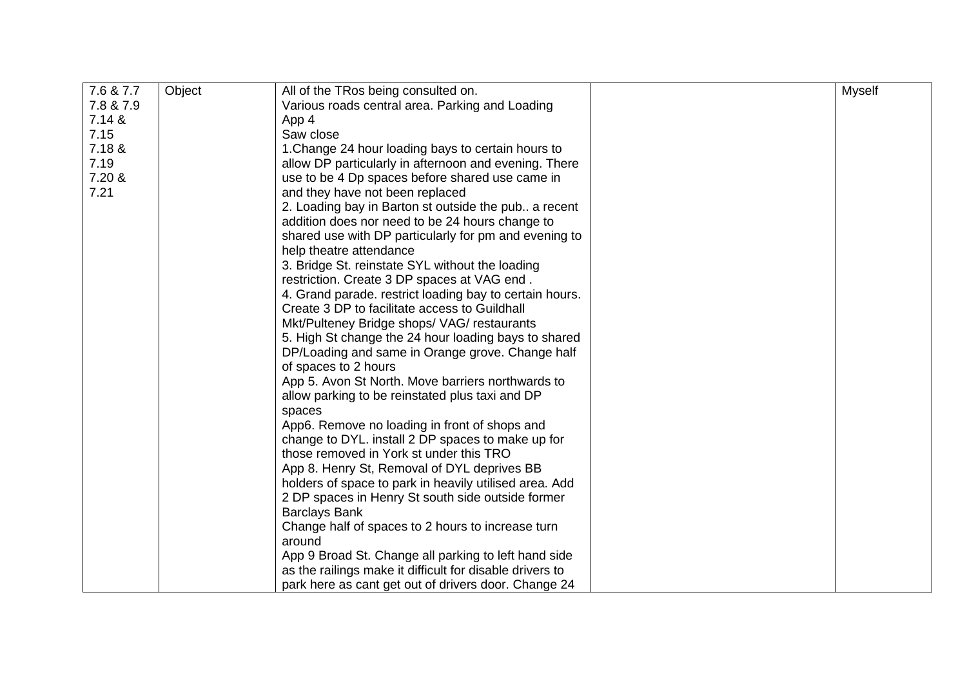| 7.6 & 7.7 | Object | All of the TRos being consulted on.                      | <b>Myself</b> |
|-----------|--------|----------------------------------------------------------|---------------|
| 7.8 & 7.9 |        | Various roads central area. Parking and Loading          |               |
| 7.14 &    |        | App 4                                                    |               |
| 7.15      |        | Saw close                                                |               |
| 7.18 &    |        | 1. Change 24 hour loading bays to certain hours to       |               |
| 7.19      |        | allow DP particularly in afternoon and evening. There    |               |
| 7.20 &    |        | use to be 4 Dp spaces before shared use came in          |               |
| 7.21      |        | and they have not been replaced                          |               |
|           |        | 2. Loading bay in Barton st outside the pub a recent     |               |
|           |        | addition does nor need to be 24 hours change to          |               |
|           |        | shared use with DP particularly for pm and evening to    |               |
|           |        | help theatre attendance                                  |               |
|           |        | 3. Bridge St. reinstate SYL without the loading          |               |
|           |        | restriction. Create 3 DP spaces at VAG end.              |               |
|           |        | 4. Grand parade. restrict loading bay to certain hours.  |               |
|           |        | Create 3 DP to facilitate access to Guildhall            |               |
|           |        | Mkt/Pulteney Bridge shops/ VAG/ restaurants              |               |
|           |        | 5. High St change the 24 hour loading bays to shared     |               |
|           |        | DP/Loading and same in Orange grove. Change half         |               |
|           |        | of spaces to 2 hours                                     |               |
|           |        | App 5. Avon St North. Move barriers northwards to        |               |
|           |        | allow parking to be reinstated plus taxi and DP          |               |
|           |        | spaces                                                   |               |
|           |        | App6. Remove no loading in front of shops and            |               |
|           |        | change to DYL. install 2 DP spaces to make up for        |               |
|           |        | those removed in York st under this TRO                  |               |
|           |        | App 8. Henry St, Removal of DYL deprives BB              |               |
|           |        | holders of space to park in heavily utilised area. Add   |               |
|           |        | 2 DP spaces in Henry St south side outside former        |               |
|           |        | <b>Barclays Bank</b>                                     |               |
|           |        | Change half of spaces to 2 hours to increase turn        |               |
|           |        | around                                                   |               |
|           |        | App 9 Broad St. Change all parking to left hand side     |               |
|           |        | as the railings make it difficult for disable drivers to |               |
|           |        | park here as cant get out of drivers door. Change 24     |               |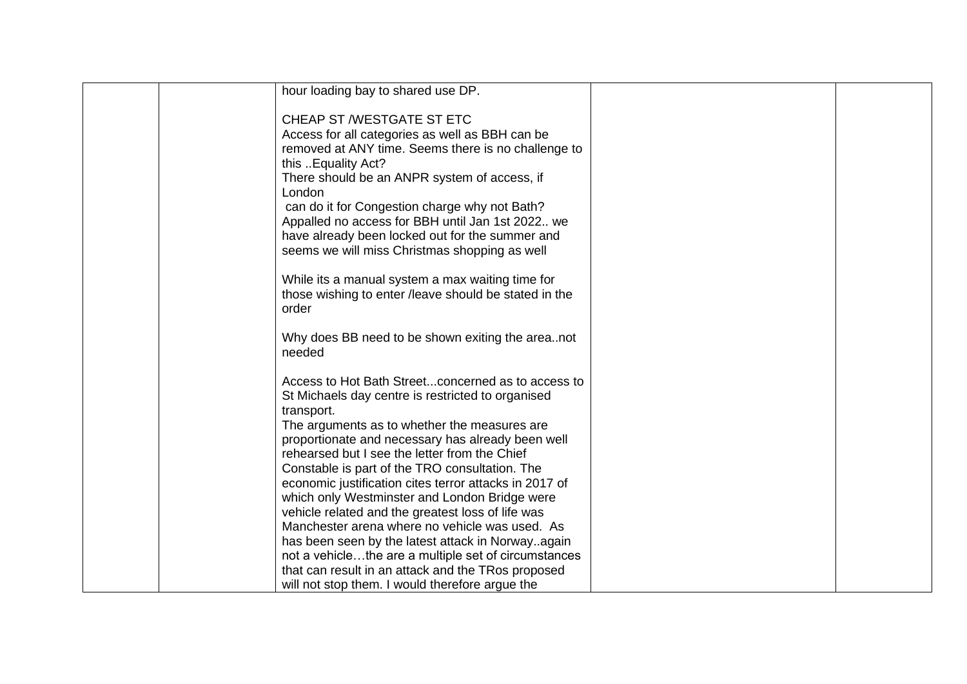| hour loading bay to shared use DP.                                                                 |  |
|----------------------------------------------------------------------------------------------------|--|
|                                                                                                    |  |
| CHEAP ST /WESTGATE ST ETC                                                                          |  |
| Access for all categories as well as BBH can be                                                    |  |
| removed at ANY time. Seems there is no challenge to                                                |  |
| this Equality Act?                                                                                 |  |
| There should be an ANPR system of access, if                                                       |  |
| London                                                                                             |  |
| can do it for Congestion charge why not Bath?                                                      |  |
| Appalled no access for BBH until Jan 1st 2022 we                                                   |  |
| have already been locked out for the summer and<br>seems we will miss Christmas shopping as well   |  |
|                                                                                                    |  |
| While its a manual system a max waiting time for                                                   |  |
| those wishing to enter /leave should be stated in the                                              |  |
| order                                                                                              |  |
|                                                                                                    |  |
| Why does BB need to be shown exiting the areanot                                                   |  |
| needed                                                                                             |  |
|                                                                                                    |  |
| Access to Hot Bath Streetconcerned as to access to                                                 |  |
| St Michaels day centre is restricted to organised                                                  |  |
| transport.                                                                                         |  |
| The arguments as to whether the measures are                                                       |  |
| proportionate and necessary has already been well<br>rehearsed but I see the letter from the Chief |  |
| Constable is part of the TRO consultation. The                                                     |  |
| economic justification cites terror attacks in 2017 of                                             |  |
| which only Westminster and London Bridge were                                                      |  |
| vehicle related and the greatest loss of life was                                                  |  |
| Manchester arena where no vehicle was used. As                                                     |  |
| has been seen by the latest attack in Norwayagain                                                  |  |
| not a vehiclethe are a multiple set of circumstances                                               |  |
| that can result in an attack and the TRos proposed                                                 |  |
| will not stop them. I would therefore argue the                                                    |  |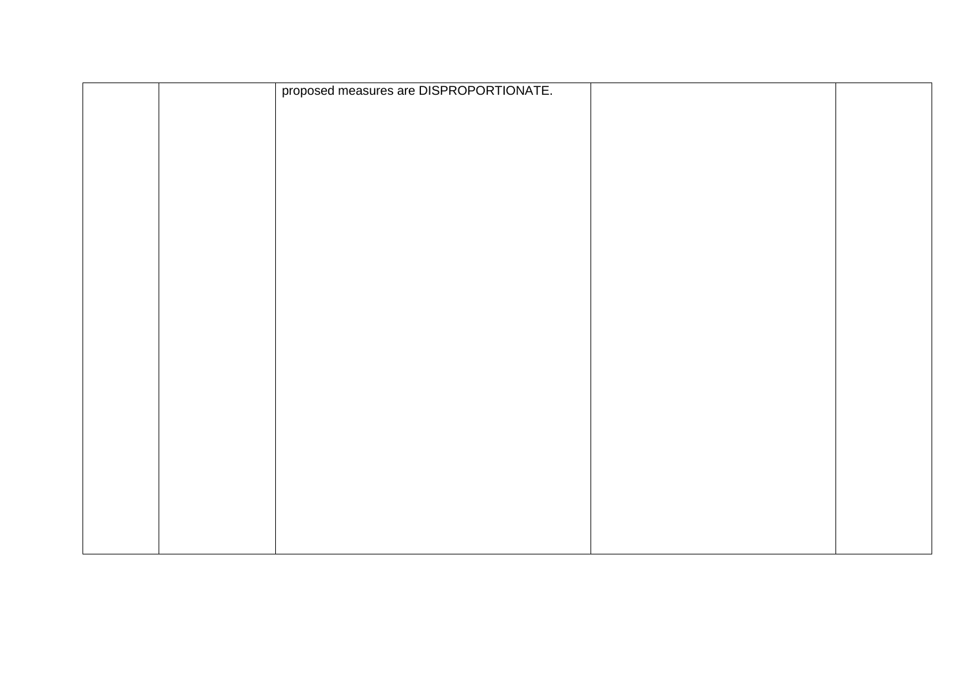|  | proposed measures are DISPROPORTIONATE. |  |
|--|-----------------------------------------|--|
|  |                                         |  |
|  |                                         |  |
|  |                                         |  |
|  |                                         |  |
|  |                                         |  |
|  |                                         |  |
|  |                                         |  |
|  |                                         |  |
|  |                                         |  |
|  |                                         |  |
|  |                                         |  |
|  |                                         |  |
|  |                                         |  |
|  |                                         |  |
|  |                                         |  |
|  |                                         |  |
|  |                                         |  |
|  |                                         |  |
|  |                                         |  |
|  |                                         |  |
|  |                                         |  |
|  |                                         |  |
|  |                                         |  |
|  |                                         |  |
|  |                                         |  |
|  |                                         |  |
|  |                                         |  |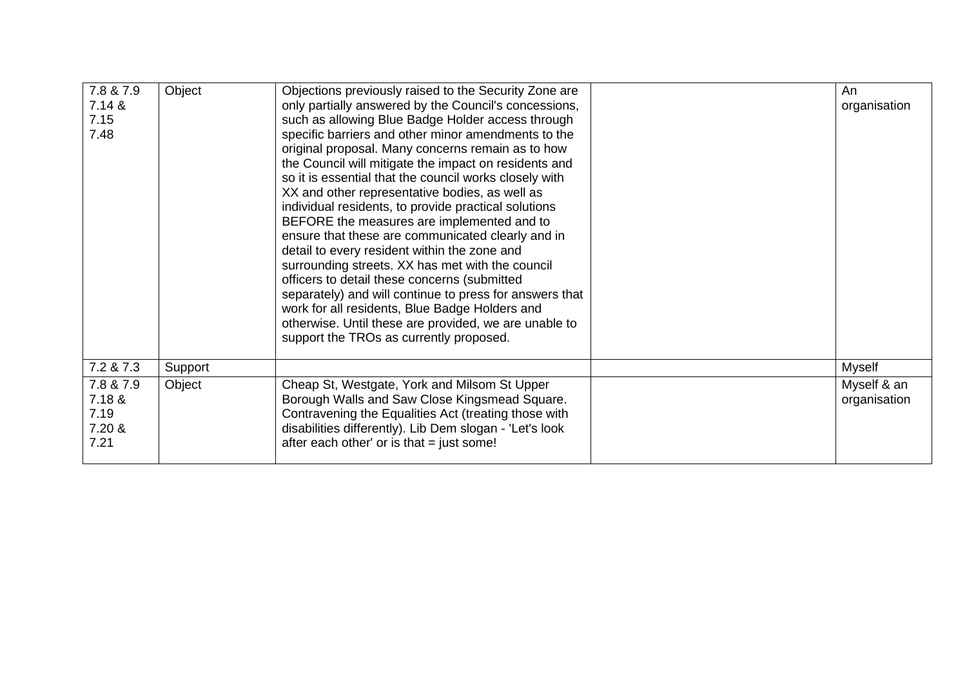| 7.8 & 7.9<br>7.14 &<br>7.15<br>7.48           | Object  | Objections previously raised to the Security Zone are<br>only partially answered by the Council's concessions,<br>such as allowing Blue Badge Holder access through<br>specific barriers and other minor amendments to the<br>original proposal. Many concerns remain as to how<br>the Council will mitigate the impact on residents and<br>so it is essential that the council works closely with<br>XX and other representative bodies, as well as<br>individual residents, to provide practical solutions<br>BEFORE the measures are implemented and to<br>ensure that these are communicated clearly and in<br>detail to every resident within the zone and<br>surrounding streets. XX has met with the council<br>officers to detail these concerns (submitted<br>separately) and will continue to press for answers that<br>work for all residents, Blue Badge Holders and<br>otherwise. Until these are provided, we are unable to<br>support the TROs as currently proposed. | An<br>organisation          |
|-----------------------------------------------|---------|--------------------------------------------------------------------------------------------------------------------------------------------------------------------------------------------------------------------------------------------------------------------------------------------------------------------------------------------------------------------------------------------------------------------------------------------------------------------------------------------------------------------------------------------------------------------------------------------------------------------------------------------------------------------------------------------------------------------------------------------------------------------------------------------------------------------------------------------------------------------------------------------------------------------------------------------------------------------------------------|-----------------------------|
| 7.2 & 7.3                                     | Support |                                                                                                                                                                                                                                                                                                                                                                                                                                                                                                                                                                                                                                                                                                                                                                                                                                                                                                                                                                                      | Myself                      |
| 7.8 & 7.9<br>7.18 &<br>7.19<br>7.20 &<br>7.21 | Object  | Cheap St, Westgate, York and Milsom St Upper<br>Borough Walls and Saw Close Kingsmead Square.<br>Contravening the Equalities Act (treating those with<br>disabilities differently). Lib Dem slogan - 'Let's look<br>after each other' or is that = just some!                                                                                                                                                                                                                                                                                                                                                                                                                                                                                                                                                                                                                                                                                                                        | Myself & an<br>organisation |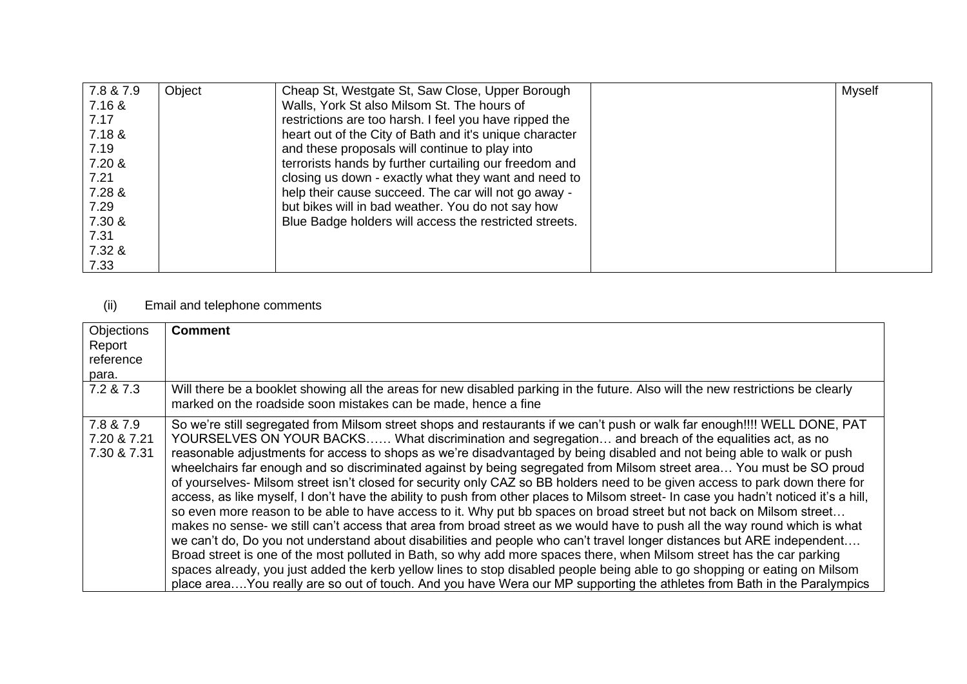| 7.8 & 7.9 | Object | Cheap St, Westgate St, Saw Close, Upper Borough         | Myself |
|-----------|--------|---------------------------------------------------------|--------|
| 7.16 &    |        | Walls, York St also Milsom St. The hours of             |        |
| 7.17      |        | restrictions are too harsh. I feel you have ripped the  |        |
| 7.18 &    |        | heart out of the City of Bath and it's unique character |        |
| 7.19      |        | and these proposals will continue to play into          |        |
| 7.20 &    |        | terrorists hands by further curtailing our freedom and  |        |
| 7.21      |        | closing us down - exactly what they want and need to    |        |
| 7.28 &    |        | help their cause succeed. The car will not go away -    |        |
| 7.29      |        | but bikes will in bad weather. You do not say how       |        |
| 7.30 &    |        | Blue Badge holders will access the restricted streets.  |        |
| 7.31      |        |                                                         |        |
| 7.32 &    |        |                                                         |        |
| 7.33      |        |                                                         |        |

## (ii) Email and telephone comments

| <b>Objections</b> | <b>Comment</b>                                                                                                                                                                                    |
|-------------------|---------------------------------------------------------------------------------------------------------------------------------------------------------------------------------------------------|
| Report            |                                                                                                                                                                                                   |
| reference         |                                                                                                                                                                                                   |
|                   |                                                                                                                                                                                                   |
| para.             |                                                                                                                                                                                                   |
| 7.2 & 7.3         | Will there be a booklet showing all the areas for new disabled parking in the future. Also will the new restrictions be clearly<br>marked on the roadside soon mistakes can be made, hence a fine |
| 7.8 & 7.9         | So we're still segregated from Milsom street shops and restaurants if we can't push or walk far enough!!!! WELL DONE, PAT                                                                         |
| 7.20 & 7.21       | YOURSELVES ON YOUR BACKS What discrimination and segregation and breach of the equalities act, as no                                                                                              |
| 7.30 & 7.31       | reasonable adjustments for access to shops as we're disadvantaged by being disabled and not being able to walk or push                                                                            |
|                   |                                                                                                                                                                                                   |
|                   | wheelchairs far enough and so discriminated against by being segregated from Milsom street area You must be SO proud                                                                              |
|                   | of yourselves- Milsom street isn't closed for security only CAZ so BB holders need to be given access to park down there for                                                                      |
|                   | access, as like myself, I don't have the ability to push from other places to Milsom street- In case you hadn't noticed it's a hill,                                                              |
|                   | so even more reason to be able to have access to it. Why put bb spaces on broad street but not back on Milsom street                                                                              |
|                   | makes no sense- we still can't access that area from broad street as we would have to push all the way round which is what                                                                        |
|                   |                                                                                                                                                                                                   |
|                   | we can't do, Do you not understand about disabilities and people who can't travel longer distances but ARE independent                                                                            |
|                   | Broad street is one of the most polluted in Bath, so why add more spaces there, when Milsom street has the car parking                                                                            |
|                   | spaces already, you just added the kerb yellow lines to stop disabled people being able to go shopping or eating on Milsom                                                                        |
|                   | place areaYou really are so out of touch. And you have Wera our MP supporting the athletes from Bath in the Paralympics                                                                           |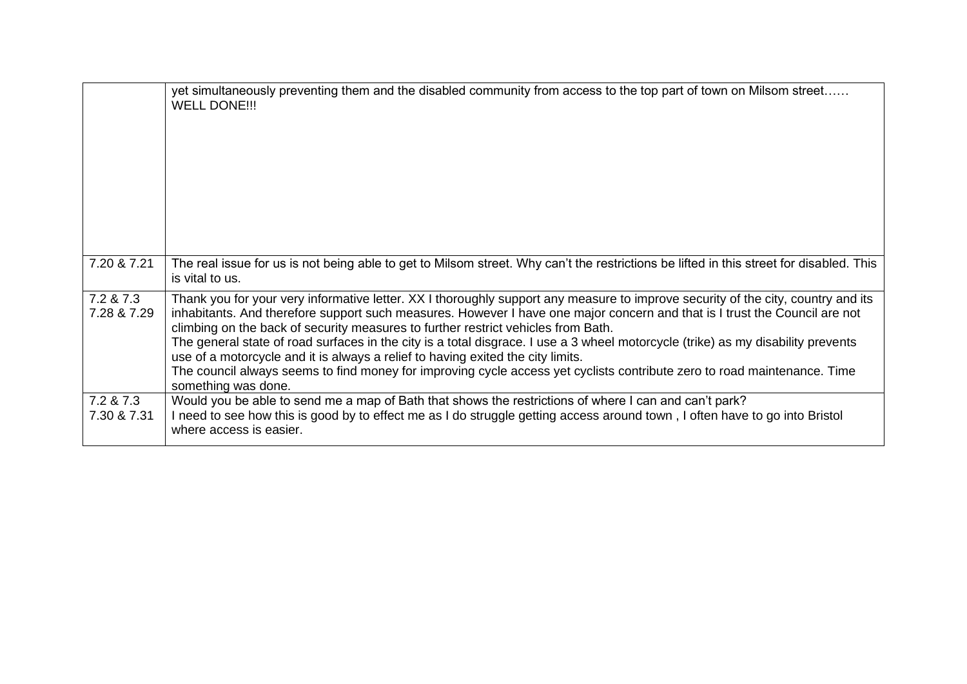|                          | yet simultaneously preventing them and the disabled community from access to the top part of town on Milsom street<br><b>WELL DONE!!!</b>                                                                                                                                                                                                                                                                                                                                                                                                                                                                                                                                                                                     |
|--------------------------|-------------------------------------------------------------------------------------------------------------------------------------------------------------------------------------------------------------------------------------------------------------------------------------------------------------------------------------------------------------------------------------------------------------------------------------------------------------------------------------------------------------------------------------------------------------------------------------------------------------------------------------------------------------------------------------------------------------------------------|
| 7.20 & 7.21              | The real issue for us is not being able to get to Milsom street. Why can't the restrictions be lifted in this street for disabled. This<br>is vital to us.                                                                                                                                                                                                                                                                                                                                                                                                                                                                                                                                                                    |
| 7.2 & 7.3<br>7.28 & 7.29 | Thank you for your very informative letter. XX I thoroughly support any measure to improve security of the city, country and its<br>inhabitants. And therefore support such measures. However I have one major concern and that is I trust the Council are not<br>climbing on the back of security measures to further restrict vehicles from Bath.<br>The general state of road surfaces in the city is a total disgrace. I use a 3 wheel motorcycle (trike) as my disability prevents<br>use of a motorcycle and it is always a relief to having exited the city limits.<br>The council always seems to find money for improving cycle access yet cyclists contribute zero to road maintenance. Time<br>something was done. |
| 7.2 & 7.3<br>7.30 & 7.31 | Would you be able to send me a map of Bath that shows the restrictions of where I can and can't park?<br>I need to see how this is good by to effect me as I do struggle getting access around town, I often have to go into Bristol<br>where access is easier.                                                                                                                                                                                                                                                                                                                                                                                                                                                               |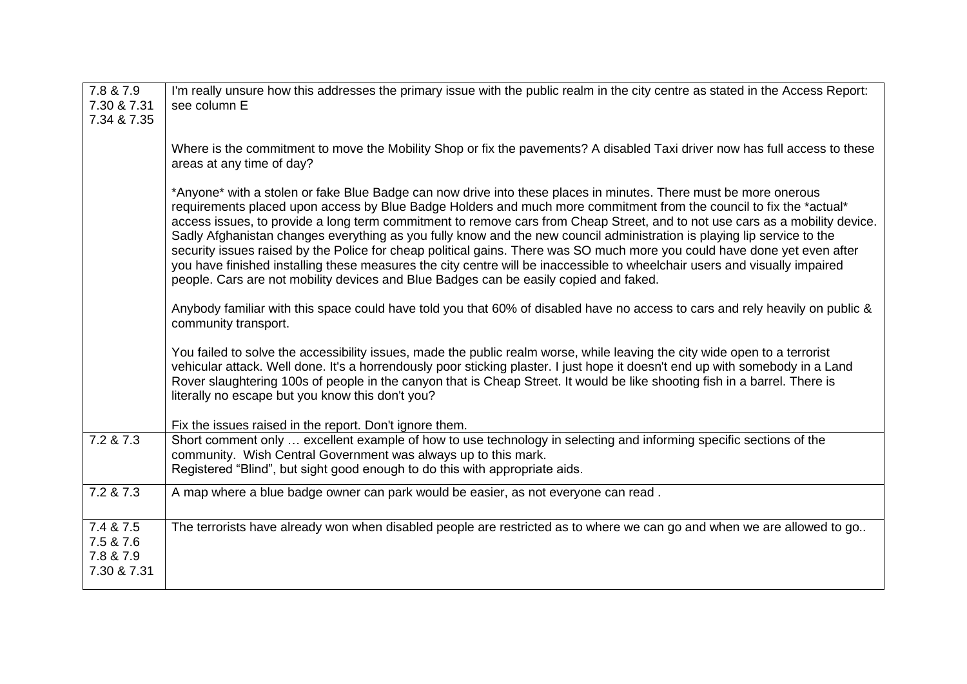| 7.8 & 7.9<br>7.30 & 7.31<br>7.34 & 7.35            | I'm really unsure how this addresses the primary issue with the public realm in the city centre as stated in the Access Report:<br>see column E                                                                                                                                                                                                                                                                                                                                                                                                                                                                                                                                                                                                                                                                                                        |
|----------------------------------------------------|--------------------------------------------------------------------------------------------------------------------------------------------------------------------------------------------------------------------------------------------------------------------------------------------------------------------------------------------------------------------------------------------------------------------------------------------------------------------------------------------------------------------------------------------------------------------------------------------------------------------------------------------------------------------------------------------------------------------------------------------------------------------------------------------------------------------------------------------------------|
|                                                    | Where is the commitment to move the Mobility Shop or fix the pavements? A disabled Taxi driver now has full access to these<br>areas at any time of day?                                                                                                                                                                                                                                                                                                                                                                                                                                                                                                                                                                                                                                                                                               |
|                                                    | *Anyone* with a stolen or fake Blue Badge can now drive into these places in minutes. There must be more onerous<br>requirements placed upon access by Blue Badge Holders and much more commitment from the council to fix the *actual*<br>access issues, to provide a long term commitment to remove cars from Cheap Street, and to not use cars as a mobility device.<br>Sadly Afghanistan changes everything as you fully know and the new council administration is playing lip service to the<br>security issues raised by the Police for cheap political gains. There was SO much more you could have done yet even after<br>you have finished installing these measures the city centre will be inaccessible to wheelchair users and visually impaired<br>people. Cars are not mobility devices and Blue Badges can be easily copied and faked. |
|                                                    | Anybody familiar with this space could have told you that 60% of disabled have no access to cars and rely heavily on public &<br>community transport.                                                                                                                                                                                                                                                                                                                                                                                                                                                                                                                                                                                                                                                                                                  |
|                                                    | You failed to solve the accessibility issues, made the public realm worse, while leaving the city wide open to a terrorist<br>vehicular attack. Well done. It's a horrendously poor sticking plaster. I just hope it doesn't end up with somebody in a Land<br>Rover slaughtering 100s of people in the canyon that is Cheap Street. It would be like shooting fish in a barrel. There is<br>literally no escape but you know this don't you?                                                                                                                                                                                                                                                                                                                                                                                                          |
|                                                    | Fix the issues raised in the report. Don't ignore them.                                                                                                                                                                                                                                                                                                                                                                                                                                                                                                                                                                                                                                                                                                                                                                                                |
| 7.2 & 7.3                                          | Short comment only  excellent example of how to use technology in selecting and informing specific sections of the<br>community. Wish Central Government was always up to this mark.<br>Registered "Blind", but sight good enough to do this with appropriate aids.                                                                                                                                                                                                                                                                                                                                                                                                                                                                                                                                                                                    |
| 7.2 & 7.3                                          | A map where a blue badge owner can park would be easier, as not everyone can read.                                                                                                                                                                                                                                                                                                                                                                                                                                                                                                                                                                                                                                                                                                                                                                     |
| 7.4 & 7.5<br>7.5 & 7.6<br>7.8 & 7.9<br>7.30 & 7.31 | The terrorists have already won when disabled people are restricted as to where we can go and when we are allowed to go                                                                                                                                                                                                                                                                                                                                                                                                                                                                                                                                                                                                                                                                                                                                |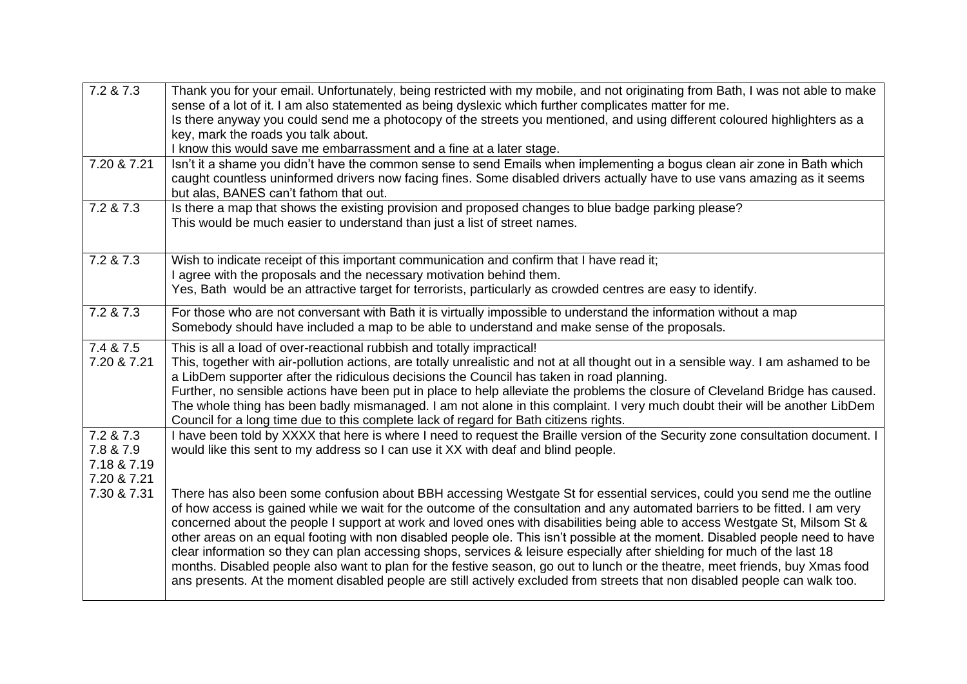| 7.2 & 7.3                  | Thank you for your email. Unfortunately, being restricted with my mobile, and not originating from Bath, I was not able to make                                                                                                                                                                                                                                                                                                                                                                                                                                                                                                                                                                                                                                                                                                                                                                                       |
|----------------------------|-----------------------------------------------------------------------------------------------------------------------------------------------------------------------------------------------------------------------------------------------------------------------------------------------------------------------------------------------------------------------------------------------------------------------------------------------------------------------------------------------------------------------------------------------------------------------------------------------------------------------------------------------------------------------------------------------------------------------------------------------------------------------------------------------------------------------------------------------------------------------------------------------------------------------|
|                            | sense of a lot of it. I am also statemented as being dyslexic which further complicates matter for me.<br>Is there anyway you could send me a photocopy of the streets you mentioned, and using different coloured highlighters as a                                                                                                                                                                                                                                                                                                                                                                                                                                                                                                                                                                                                                                                                                  |
|                            | key, mark the roads you talk about.                                                                                                                                                                                                                                                                                                                                                                                                                                                                                                                                                                                                                                                                                                                                                                                                                                                                                   |
|                            | I know this would save me embarrassment and a fine at a later stage.                                                                                                                                                                                                                                                                                                                                                                                                                                                                                                                                                                                                                                                                                                                                                                                                                                                  |
| 7.20 & 7.21                | Isn't it a shame you didn't have the common sense to send Emails when implementing a bogus clean air zone in Bath which<br>caught countless uninformed drivers now facing fines. Some disabled drivers actually have to use vans amazing as it seems<br>but alas, BANES can't fathom that out.                                                                                                                                                                                                                                                                                                                                                                                                                                                                                                                                                                                                                        |
| 7.2 & 7.3                  | Is there a map that shows the existing provision and proposed changes to blue badge parking please?<br>This would be much easier to understand than just a list of street names.                                                                                                                                                                                                                                                                                                                                                                                                                                                                                                                                                                                                                                                                                                                                      |
| 7.2 & 7.3                  | Wish to indicate receipt of this important communication and confirm that I have read it;                                                                                                                                                                                                                                                                                                                                                                                                                                                                                                                                                                                                                                                                                                                                                                                                                             |
|                            | I agree with the proposals and the necessary motivation behind them.                                                                                                                                                                                                                                                                                                                                                                                                                                                                                                                                                                                                                                                                                                                                                                                                                                                  |
|                            | Yes, Bath would be an attractive target for terrorists, particularly as crowded centres are easy to identify.                                                                                                                                                                                                                                                                                                                                                                                                                                                                                                                                                                                                                                                                                                                                                                                                         |
| 7.2 & 7.3                  | For those who are not conversant with Bath it is virtually impossible to understand the information without a map<br>Somebody should have included a map to be able to understand and make sense of the proposals.                                                                                                                                                                                                                                                                                                                                                                                                                                                                                                                                                                                                                                                                                                    |
| 7.4 & 7.5                  | This is all a load of over-reactional rubbish and totally impractical!                                                                                                                                                                                                                                                                                                                                                                                                                                                                                                                                                                                                                                                                                                                                                                                                                                                |
| 7.20 & 7.21                | This, together with air-pollution actions, are totally unrealistic and not at all thought out in a sensible way. I am ashamed to be<br>a LibDem supporter after the ridiculous decisions the Council has taken in road planning.                                                                                                                                                                                                                                                                                                                                                                                                                                                                                                                                                                                                                                                                                      |
|                            | Further, no sensible actions have been put in place to help alleviate the problems the closure of Cleveland Bridge has caused.<br>The whole thing has been badly mismanaged. I am not alone in this complaint. I very much doubt their will be another LibDem<br>Council for a long time due to this complete lack of regard for Bath citizens rights.                                                                                                                                                                                                                                                                                                                                                                                                                                                                                                                                                                |
| 7.2 & 7.3<br>7.8 & 7.9     | I have been told by XXXX that here is where I need to request the Braille version of the Security zone consultation document. I<br>would like this sent to my address so I can use it XX with deaf and blind people.                                                                                                                                                                                                                                                                                                                                                                                                                                                                                                                                                                                                                                                                                                  |
| 7.18 & 7.19                |                                                                                                                                                                                                                                                                                                                                                                                                                                                                                                                                                                                                                                                                                                                                                                                                                                                                                                                       |
| 7.20 & 7.21<br>7.30 & 7.31 |                                                                                                                                                                                                                                                                                                                                                                                                                                                                                                                                                                                                                                                                                                                                                                                                                                                                                                                       |
|                            | There has also been some confusion about BBH accessing Westgate St for essential services, could you send me the outline<br>of how access is gained while we wait for the outcome of the consultation and any automated barriers to be fitted. I am very<br>concerned about the people I support at work and loved ones with disabilities being able to access Westgate St, Milsom St &<br>other areas on an equal footing with non disabled people ole. This isn't possible at the moment. Disabled people need to have<br>clear information so they can plan accessing shops, services & leisure especially after shielding for much of the last 18<br>months. Disabled people also want to plan for the festive season, go out to lunch or the theatre, meet friends, buy Xmas food<br>ans presents. At the moment disabled people are still actively excluded from streets that non disabled people can walk too. |
|                            |                                                                                                                                                                                                                                                                                                                                                                                                                                                                                                                                                                                                                                                                                                                                                                                                                                                                                                                       |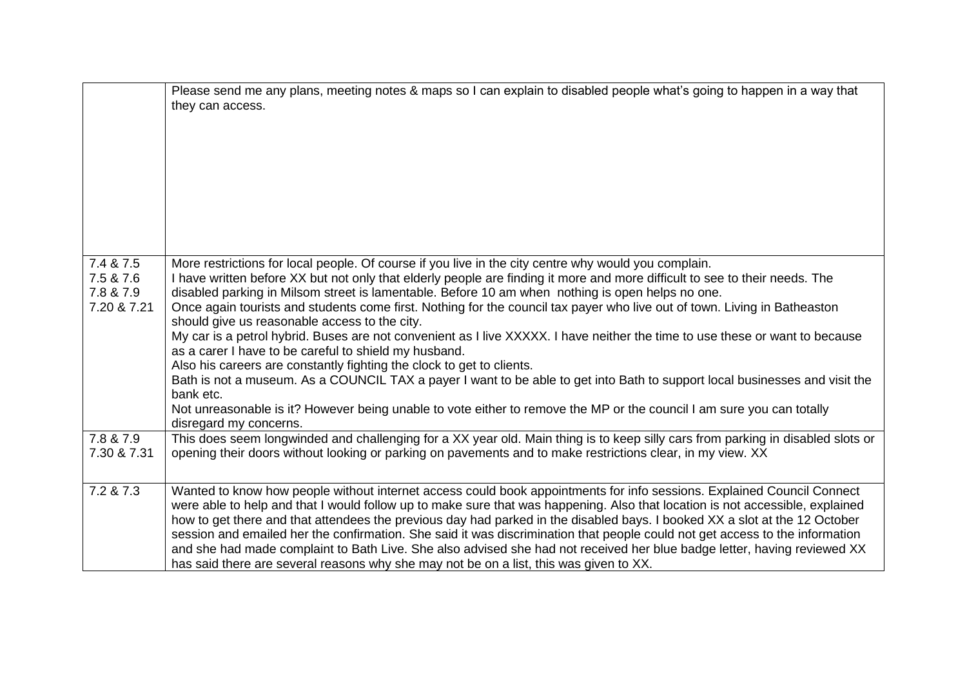|                                                    | Please send me any plans, meeting notes & maps so I can explain to disabled people what's going to happen in a way that<br>they can access.                                                                                                                                                                                                                                                                                                                                                                                                                                                                                                                                                                                                                                                                                                                                                                                                                                                                                                                                            |
|----------------------------------------------------|----------------------------------------------------------------------------------------------------------------------------------------------------------------------------------------------------------------------------------------------------------------------------------------------------------------------------------------------------------------------------------------------------------------------------------------------------------------------------------------------------------------------------------------------------------------------------------------------------------------------------------------------------------------------------------------------------------------------------------------------------------------------------------------------------------------------------------------------------------------------------------------------------------------------------------------------------------------------------------------------------------------------------------------------------------------------------------------|
| 7.4 & 7.5<br>7.5 & 7.6<br>7.8 & 7.9<br>7.20 & 7.21 | More restrictions for local people. Of course if you live in the city centre why would you complain.<br>I have written before XX but not only that elderly people are finding it more and more difficult to see to their needs. The<br>disabled parking in Milsom street is lamentable. Before 10 am when nothing is open helps no one.<br>Once again tourists and students come first. Nothing for the council tax payer who live out of town. Living in Batheaston<br>should give us reasonable access to the city.<br>My car is a petrol hybrid. Buses are not convenient as I live XXXXX. I have neither the time to use these or want to because<br>as a carer I have to be careful to shield my husband.<br>Also his careers are constantly fighting the clock to get to clients.<br>Bath is not a museum. As a COUNCIL TAX a payer I want to be able to get into Bath to support local businesses and visit the<br>bank etc.<br>Not unreasonable is it? However being unable to vote either to remove the MP or the council I am sure you can totally<br>disregard my concerns. |
| 7.8 & 7.9<br>7.30 & 7.31                           | This does seem longwinded and challenging for a XX year old. Main thing is to keep silly cars from parking in disabled slots or<br>opening their doors without looking or parking on pavements and to make restrictions clear, in my view. XX                                                                                                                                                                                                                                                                                                                                                                                                                                                                                                                                                                                                                                                                                                                                                                                                                                          |
| 7.2 & 7.3                                          | Wanted to know how people without internet access could book appointments for info sessions. Explained Council Connect<br>were able to help and that I would follow up to make sure that was happening. Also that location is not accessible, explained<br>how to get there and that attendees the previous day had parked in the disabled bays. I booked XX a slot at the 12 October<br>session and emailed her the confirmation. She said it was discrimination that people could not get access to the information<br>and she had made complaint to Bath Live. She also advised she had not received her blue badge letter, having reviewed XX<br>has said there are several reasons why she may not be on a list, this was given to XX.                                                                                                                                                                                                                                                                                                                                            |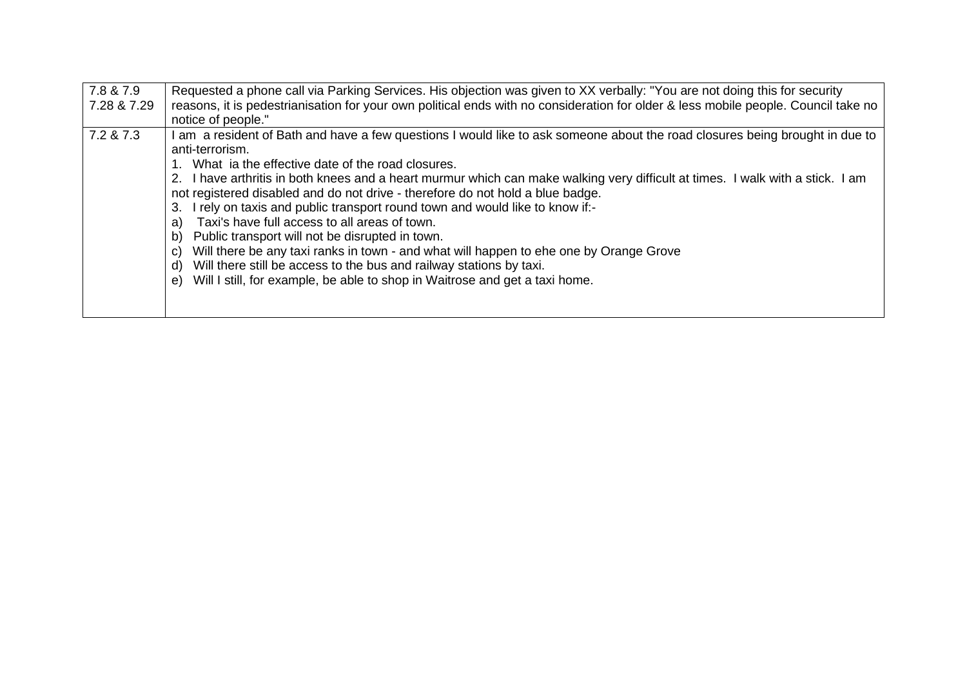| 7.8 & 7.9<br>7.28 & 7.29 | Requested a phone call via Parking Services. His objection was given to XX verbally: "You are not doing this for security<br>reasons, it is pedestrianisation for your own political ends with no consideration for older & less mobile people. Council take no<br>notice of people."                                                                                                                                                                                                                                                                                                                                                                                                                                                                                                                                                                                                     |
|--------------------------|-------------------------------------------------------------------------------------------------------------------------------------------------------------------------------------------------------------------------------------------------------------------------------------------------------------------------------------------------------------------------------------------------------------------------------------------------------------------------------------------------------------------------------------------------------------------------------------------------------------------------------------------------------------------------------------------------------------------------------------------------------------------------------------------------------------------------------------------------------------------------------------------|
| 7.2 & 7.3                | am a resident of Bath and have a few questions I would like to ask someone about the road closures being brought in due to<br>anti-terrorism.<br>What ia the effective date of the road closures.<br>2. I have arthritis in both knees and a heart murmur which can make walking very difficult at times. I walk with a stick. I am<br>not registered disabled and do not drive - therefore do not hold a blue badge.<br>3. I rely on taxis and public transport round town and would like to know if:-<br>Taxi's have full access to all areas of town.<br>a)<br>Public transport will not be disrupted in town.<br>b)<br>Will there be any taxi ranks in town - and what will happen to ehe one by Orange Grove<br>C)<br>Will there still be access to the bus and railway stations by taxi.<br>d)<br>Will I still, for example, be able to shop in Waitrose and get a taxi home.<br>e) |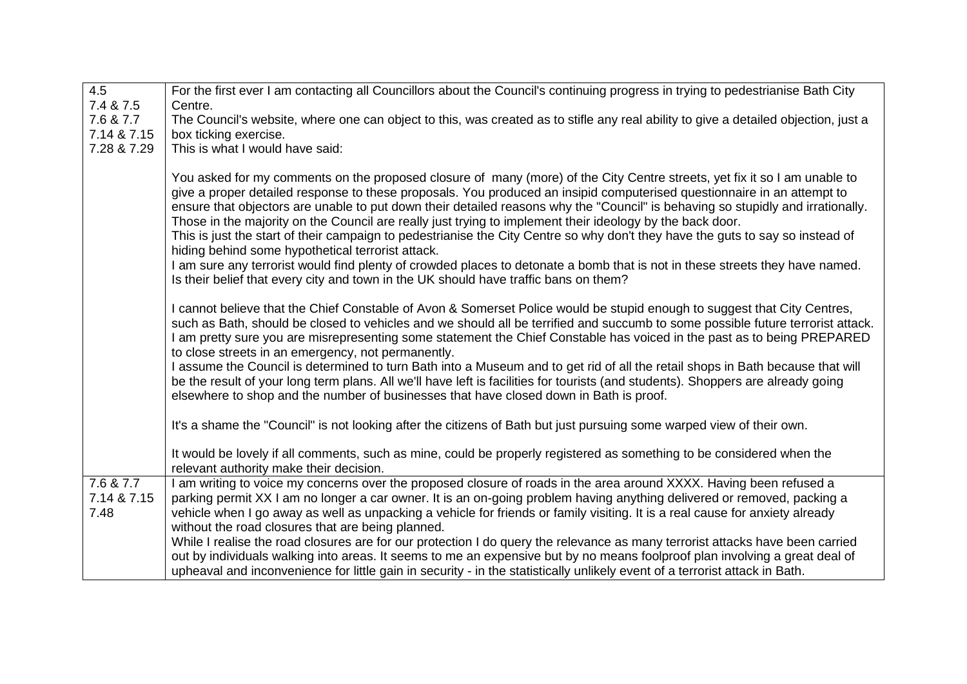| $\overline{4.5}$                 | For the first ever I am contacting all Councillors about the Council's continuing progress in trying to pedestrianise Bath City                                                                                                                                                                                                                                                                                                                                                                                                                                                                                                                                                                                                                                                                                                                                                                                     |
|----------------------------------|---------------------------------------------------------------------------------------------------------------------------------------------------------------------------------------------------------------------------------------------------------------------------------------------------------------------------------------------------------------------------------------------------------------------------------------------------------------------------------------------------------------------------------------------------------------------------------------------------------------------------------------------------------------------------------------------------------------------------------------------------------------------------------------------------------------------------------------------------------------------------------------------------------------------|
| 7.4 & 7.5                        | Centre.                                                                                                                                                                                                                                                                                                                                                                                                                                                                                                                                                                                                                                                                                                                                                                                                                                                                                                             |
| 7.6 & 7.7                        | The Council's website, where one can object to this, was created as to stifle any real ability to give a detailed objection, just a                                                                                                                                                                                                                                                                                                                                                                                                                                                                                                                                                                                                                                                                                                                                                                                 |
| 7.14 & 7.15                      | box ticking exercise.                                                                                                                                                                                                                                                                                                                                                                                                                                                                                                                                                                                                                                                                                                                                                                                                                                                                                               |
| 7.28 & 7.29                      | This is what I would have said:                                                                                                                                                                                                                                                                                                                                                                                                                                                                                                                                                                                                                                                                                                                                                                                                                                                                                     |
|                                  | You asked for my comments on the proposed closure of many (more) of the City Centre streets, yet fix it so I am unable to<br>give a proper detailed response to these proposals. You produced an insipid computerised questionnaire in an attempt to<br>ensure that objectors are unable to put down their detailed reasons why the "Council" is behaving so stupidly and irrationally.<br>Those in the majority on the Council are really just trying to implement their ideology by the back door.<br>This is just the start of their campaign to pedestrianise the City Centre so why don't they have the guts to say so instead of<br>hiding behind some hypothetical terrorist attack.<br>I am sure any terrorist would find plenty of crowded places to detonate a bomb that is not in these streets they have named.<br>Is their belief that every city and town in the UK should have traffic bans on them? |
|                                  | I cannot believe that the Chief Constable of Avon & Somerset Police would be stupid enough to suggest that City Centres,<br>such as Bath, should be closed to vehicles and we should all be terrified and succumb to some possible future terrorist attack.<br>I am pretty sure you are misrepresenting some statement the Chief Constable has voiced in the past as to being PREPARED<br>to close streets in an emergency, not permanently.<br>I assume the Council is determined to turn Bath into a Museum and to get rid of all the retail shops in Bath because that will<br>be the result of your long term plans. All we'll have left is facilities for tourists (and students). Shoppers are already going<br>elsewhere to shop and the number of businesses that have closed down in Bath is proof.                                                                                                        |
|                                  | It's a shame the "Council" is not looking after the citizens of Bath but just pursuing some warped view of their own.                                                                                                                                                                                                                                                                                                                                                                                                                                                                                                                                                                                                                                                                                                                                                                                               |
|                                  | It would be lovely if all comments, such as mine, could be properly registered as something to be considered when the<br>relevant authority make their decision.                                                                                                                                                                                                                                                                                                                                                                                                                                                                                                                                                                                                                                                                                                                                                    |
| 7.6 & 7.7<br>7.14 & 7.15<br>7.48 | I am writing to voice my concerns over the proposed closure of roads in the area around XXXX. Having been refused a<br>parking permit XX I am no longer a car owner. It is an on-going problem having anything delivered or removed, packing a<br>vehicle when I go away as well as unpacking a vehicle for friends or family visiting. It is a real cause for anxiety already<br>without the road closures that are being planned.                                                                                                                                                                                                                                                                                                                                                                                                                                                                                 |
|                                  | While I realise the road closures are for our protection I do query the relevance as many terrorist attacks have been carried<br>out by individuals walking into areas. It seems to me an expensive but by no means foolproof plan involving a great deal of<br>upheaval and inconvenience for little gain in security - in the statistically unlikely event of a terrorist attack in Bath.                                                                                                                                                                                                                                                                                                                                                                                                                                                                                                                         |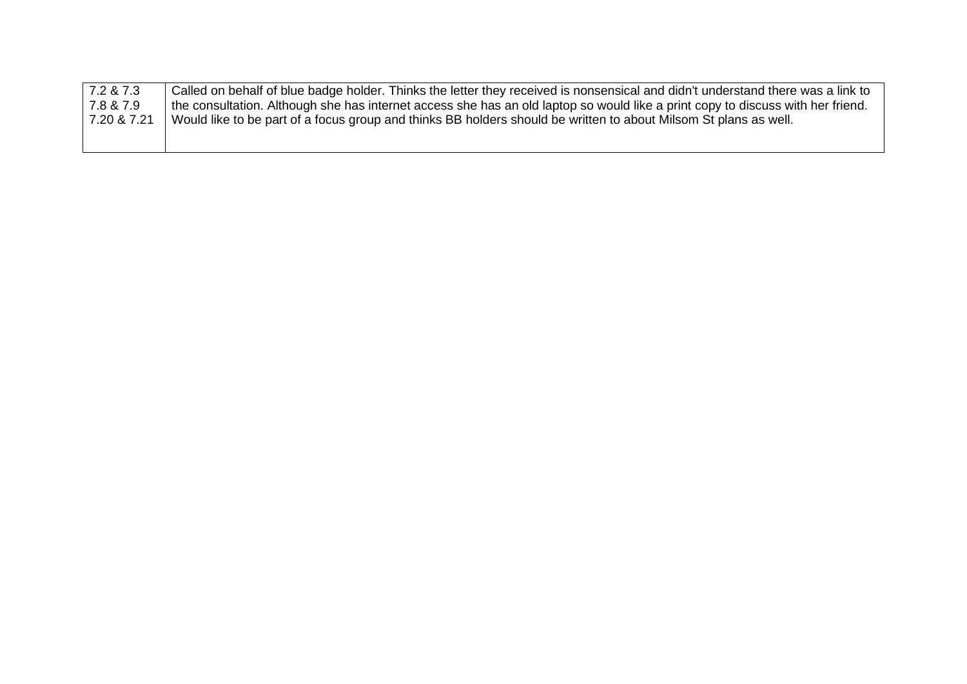| $\sqrt{7.287}$ | Called on behalf of blue badge holder. Thinks the letter they received is nonsensical and didn't understand there was a link to |
|----------------|---------------------------------------------------------------------------------------------------------------------------------|
| 7.8 & 7.9      | the consultation. Although she has internet access she has an old laptop so would like a print copy to discuss with her friend. |
| 7.20 & 7.21    | Would like to be part of a focus group and thinks BB holders should be written to about Milsom St plans as well.                |
|                |                                                                                                                                 |
|                |                                                                                                                                 |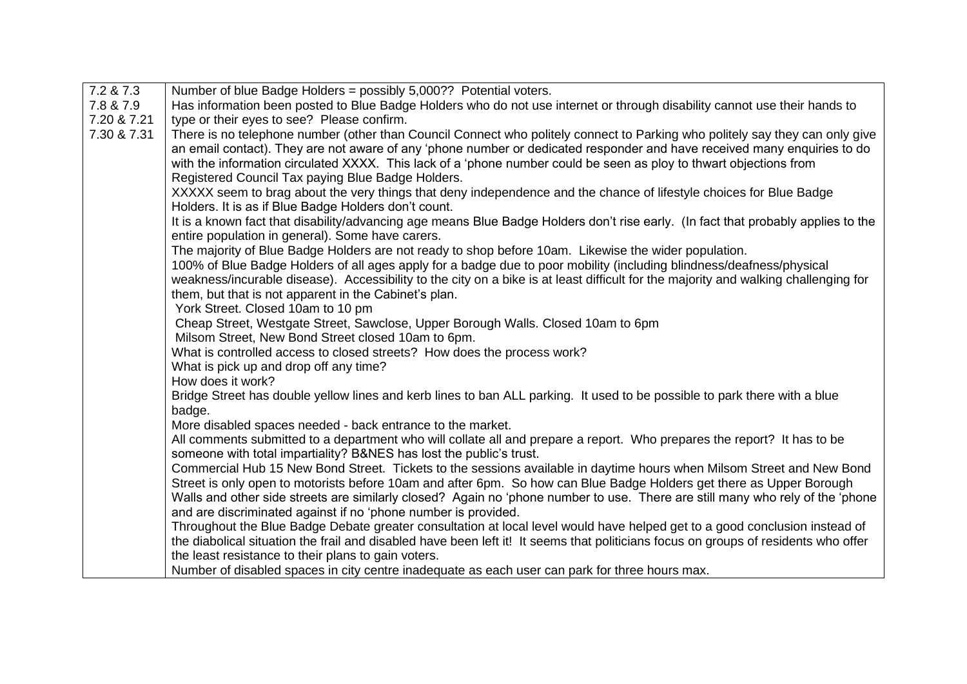| 7.2 & 7.3   | Number of blue Badge Holders = possibly 5,000?? Potential voters.                                                                   |
|-------------|-------------------------------------------------------------------------------------------------------------------------------------|
| 7.8 & 7.9   | Has information been posted to Blue Badge Holders who do not use internet or through disability cannot use their hands to           |
| 7.20 & 7.21 | type or their eyes to see? Please confirm.                                                                                          |
| 7.30 & 7.31 | There is no telephone number (other than Council Connect who politely connect to Parking who politely say they can only give        |
|             | an email contact). They are not aware of any 'phone number or dedicated responder and have received many enquiries to do            |
|             | with the information circulated XXXX. This lack of a 'phone number could be seen as ploy to thwart objections from                  |
|             | Registered Council Tax paying Blue Badge Holders.                                                                                   |
|             | XXXXX seem to brag about the very things that deny independence and the chance of lifestyle choices for Blue Badge                  |
|             | Holders. It is as if Blue Badge Holders don't count.                                                                                |
|             | It is a known fact that disability/advancing age means Blue Badge Holders don't rise early. (In fact that probably applies to the   |
|             | entire population in general). Some have carers.                                                                                    |
|             | The majority of Blue Badge Holders are not ready to shop before 10am. Likewise the wider population.                                |
|             | 100% of Blue Badge Holders of all ages apply for a badge due to poor mobility (including blindness/deafness/physical                |
|             | weakness/incurable disease). Accessibility to the city on a bike is at least difficult for the majority and walking challenging for |
|             | them, but that is not apparent in the Cabinet's plan.                                                                               |
|             | York Street. Closed 10am to 10 pm                                                                                                   |
|             | Cheap Street, Westgate Street, Sawclose, Upper Borough Walls. Closed 10am to 6pm                                                    |
|             | Milsom Street, New Bond Street closed 10am to 6pm.                                                                                  |
|             | What is controlled access to closed streets? How does the process work?                                                             |
|             | What is pick up and drop off any time?                                                                                              |
|             | How does it work?                                                                                                                   |
|             | Bridge Street has double yellow lines and kerb lines to ban ALL parking. It used to be possible to park there with a blue           |
|             | badge.                                                                                                                              |
|             | More disabled spaces needed - back entrance to the market.                                                                          |
|             | All comments submitted to a department who will collate all and prepare a report. Who prepares the report? It has to be             |
|             | someone with total impartiality? B&NES has lost the public's trust.                                                                 |
|             | Commercial Hub 15 New Bond Street. Tickets to the sessions available in daytime hours when Milsom Street and New Bond               |
|             | Street is only open to motorists before 10am and after 6pm. So how can Blue Badge Holders get there as Upper Borough                |
|             | Walls and other side streets are similarly closed? Again no 'phone number to use. There are still many who rely of the 'phone       |
|             | and are discriminated against if no 'phone number is provided.                                                                      |
|             | Throughout the Blue Badge Debate greater consultation at local level would have helped get to a good conclusion instead of          |
|             | the diabolical situation the frail and disabled have been left it! It seems that politicians focus on groups of residents who offer |
|             | the least resistance to their plans to gain voters.                                                                                 |
|             | Number of disabled spaces in city centre inadequate as each user can park for three hours max.                                      |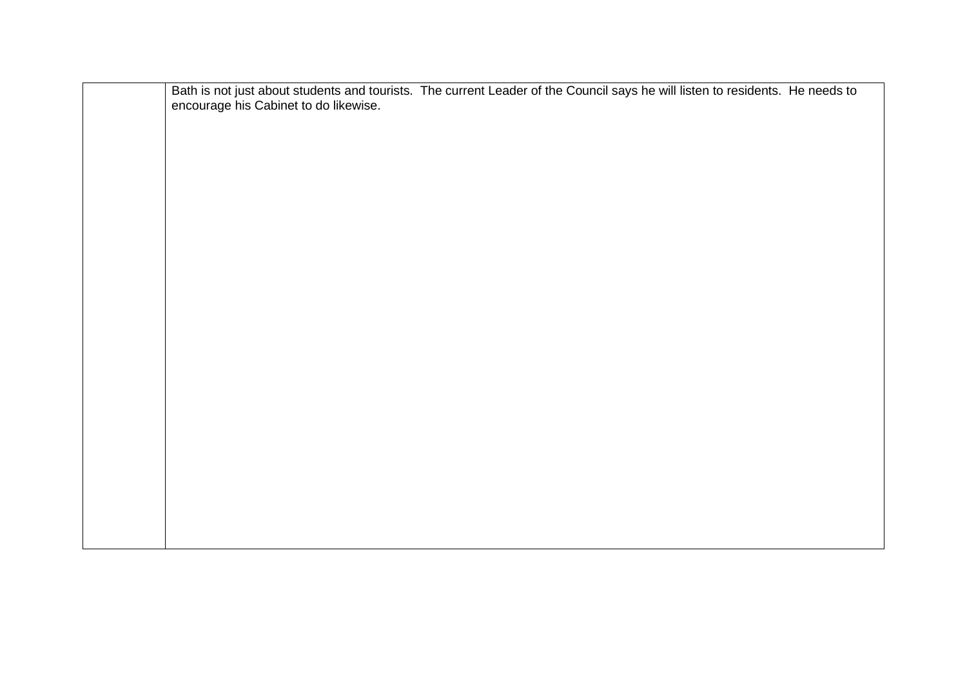|                                       | Bath is not just about students and tourists. The current Leader of the Council says he will listen to residents. He needs to |  |
|---------------------------------------|-------------------------------------------------------------------------------------------------------------------------------|--|
| encourage his Cabinet to do likewise. |                                                                                                                               |  |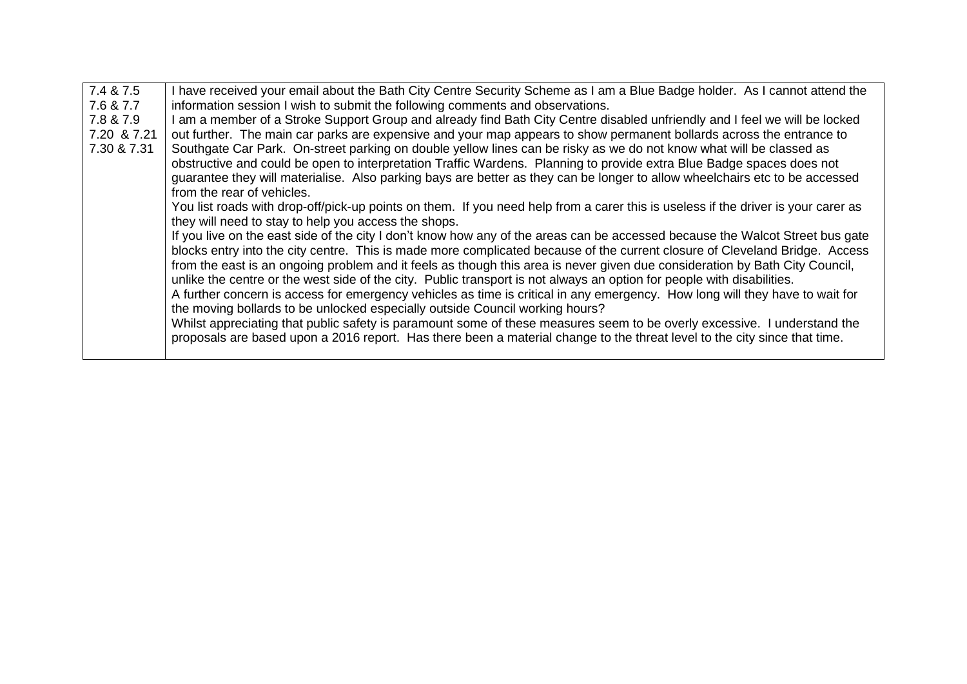| 7.4 & 7.5   | I have received your email about the Bath City Centre Security Scheme as I am a Blue Badge holder. As I cannot attend the         |
|-------------|-----------------------------------------------------------------------------------------------------------------------------------|
| 7.6 & 7.7   | information session I wish to submit the following comments and observations.                                                     |
| 7.8 & 7.9   | I am a member of a Stroke Support Group and already find Bath City Centre disabled unfriendly and I feel we will be locked        |
| 7.20 & 7.21 | out further. The main car parks are expensive and your map appears to show permanent bollards across the entrance to              |
| 7.30 & 7.31 | Southgate Car Park. On-street parking on double yellow lines can be risky as we do not know what will be classed as               |
|             | obstructive and could be open to interpretation Traffic Wardens. Planning to provide extra Blue Badge spaces does not             |
|             | guarantee they will materialise. Also parking bays are better as they can be longer to allow wheelchairs etc to be accessed       |
|             | from the rear of vehicles.                                                                                                        |
|             | You list roads with drop-off/pick-up points on them. If you need help from a carer this is useless if the driver is your carer as |
|             | they will need to stay to help you access the shops.                                                                              |
|             | If you live on the east side of the city I don't know how any of the areas can be accessed because the Walcot Street bus gate     |
|             | blocks entry into the city centre. This is made more complicated because of the current closure of Cleveland Bridge. Access       |
|             | from the east is an ongoing problem and it feels as though this area is never given due consideration by Bath City Council,       |
|             | unlike the centre or the west side of the city. Public transport is not always an option for people with disabilities.            |
|             | A further concern is access for emergency vehicles as time is critical in any emergency. How long will they have to wait for      |
|             | the moving bollards to be unlocked especially outside Council working hours?                                                      |
|             | Whilst appreciating that public safety is paramount some of these measures seem to be overly excessive. I understand the          |
|             | proposals are based upon a 2016 report. Has there been a material change to the threat level to the city since that time.         |
|             |                                                                                                                                   |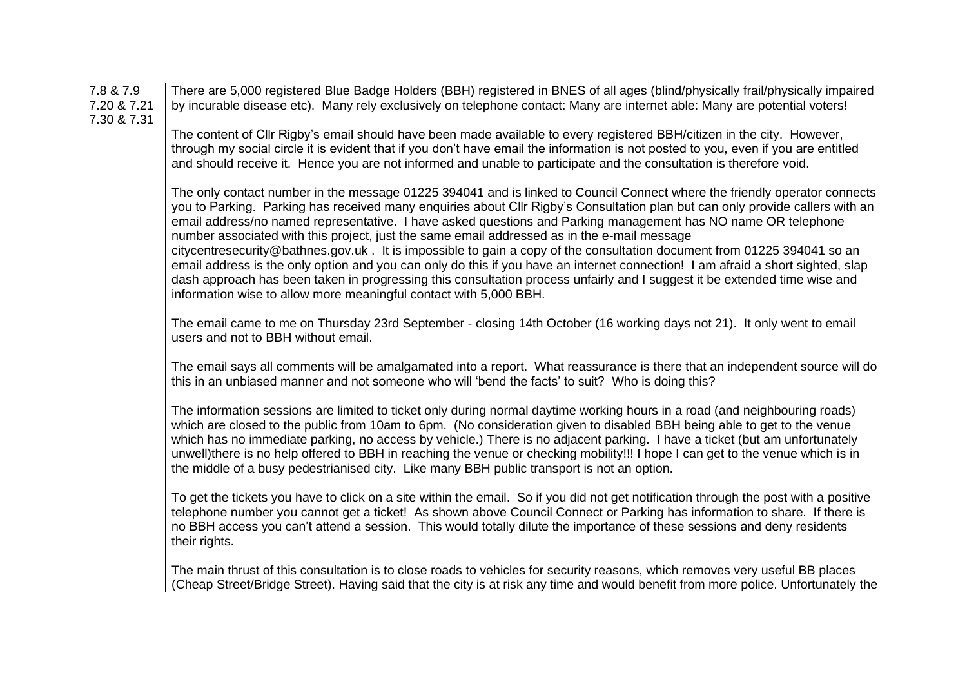| 7.8 & 7.9<br>7.20 & 7.21 | There are 5,000 registered Blue Badge Holders (BBH) registered in BNES of all ages (blind/physically frail/physically impaired<br>by incurable disease etc). Many rely exclusively on telephone contact: Many are internet able: Many are potential voters!                                                                                                                                                                                                                                                                                                                                                                                                                                                                                                                                                                                                                                                                                |
|--------------------------|--------------------------------------------------------------------------------------------------------------------------------------------------------------------------------------------------------------------------------------------------------------------------------------------------------------------------------------------------------------------------------------------------------------------------------------------------------------------------------------------------------------------------------------------------------------------------------------------------------------------------------------------------------------------------------------------------------------------------------------------------------------------------------------------------------------------------------------------------------------------------------------------------------------------------------------------|
| 7.30 & 7.31              | The content of Cllr Rigby's email should have been made available to every registered BBH/citizen in the city. However,<br>through my social circle it is evident that if you don't have email the information is not posted to you, even if you are entitled<br>and should receive it. Hence you are not informed and unable to participate and the consultation is therefore void.                                                                                                                                                                                                                                                                                                                                                                                                                                                                                                                                                       |
|                          | The only contact number in the message 01225 394041 and is linked to Council Connect where the friendly operator connects<br>you to Parking. Parking has received many enquiries about Cllr Rigby's Consultation plan but can only provide callers with an<br>email address/no named representative. I have asked questions and Parking management has NO name OR telephone<br>number associated with this project, just the same email addressed as in the e-mail message<br>citycentresecurity@bathnes.gov.uk. It is impossible to gain a copy of the consultation document from 01225 394041 so an<br>email address is the only option and you can only do this if you have an internet connection! I am afraid a short sighted, slap<br>dash approach has been taken in progressing this consultation process unfairly and I suggest it be extended time wise and<br>information wise to allow more meaningful contact with 5,000 BBH. |
|                          | The email came to me on Thursday 23rd September - closing 14th October (16 working days not 21). It only went to email<br>users and not to BBH without email.                                                                                                                                                                                                                                                                                                                                                                                                                                                                                                                                                                                                                                                                                                                                                                              |
|                          | The email says all comments will be amalgamated into a report. What reassurance is there that an independent source will do<br>this in an unbiased manner and not someone who will 'bend the facts' to suit? Who is doing this?                                                                                                                                                                                                                                                                                                                                                                                                                                                                                                                                                                                                                                                                                                            |
|                          | The information sessions are limited to ticket only during normal daytime working hours in a road (and neighbouring roads)<br>which are closed to the public from 10am to 6pm. (No consideration given to disabled BBH being able to get to the venue<br>which has no immediate parking, no access by vehicle.) There is no adjacent parking. I have a ticket (but am unfortunately<br>unwell)there is no help offered to BBH in reaching the venue or checking mobility!!! I hope I can get to the venue which is in<br>the middle of a busy pedestrianised city. Like many BBH public transport is not an option.                                                                                                                                                                                                                                                                                                                        |
|                          | To get the tickets you have to click on a site within the email. So if you did not get notification through the post with a positive<br>telephone number you cannot get a ticket! As shown above Council Connect or Parking has information to share. If there is<br>no BBH access you can't attend a session. This would totally dilute the importance of these sessions and deny residents<br>their rights.                                                                                                                                                                                                                                                                                                                                                                                                                                                                                                                              |
|                          | The main thrust of this consultation is to close roads to vehicles for security reasons, which removes very useful BB places<br>(Cheap Street/Bridge Street). Having said that the city is at risk any time and would benefit from more police. Unfortunately the                                                                                                                                                                                                                                                                                                                                                                                                                                                                                                                                                                                                                                                                          |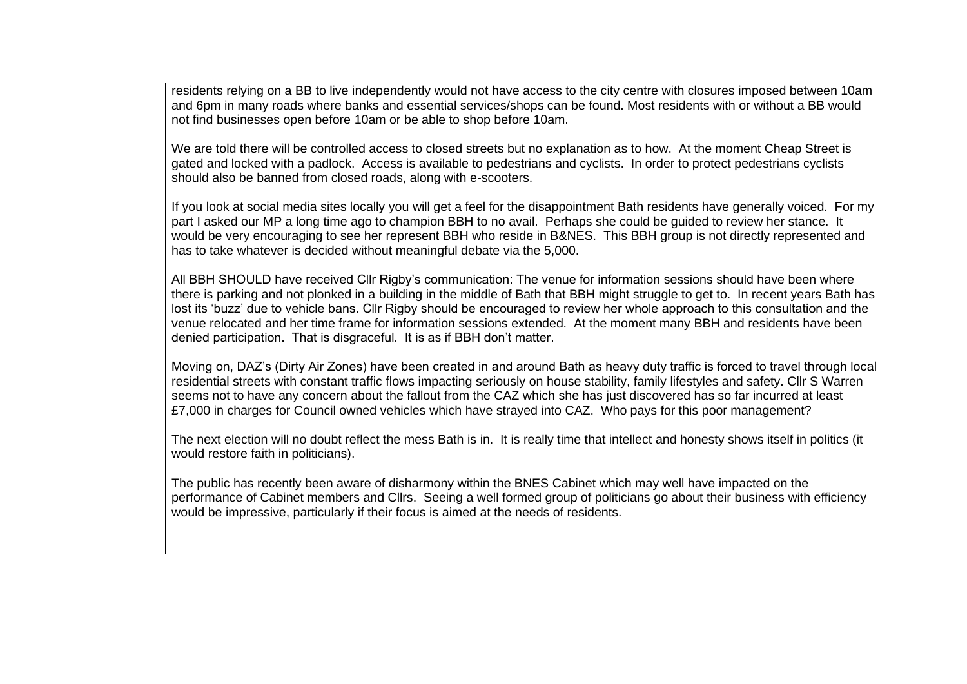residents relying on a BB to live independently would not have access to the city centre with closures imposed between 10am and 6pm in many roads where banks and essential services/shops can be found. Most residents with or without a BB would not find businesses open before 10am or be able to shop before 10am.

We are told there will be controlled access to closed streets but no explanation as to how. At the moment Cheap Street is gated and locked with a padlock. Access is available to pedestrians and cyclists. In order to protect pedestrians cyclists should also be banned from closed roads, along with e-scooters.

If you look at social media sites locally you will get a feel for the disappointment Bath residents have generally voiced. For my part I asked our MP a long time ago to champion BBH to no avail. Perhaps she could be guided to review her stance. It would be very encouraging to see her represent BBH who reside in B&NES. This BBH group is not directly represented and has to take whatever is decided without meaningful debate via the 5,000.

All BBH SHOULD have received Cllr Rigby's communication: The venue for information sessions should have been where there is parking and not plonked in a building in the middle of Bath that BBH might struggle to get to. In recent years Bath has lost its 'buzz' due to vehicle bans. Cllr Rigby should be encouraged to review her whole approach to this consultation and the venue relocated and her time frame for information sessions extended. At the moment many BBH and residents have been denied participation. That is disgraceful. It is as if BBH don't matter.

Moving on, DAZ's (Dirty Air Zones) have been created in and around Bath as heavy duty traffic is forced to travel through local residential streets with constant traffic flows impacting seriously on house stability, family lifestyles and safety. Cllr S Warren seems not to have any concern about the fallout from the CAZ which she has just discovered has so far incurred at least £7,000 in charges for Council owned vehicles which have strayed into CAZ. Who pays for this poor management?

The next election will no doubt reflect the mess Bath is in. It is really time that intellect and honesty shows itself in politics (it would restore faith in politicians).

The public has recently been aware of disharmony within the BNES Cabinet which may well have impacted on the performance of Cabinet members and Cllrs. Seeing a well formed group of politicians go about their business with efficiency would be impressive, particularly if their focus is aimed at the needs of residents.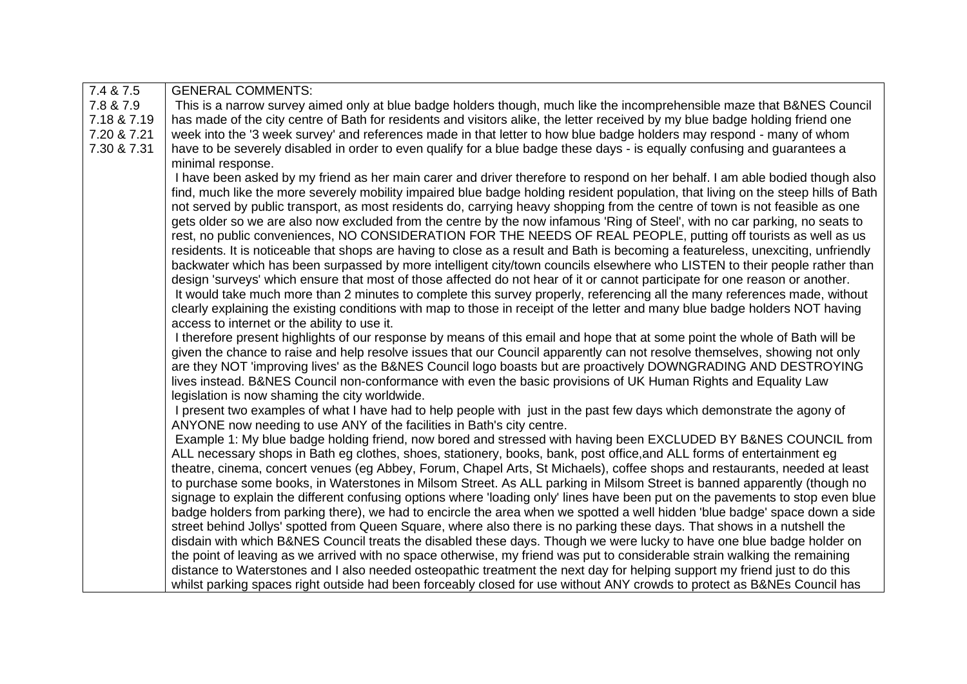| 7.4 & 7.5   | <b>GENERAL COMMENTS:</b>                                                                                                           |
|-------------|------------------------------------------------------------------------------------------------------------------------------------|
| 7.8 & 7.9   | This is a narrow survey aimed only at blue badge holders though, much like the incomprehensible maze that B&NES Council            |
| 7.18 & 7.19 | has made of the city centre of Bath for residents and visitors alike, the letter received by my blue badge holding friend one      |
| 7.20 & 7.21 | week into the '3 week survey' and references made in that letter to how blue badge holders may respond - many of whom              |
| 7.30 & 7.31 | have to be severely disabled in order to even qualify for a blue badge these days - is equally confusing and guarantees a          |
|             | minimal response.                                                                                                                  |
|             | I have been asked by my friend as her main carer and driver therefore to respond on her behalf. I am able bodied though also       |
|             | find, much like the more severely mobility impaired blue badge holding resident population, that living on the steep hills of Bath |
|             | not served by public transport, as most residents do, carrying heavy shopping from the centre of town is not feasible as one       |
|             | gets older so we are also now excluded from the centre by the now infamous 'Ring of Steel', with no car parking, no seats to       |
|             | rest, no public conveniences, NO CONSIDERATION FOR THE NEEDS OF REAL PEOPLE, putting off tourists as well as us                    |
|             | residents. It is noticeable that shops are having to close as a result and Bath is becoming a featureless, unexciting, unfriendly  |
|             | backwater which has been surpassed by more intelligent city/town councils elsewhere who LISTEN to their people rather than         |
|             | design 'surveys' which ensure that most of those affected do not hear of it or cannot participate for one reason or another.       |
|             | It would take much more than 2 minutes to complete this survey properly, referencing all the many references made, without         |
|             | clearly explaining the existing conditions with map to those in receipt of the letter and many blue badge holders NOT having       |
|             | access to internet or the ability to use it.                                                                                       |
|             | I therefore present highlights of our response by means of this email and hope that at some point the whole of Bath will be        |
|             | given the chance to raise and help resolve issues that our Council apparently can not resolve themselves, showing not only         |
|             | are they NOT 'improving lives' as the B&NES Council logo boasts but are proactively DOWNGRADING AND DESTROYING                     |
|             | lives instead. B&NES Council non-conformance with even the basic provisions of UK Human Rights and Equality Law                    |
|             | legislation is now shaming the city worldwide.                                                                                     |
|             | I present two examples of what I have had to help people with just in the past few days which demonstrate the agony of             |
|             | ANYONE now needing to use ANY of the facilities in Bath's city centre.                                                             |
|             | Example 1: My blue badge holding friend, now bored and stressed with having been EXCLUDED BY B&NES COUNCIL from                    |
|             | ALL necessary shops in Bath eg clothes, shoes, stationery, books, bank, post office, and ALL forms of entertainment eg             |
|             | theatre, cinema, concert venues (eg Abbey, Forum, Chapel Arts, St Michaels), coffee shops and restaurants, needed at least         |
|             | to purchase some books, in Waterstones in Milsom Street. As ALL parking in Milsom Street is banned apparently (though no           |
|             | signage to explain the different confusing options where 'loading only' lines have been put on the pavements to stop even blue     |
|             | badge holders from parking there), we had to encircle the area when we spotted a well hidden 'blue badge' space down a side        |
|             | street behind Jollys' spotted from Queen Square, where also there is no parking these days. That shows in a nutshell the           |
|             | disdain with which B&NES Council treats the disabled these days. Though we were lucky to have one blue badge holder on             |
|             | the point of leaving as we arrived with no space otherwise, my friend was put to considerable strain walking the remaining         |
|             | distance to Waterstones and I also needed osteopathic treatment the next day for helping support my friend just to do this         |
|             | whilst parking spaces right outside had been forceably closed for use without ANY crowds to protect as B&NEs Council has           |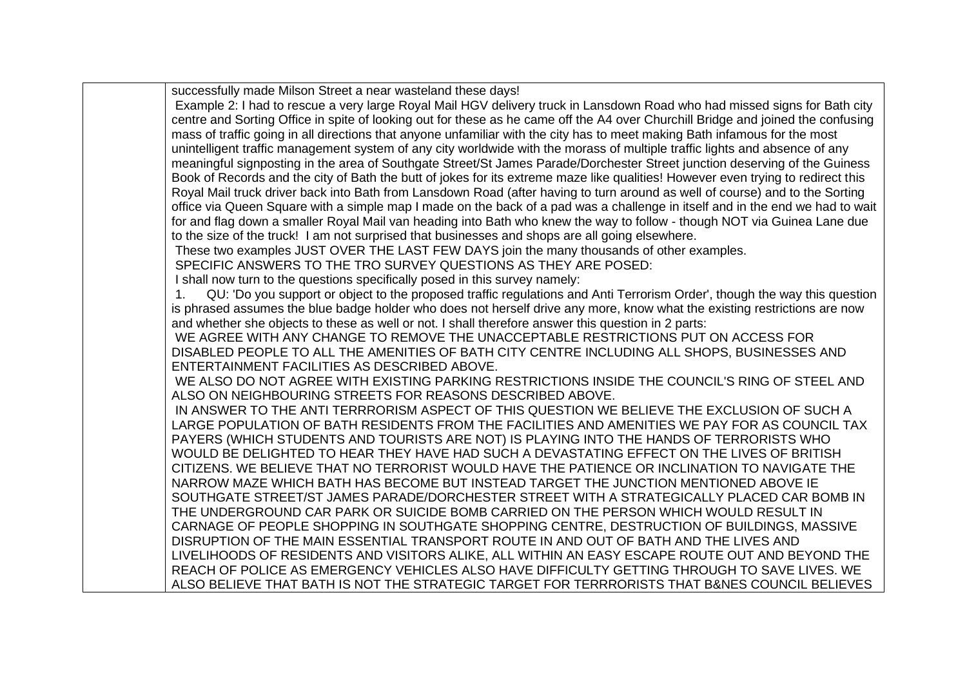successfully made Milson Street a near wasteland these days! Example 2: I had to rescue a very large Royal Mail HGV delivery truck in Lansdown Road who had missed signs for Bath city centre and Sorting Office in spite of looking out for these as he came off the A4 over Churchill Bridge and joined the confusing mass of traffic going in all directions that anyone unfamiliar with the city has to meet making Bath infamous for the most unintelligent traffic management system of any city worldwide with the morass of multiple traffic lights and absence of any meaningful signposting in the area of Southgate Street/St James Parade/Dorchester Street junction deserving of the Guiness Book of Records and the city of Bath the butt of jokes for its extreme maze like qualities! However even trying to redirect this Royal Mail truck driver back into Bath from Lansdown Road (after having to turn around as well of course) and to the Sorting office via Queen Square with a simple map I made on the back of a pad was a challenge in itself and in the end we had to wait for and flag down a smaller Royal Mail van heading into Bath who knew the way to follow - though NOT via Guinea Lane due to the size of the truck! I am not surprised that businesses and shops are all going elsewhere. These two examples JUST OVER THE LAST FEW DAYS join the many thousands of other examples. SPECIFIC ANSWERS TO THE TRO SURVEY QUESTIONS AS THEY ARE POSED: I shall now turn to the questions specifically posed in this survey namely: 1. QU: 'Do you support or object to the proposed traffic regulations and Anti Terrorism Order', though the way this question is phrased assumes the blue badge holder who does not herself drive any more, know what the existing restrictions are now and whether she objects to these as well or not. I shall therefore answer this question in 2 parts: WE AGREE WITH ANY CHANGE TO REMOVE THE UNACCEPTABLE RESTRICTIONS PUT ON ACCESS FOR DISABLED PEOPLE TO ALL THE AMENITIES OF BATH CITY CENTRE INCLUDING ALL SHOPS, BUSINESSES AND ENTERTAINMENT FACILITIES AS DESCRIBED ABOVE. WE ALSO DO NOT AGREE WITH EXISTING PARKING RESTRICTIONS INSIDE THE COUNCIL'S RING OF STEEL AND ALSO ON NEIGHBOURING STREETS FOR REASONS DESCRIBED ABOVE. IN ANSWER TO THE ANTI TERRRORISM ASPECT OF THIS QUESTION WE BELIEVE THE EXCLUSION OF SUCH A LARGE POPULATION OF BATH RESIDENTS FROM THE FACILITIES AND AMENITIES WE PAY FOR AS COUNCIL TAX PAYERS (WHICH STUDENTS AND TOURISTS ARE NOT) IS PLAYING INTO THE HANDS OF TERRORISTS WHO WOULD BE DELIGHTED TO HEAR THEY HAVE HAD SUCH A DEVASTATING EFFECT ON THE LIVES OF BRITISH CITIZENS. WE BELIEVE THAT NO TERRORIST WOULD HAVE THE PATIENCE OR INCLINATION TO NAVIGATE THE NARROW MAZE WHICH BATH HAS BECOME BUT INSTEAD TARGET THE JUNCTION MENTIONED ABOVE IE SOUTHGATE STREET/ST JAMES PARADE/DORCHESTER STREET WITH A STRATEGICALLY PLACED CAR BOMB IN THE UNDERGROUND CAR PARK OR SUICIDE BOMB CARRIED ON THE PERSON WHICH WOULD RESULT IN CARNAGE OF PEOPLE SHOPPING IN SOUTHGATE SHOPPING CENTRE, DESTRUCTION OF BUILDINGS, MASSIVE DISRUPTION OF THE MAIN ESSENTIAL TRANSPORT ROUTE IN AND OUT OF BATH AND THE LIVES AND LIVELIHOODS OF RESIDENTS AND VISITORS ALIKE, ALL WITHIN AN EASY ESCAPE ROUTE OUT AND BEYOND THE REACH OF POLICE AS EMERGENCY VEHICLES ALSO HAVE DIFFICULTY GETTING THROUGH TO SAVE LIVES. WE ALSO BELIEVE THAT BATH IS NOT THE STRATEGIC TARGET FOR TERRRORISTS THAT B&NES COUNCIL BELIEVES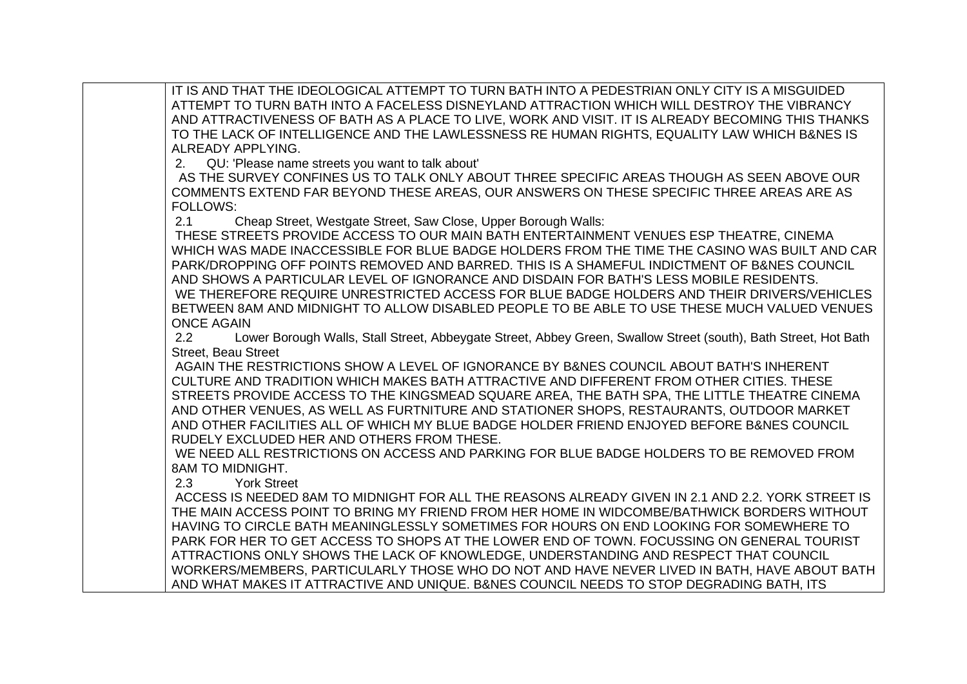IT IS AND THAT THE IDEOLOGICAL ATTEMPT TO TURN BATH INTO A PEDESTRIAN ONLY CITY IS A MISGUIDED ATTEMPT TO TURN BATH INTO A FACELESS DISNEYLAND ATTRACTION WHICH WILL DESTROY THE VIBRANCY AND ATTRACTIVENESS OF BATH AS A PLACE TO LIVE, WORK AND VISIT. IT IS ALREADY BECOMING THIS THANKS TO THE LACK OF INTELLIGENCE AND THE LAWLESSNESS RE HUMAN RIGHTS, EQUALITY LAW WHICH B&NES IS ALREADY APPLYING.

2. QU: 'Please name streets you want to talk about'

 AS THE SURVEY CONFINES US TO TALK ONLY ABOUT THREE SPECIFIC AREAS THOUGH AS SEEN ABOVE OUR COMMENTS EXTEND FAR BEYOND THESE AREAS, OUR ANSWERS ON THESE SPECIFIC THREE AREAS ARE AS FOLLOWS:

2.1 Cheap Street, Westgate Street, Saw Close, Upper Borough Walls:

THESE STREETS PROVIDE ACCESS TO OUR MAIN BATH ENTERTAINMENT VENUES ESP THEATRE, CINEMA WHICH WAS MADE INACCESSIBLE FOR BLUE BADGE HOLDERS FROM THE TIME THE CASINO WAS BUILT AND CAR PARK/DROPPING OFF POINTS REMOVED AND BARRED. THIS IS A SHAMEFUL INDICTMENT OF B&NES COUNCIL AND SHOWS A PARTICULAR LEVEL OF IGNORANCE AND DISDAIN FOR BATH'S LESS MOBILE RESIDENTS. WE THEREFORE REQUIRE UNRESTRICTED ACCESS FOR BLUE BADGE HOLDERS AND THEIR DRIVERS/VEHICLES BETWEEN 8AM AND MIDNIGHT TO ALLOW DISABLED PEOPLE TO BE ABLE TO USE THESE MUCH VALUED VENUES ONCE AGAIN

2.2 Lower Borough Walls, Stall Street, Abbeygate Street, Abbey Green, Swallow Street (south), Bath Street, Hot Bath Street, Beau Street

AGAIN THE RESTRICTIONS SHOW A LEVEL OF IGNORANCE BY B&NES COUNCIL ABOUT BATH'S INHERENT CULTURE AND TRADITION WHICH MAKES BATH ATTRACTIVE AND DIFFERENT FROM OTHER CITIES. THESE STREETS PROVIDE ACCESS TO THE KINGSMEAD SQUARE AREA, THE BATH SPA, THE LITTLE THEATRE CINEMA AND OTHER VENUES, AS WELL AS FURTNITURE AND STATIONER SHOPS, RESTAURANTS, OUTDOOR MARKET AND OTHER FACILITIES ALL OF WHICH MY BLUE BADGE HOLDER FRIEND ENJOYED BEFORE B&NES COUNCIL RUDELY EXCLUDED HER AND OTHERS FROM THESE.

WE NEED ALL RESTRICTIONS ON ACCESS AND PARKING FOR BLUE BADGE HOLDERS TO BE REMOVED FROM 8AM TO MIDNIGHT.

2.3 York Street

ACCESS IS NEEDED 8AM TO MIDNIGHT FOR ALL THE REASONS ALREADY GIVEN IN 2.1 AND 2.2. YORK STREET IS THE MAIN ACCESS POINT TO BRING MY FRIEND FROM HER HOME IN WIDCOMBE/BATHWICK BORDERS WITHOUT HAVING TO CIRCLE BATH MEANINGLESSLY SOMETIMES FOR HOURS ON END LOOKING FOR SOMEWHERE TO PARK FOR HER TO GET ACCESS TO SHOPS AT THE LOWER END OF TOWN. FOCUSSING ON GENERAL TOURIST ATTRACTIONS ONLY SHOWS THE LACK OF KNOWLEDGE, UNDERSTANDING AND RESPECT THAT COUNCIL WORKERS/MEMBERS, PARTICULARLY THOSE WHO DO NOT AND HAVE NEVER LIVED IN BATH, HAVE ABOUT BATH AND WHAT MAKES IT ATTRACTIVE AND UNIQUE. B&NES COUNCIL NEEDS TO STOP DEGRADING BATH, ITS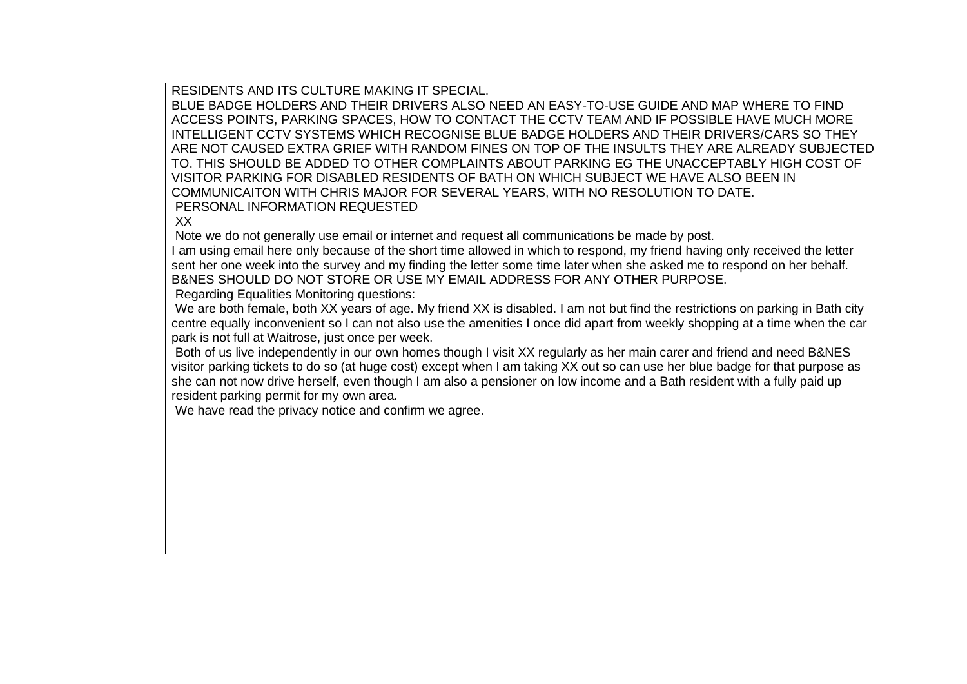RESIDENTS AND ITS CULTURE MAKING IT SPECIAL.

BLUE BADGE HOLDERS AND THEIR DRIVERS ALSO NEED AN EASY-TO-USE GUIDE AND MAP WHERE TO FIND ACCESS POINTS, PARKING SPACES, HOW TO CONTACT THE CCTV TEAM AND IF POSSIBLE HAVE MUCH MORE INTELLIGENT CCTV SYSTEMS WHICH RECOGNISE BLUE BADGE HOLDERS AND THEIR DRIVERS/CARS SO THEY ARE NOT CAUSED EXTRA GRIEF WITH RANDOM FINES ON TOP OF THE INSULTS THEY ARE ALREADY SUBJECTED TO. THIS SHOULD BE ADDED TO OTHER COMPLAINTS ABOUT PARKING EG THE UNACCEPTABLY HIGH COST OF VISITOR PARKING FOR DISABLED RESIDENTS OF BATH ON WHICH SUBJECT WE HAVE ALSO BEEN IN COMMUNICAITON WITH CHRIS MAJOR FOR SEVERAL YEARS, WITH NO RESOLUTION TO DATE. PERSONAL INFORMATION REQUESTED

## XX

Note we do not generally use email or internet and request all communications be made by post.

I am using email here only because of the short time allowed in which to respond, my friend having only received the letter sent her one week into the survey and my finding the letter some time later when she asked me to respond on her behalf. B&NES SHOULD DO NOT STORE OR USE MY EMAIL ADDRESS FOR ANY OTHER PURPOSE.

Regarding Equalities Monitoring questions:

We are both female, both XX years of age. My friend XX is disabled. I am not but find the restrictions on parking in Bath city centre equally inconvenient so I can not also use the amenities I once did apart from weekly shopping at a time when the car park is not full at Waitrose, just once per week.

Both of us live independently in our own homes though I visit XX regularly as her main carer and friend and need B&NES visitor parking tickets to do so (at huge cost) except when I am taking XX out so can use her blue badge for that purpose as she can not now drive herself, even though I am also a pensioner on low income and a Bath resident with a fully paid up resident parking permit for my own area.

We have read the privacy notice and confirm we agree.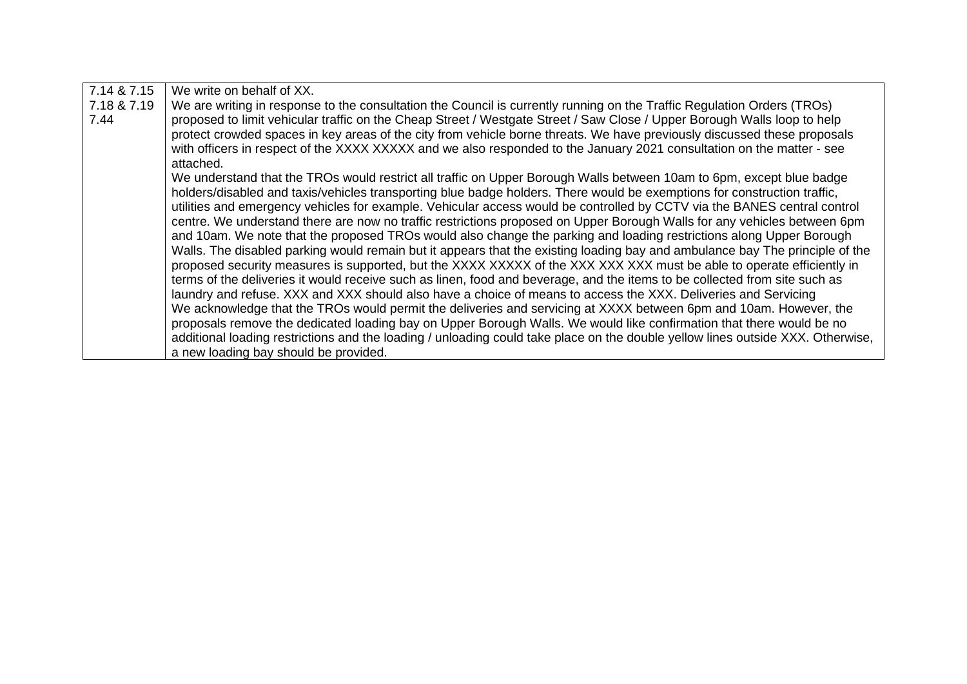| 7.14 & 7.15 | We write on behalf of XX.                                                                                                       |
|-------------|---------------------------------------------------------------------------------------------------------------------------------|
| 7.18 & 7.19 | We are writing in response to the consultation the Council is currently running on the Traffic Regulation Orders (TROs)         |
| 7.44        | proposed to limit vehicular traffic on the Cheap Street / Westgate Street / Saw Close / Upper Borough Walls loop to help        |
|             | protect crowded spaces in key areas of the city from vehicle borne threats. We have previously discussed these proposals        |
|             | with officers in respect of the XXXX XXXXX and we also responded to the January 2021 consultation on the matter - see           |
|             | attached.                                                                                                                       |
|             | We understand that the TROs would restrict all traffic on Upper Borough Walls between 10am to 6pm, except blue badge            |
|             | holders/disabled and taxis/vehicles transporting blue badge holders. There would be exemptions for construction traffic,        |
|             | utilities and emergency vehicles for example. Vehicular access would be controlled by CCTV via the BANES central control        |
|             | centre. We understand there are now no traffic restrictions proposed on Upper Borough Walls for any vehicles between 6pm        |
|             | and 10am. We note that the proposed TROs would also change the parking and loading restrictions along Upper Borough             |
|             | Walls. The disabled parking would remain but it appears that the existing loading bay and ambulance bay The principle of the    |
|             | proposed security measures is supported, but the XXXX XXXXX of the XXX XXX XXX must be able to operate efficiently in           |
|             | terms of the deliveries it would receive such as linen, food and beverage, and the items to be collected from site such as      |
|             | laundry and refuse. XXX and XXX should also have a choice of means to access the XXX. Deliveries and Servicing                  |
|             | We acknowledge that the TROs would permit the deliveries and servicing at XXXX between 6pm and 10am. However, the               |
|             | proposals remove the dedicated loading bay on Upper Borough Walls. We would like confirmation that there would be no            |
|             | additional loading restrictions and the loading / unloading could take place on the double yellow lines outside XXX. Otherwise, |
|             | a new loading bay should be provided.                                                                                           |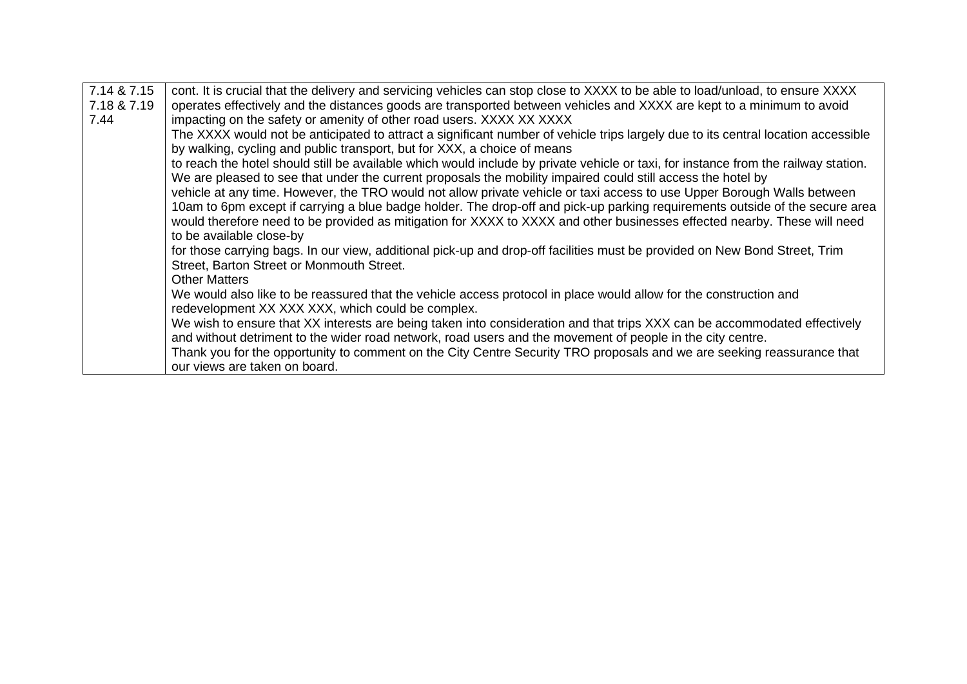| 7.14 & 7.15 | cont. It is crucial that the delivery and servicing vehicles can stop close to XXXX to be able to load/unload, to ensure XXXX       |
|-------------|-------------------------------------------------------------------------------------------------------------------------------------|
| 7.18 & 7.19 | operates effectively and the distances goods are transported between vehicles and XXXX are kept to a minimum to avoid               |
|             |                                                                                                                                     |
| 7.44        | impacting on the safety or amenity of other road users. XXXX XX XXXX                                                                |
|             | The XXXX would not be anticipated to attract a significant number of vehicle trips largely due to its central location accessible   |
|             | by walking, cycling and public transport, but for XXX, a choice of means                                                            |
|             | to reach the hotel should still be available which would include by private vehicle or taxi, for instance from the railway station. |
|             | We are pleased to see that under the current proposals the mobility impaired could still access the hotel by                        |
|             | vehicle at any time. However, the TRO would not allow private vehicle or taxi access to use Upper Borough Walls between             |
|             |                                                                                                                                     |
|             | 10am to 6pm except if carrying a blue badge holder. The drop-off and pick-up parking requirements outside of the secure area        |
|             | would therefore need to be provided as mitigation for XXXX to XXXX and other businesses effected nearby. These will need            |
|             | to be available close-by                                                                                                            |
|             | for those carrying bags. In our view, additional pick-up and drop-off facilities must be provided on New Bond Street, Trim          |
|             | Street, Barton Street or Monmouth Street.                                                                                           |
|             | <b>Other Matters</b>                                                                                                                |
|             | We would also like to be reassured that the vehicle access protocol in place would allow for the construction and                   |
|             |                                                                                                                                     |
|             | redevelopment XX XXX XXX, which could be complex.                                                                                   |
|             | We wish to ensure that XX interests are being taken into consideration and that trips XXX can be accommodated effectively           |
|             | and without detriment to the wider road network, road users and the movement of people in the city centre.                          |
|             | Thank you for the opportunity to comment on the City Centre Security TRO proposals and we are seeking reassurance that              |
|             | our views are taken on board.                                                                                                       |
|             |                                                                                                                                     |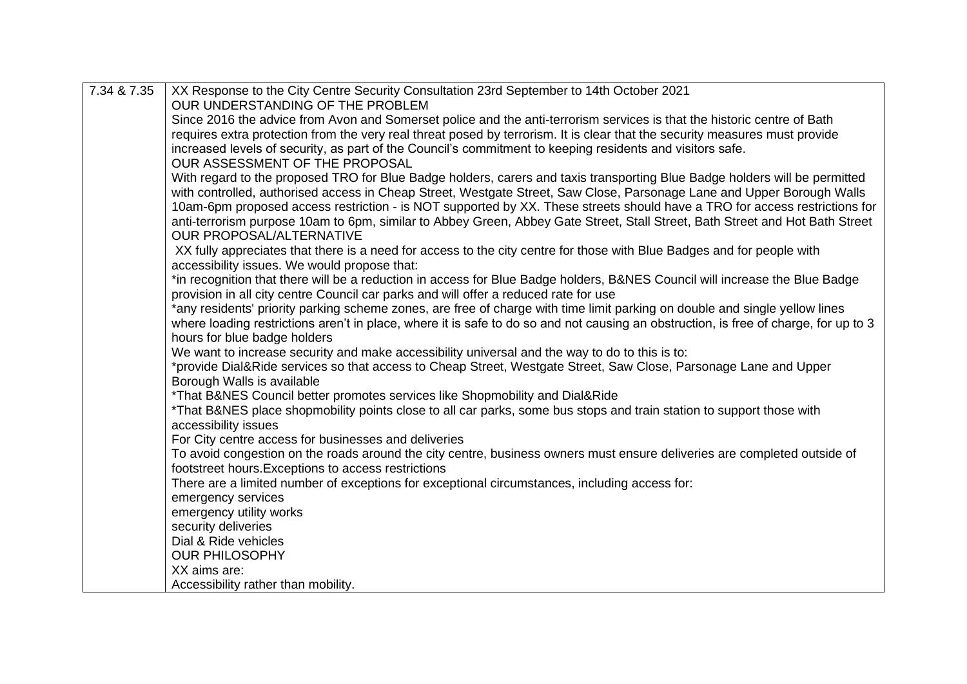| 7.34 & 7.35 | XX Response to the City Centre Security Consultation 23rd September to 14th October 2021                                             |
|-------------|--------------------------------------------------------------------------------------------------------------------------------------|
|             | OUR UNDERSTANDING OF THE PROBLEM                                                                                                     |
|             | Since 2016 the advice from Avon and Somerset police and the anti-terrorism services is that the historic centre of Bath              |
|             | requires extra protection from the very real threat posed by terrorism. It is clear that the security measures must provide          |
|             | increased levels of security, as part of the Council's commitment to keeping residents and visitors safe.                            |
|             | OUR ASSESSMENT OF THE PROPOSAL                                                                                                       |
|             | With regard to the proposed TRO for Blue Badge holders, carers and taxis transporting Blue Badge holders will be permitted           |
|             | with controlled, authorised access in Cheap Street, Westgate Street, Saw Close, Parsonage Lane and Upper Borough Walls               |
|             | 10am-6pm proposed access restriction - is NOT supported by XX. These streets should have a TRO for access restrictions for           |
|             | anti-terrorism purpose 10am to 6pm, similar to Abbey Green, Abbey Gate Street, Stall Street, Bath Street and Hot Bath Street         |
|             | <b>OUR PROPOSAL/ALTERNATIVE</b>                                                                                                      |
|             | XX fully appreciates that there is a need for access to the city centre for those with Blue Badges and for people with               |
|             | accessibility issues. We would propose that:                                                                                         |
|             | *in recognition that there will be a reduction in access for Blue Badge holders, B&NES Council will increase the Blue Badge          |
|             | provision in all city centre Council car parks and will offer a reduced rate for use                                                 |
|             | *any residents' priority parking scheme zones, are free of charge with time limit parking on double and single yellow lines          |
|             | where loading restrictions aren't in place, where it is safe to do so and not causing an obstruction, is free of charge, for up to 3 |
|             | hours for blue badge holders                                                                                                         |
|             | We want to increase security and make accessibility universal and the way to do to this is to:                                       |
|             | *provide Dial&Ride services so that access to Cheap Street, Westgate Street, Saw Close, Parsonage Lane and Upper                     |
|             | Borough Walls is available                                                                                                           |
|             | *That B&NES Council better promotes services like Shopmobility and Dial&Ride                                                         |
|             | *That B&NES place shopmobility points close to all car parks, some bus stops and train station to support those with                 |
|             | accessibility issues                                                                                                                 |
|             | For City centre access for businesses and deliveries                                                                                 |
|             | To avoid congestion on the roads around the city centre, business owners must ensure deliveries are completed outside of             |
|             | footstreet hours. Exceptions to access restrictions                                                                                  |
|             | There are a limited number of exceptions for exceptional circumstances, including access for:                                        |
|             | emergency services                                                                                                                   |
|             | emergency utility works                                                                                                              |
|             | security deliveries                                                                                                                  |
|             | Dial & Ride vehicles                                                                                                                 |
|             | <b>OUR PHILOSOPHY</b>                                                                                                                |
|             | XX aims are:                                                                                                                         |
|             | Accessibility rather than mobility.                                                                                                  |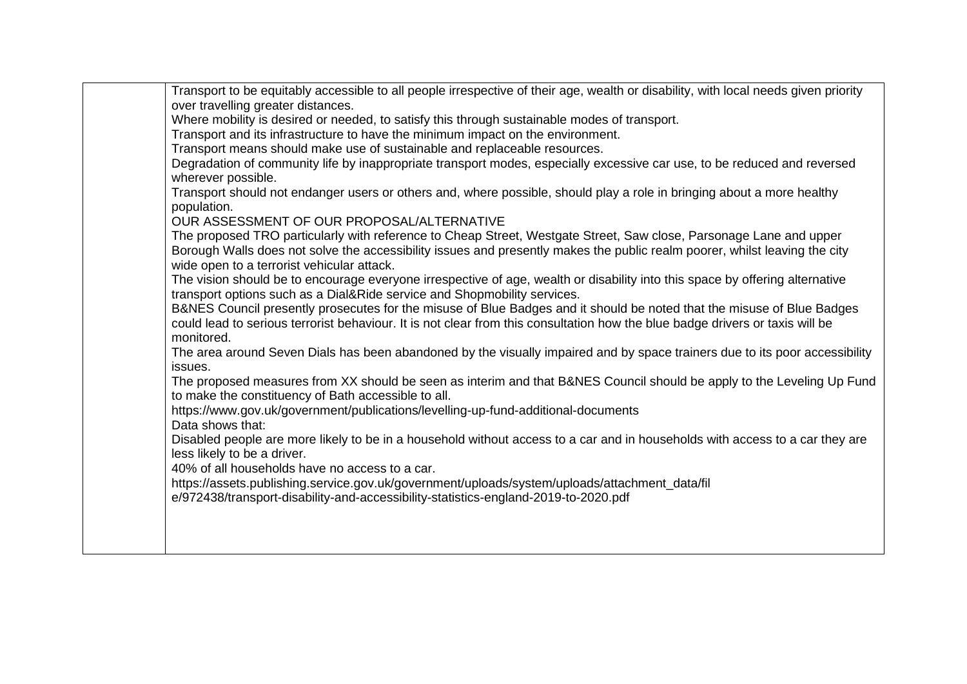| Transport to be equitably accessible to all people irrespective of their age, wealth or disability, with local needs given priority<br>over travelling greater distances.<br>Where mobility is desired or needed, to satisfy this through sustainable modes of transport.<br>Transport and its infrastructure to have the minimum impact on the environment. |
|--------------------------------------------------------------------------------------------------------------------------------------------------------------------------------------------------------------------------------------------------------------------------------------------------------------------------------------------------------------|
| Transport means should make use of sustainable and replaceable resources.                                                                                                                                                                                                                                                                                    |
| Degradation of community life by inappropriate transport modes, especially excessive car use, to be reduced and reversed<br>wherever possible.                                                                                                                                                                                                               |
| Transport should not endanger users or others and, where possible, should play a role in bringing about a more healthy<br>population.                                                                                                                                                                                                                        |
| OUR ASSESSMENT OF OUR PROPOSAL/ALTERNATIVE                                                                                                                                                                                                                                                                                                                   |
| The proposed TRO particularly with reference to Cheap Street, Westgate Street, Saw close, Parsonage Lane and upper<br>Borough Walls does not solve the accessibility issues and presently makes the public realm poorer, whilst leaving the city<br>wide open to a terrorist vehicular attack.                                                               |
| The vision should be to encourage everyone irrespective of age, wealth or disability into this space by offering alternative<br>transport options such as a Dial&Ride service and Shopmobility services.                                                                                                                                                     |
| B&NES Council presently prosecutes for the misuse of Blue Badges and it should be noted that the misuse of Blue Badges<br>could lead to serious terrorist behaviour. It is not clear from this consultation how the blue badge drivers or taxis will be<br>monitored.                                                                                        |
| The area around Seven Dials has been abandoned by the visually impaired and by space trainers due to its poor accessibility<br>issues.                                                                                                                                                                                                                       |
| The proposed measures from XX should be seen as interim and that B&NES Council should be apply to the Leveling Up Fund<br>to make the constituency of Bath accessible to all.                                                                                                                                                                                |
| https://www.gov.uk/government/publications/levelling-up-fund-additional-documents<br>Data shows that:                                                                                                                                                                                                                                                        |
| Disabled people are more likely to be in a household without access to a car and in households with access to a car they are<br>less likely to be a driver.<br>40% of all households have no access to a car.                                                                                                                                                |
| https://assets.publishing.service.gov.uk/government/uploads/system/uploads/attachment_data/fil                                                                                                                                                                                                                                                               |
| e/972438/transport-disability-and-accessibility-statistics-england-2019-to-2020.pdf                                                                                                                                                                                                                                                                          |
|                                                                                                                                                                                                                                                                                                                                                              |
|                                                                                                                                                                                                                                                                                                                                                              |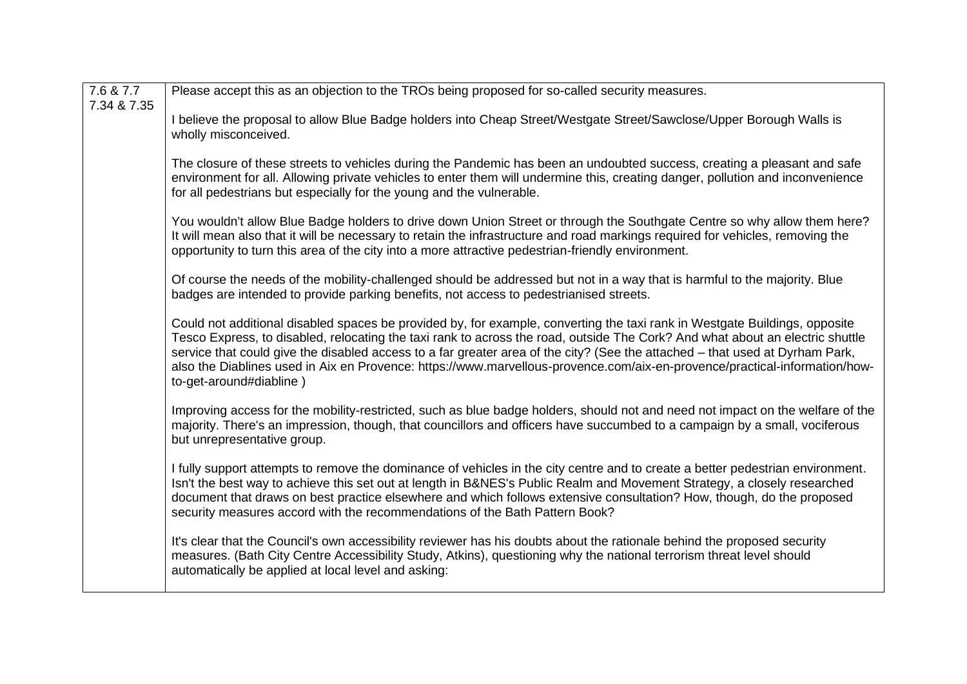| 7.6 & 7.7   | Please accept this as an objection to the TROs being proposed for so-called security measures.                                                                                                                                                                                                                                                                                                                                                                                                                                                       |
|-------------|------------------------------------------------------------------------------------------------------------------------------------------------------------------------------------------------------------------------------------------------------------------------------------------------------------------------------------------------------------------------------------------------------------------------------------------------------------------------------------------------------------------------------------------------------|
| 7.34 & 7.35 | I believe the proposal to allow Blue Badge holders into Cheap Street/Westgate Street/Sawclose/Upper Borough Walls is<br>wholly misconceived.                                                                                                                                                                                                                                                                                                                                                                                                         |
|             | The closure of these streets to vehicles during the Pandemic has been an undoubted success, creating a pleasant and safe<br>environment for all. Allowing private vehicles to enter them will undermine this, creating danger, pollution and inconvenience<br>for all pedestrians but especially for the young and the vulnerable.                                                                                                                                                                                                                   |
|             | You wouldn't allow Blue Badge holders to drive down Union Street or through the Southgate Centre so why allow them here?<br>It will mean also that it will be necessary to retain the infrastructure and road markings required for vehicles, removing the<br>opportunity to turn this area of the city into a more attractive pedestrian-friendly environment.                                                                                                                                                                                      |
|             | Of course the needs of the mobility-challenged should be addressed but not in a way that is harmful to the majority. Blue<br>badges are intended to provide parking benefits, not access to pedestrianised streets.                                                                                                                                                                                                                                                                                                                                  |
|             | Could not additional disabled spaces be provided by, for example, converting the taxi rank in Westgate Buildings, opposite<br>Tesco Express, to disabled, relocating the taxi rank to across the road, outside The Cork? And what about an electric shuttle<br>service that could give the disabled access to a far greater area of the city? (See the attached – that used at Dyrham Park,<br>also the Diablines used in Aix en Provence: https://www.marvellous-provence.com/aix-en-provence/practical-information/how-<br>to-get-around#diabline) |
|             | Improving access for the mobility-restricted, such as blue badge holders, should not and need not impact on the welfare of the<br>majority. There's an impression, though, that councillors and officers have succumbed to a campaign by a small, vociferous<br>but unrepresentative group.                                                                                                                                                                                                                                                          |
|             | I fully support attempts to remove the dominance of vehicles in the city centre and to create a better pedestrian environment.<br>Isn't the best way to achieve this set out at length in B&NES's Public Realm and Movement Strategy, a closely researched<br>document that draws on best practice elsewhere and which follows extensive consultation? How, though, do the proposed<br>security measures accord with the recommendations of the Bath Pattern Book?                                                                                   |
|             | It's clear that the Council's own accessibility reviewer has his doubts about the rationale behind the proposed security<br>measures. (Bath City Centre Accessibility Study, Atkins), questioning why the national terrorism threat level should<br>automatically be applied at local level and asking:                                                                                                                                                                                                                                              |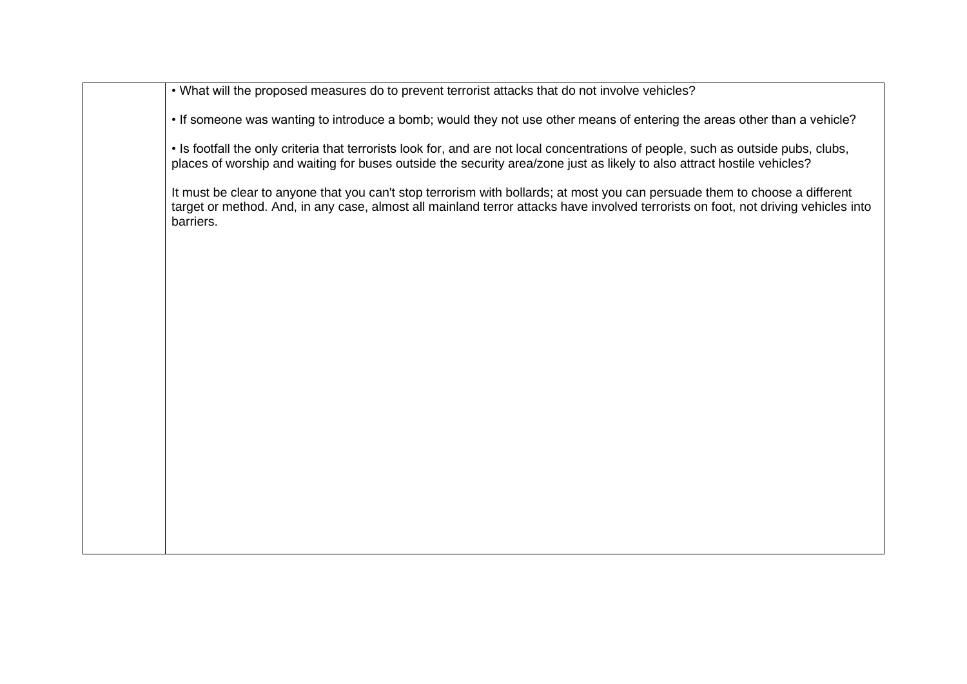• What will the proposed measures do to prevent terrorist attacks that do not involve vehicles?

• If someone was wanting to introduce a bomb; would they not use other means of entering the areas other than a vehicle?

• Is footfall the only criteria that terrorists look for, and are not local concentrations of people, such as outside pubs, clubs, places of worship and waiting for buses outside the security area/zone just as likely to also attract hostile vehicles?

It must be clear to anyone that you can't stop terrorism with bollards; at most you can persuade them to choose a different target or method. And, in any case, almost all mainland terror attacks have involved terrorists on foot, not driving vehicles into barriers.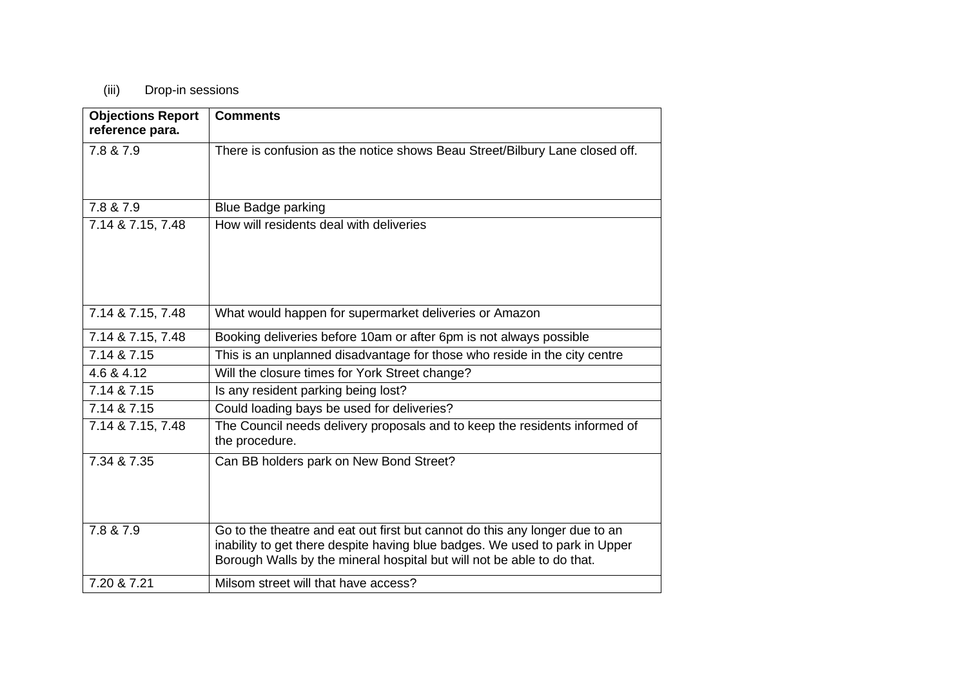## (iii) Drop-in sessions

| <b>Objections Report</b><br>reference para. | <b>Comments</b>                                                                                                                                                                                                                      |
|---------------------------------------------|--------------------------------------------------------------------------------------------------------------------------------------------------------------------------------------------------------------------------------------|
| 7.8 & 7.9                                   | There is confusion as the notice shows Beau Street/Bilbury Lane closed off.                                                                                                                                                          |
| 7.8 & 7.9                                   | <b>Blue Badge parking</b>                                                                                                                                                                                                            |
| 7.14 & 7.15, 7.48                           | How will residents deal with deliveries                                                                                                                                                                                              |
| 7.14 & 7.15, 7.48                           | What would happen for supermarket deliveries or Amazon                                                                                                                                                                               |
| 7.14 & 7.15, 7.48                           | Booking deliveries before 10am or after 6pm is not always possible                                                                                                                                                                   |
| 7.14 & 7.15                                 | This is an unplanned disadvantage for those who reside in the city centre                                                                                                                                                            |
| 4.6 & 4.12                                  | Will the closure times for York Street change?                                                                                                                                                                                       |
| 7.14 & 7.15                                 | Is any resident parking being lost?                                                                                                                                                                                                  |
| 7.14 & 7.15                                 | Could loading bays be used for deliveries?                                                                                                                                                                                           |
| 7.14 & 7.15, 7.48                           | The Council needs delivery proposals and to keep the residents informed of<br>the procedure.                                                                                                                                         |
| 7.34 & 7.35                                 | Can BB holders park on New Bond Street?                                                                                                                                                                                              |
| 7.8 & 7.9                                   | Go to the theatre and eat out first but cannot do this any longer due to an<br>inability to get there despite having blue badges. We used to park in Upper<br>Borough Walls by the mineral hospital but will not be able to do that. |
| 7.20 & 7.21                                 | Milsom street will that have access?                                                                                                                                                                                                 |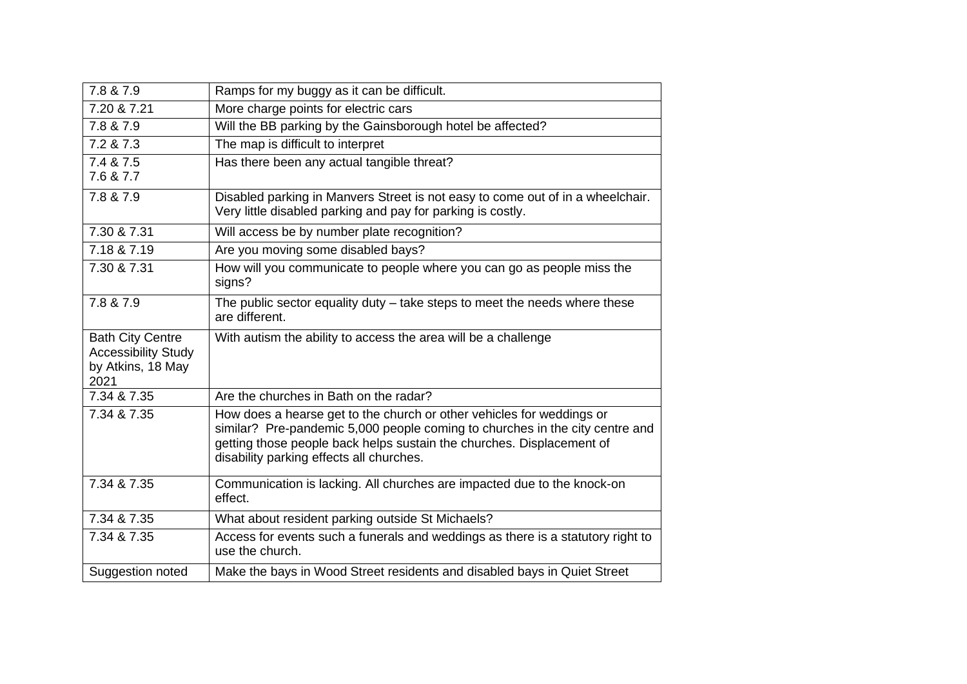| 7.8 & 7.9                                                                          | Ramps for my buggy as it can be difficult.                                                                                                                                                                                                                                 |
|------------------------------------------------------------------------------------|----------------------------------------------------------------------------------------------------------------------------------------------------------------------------------------------------------------------------------------------------------------------------|
| 7.20 & 7.21                                                                        | More charge points for electric cars                                                                                                                                                                                                                                       |
| 7.8 & 7.9                                                                          | Will the BB parking by the Gainsborough hotel be affected?                                                                                                                                                                                                                 |
| 7.2 & 7.3                                                                          | The map is difficult to interpret                                                                                                                                                                                                                                          |
| 7.4 & 7.5                                                                          | Has there been any actual tangible threat?                                                                                                                                                                                                                                 |
| 7.6 & 7.7                                                                          |                                                                                                                                                                                                                                                                            |
| 7.8 & 7.9                                                                          | Disabled parking in Manvers Street is not easy to come out of in a wheelchair.<br>Very little disabled parking and pay for parking is costly.                                                                                                                              |
| 7.30 & 7.31                                                                        | Will access be by number plate recognition?                                                                                                                                                                                                                                |
| 7.18 & 7.19                                                                        | Are you moving some disabled bays?                                                                                                                                                                                                                                         |
| 7.30 & 7.31                                                                        | How will you communicate to people where you can go as people miss the<br>signs?                                                                                                                                                                                           |
| 7.8 & 7.9                                                                          | The public sector equality duty – take steps to meet the needs where these<br>are different.                                                                                                                                                                               |
| <b>Bath City Centre</b><br><b>Accessibility Study</b><br>by Atkins, 18 May<br>2021 | With autism the ability to access the area will be a challenge                                                                                                                                                                                                             |
| 7.34 & 7.35                                                                        | Are the churches in Bath on the radar?                                                                                                                                                                                                                                     |
| 7.34 & 7.35                                                                        | How does a hearse get to the church or other vehicles for weddings or<br>similar? Pre-pandemic 5,000 people coming to churches in the city centre and<br>getting those people back helps sustain the churches. Displacement of<br>disability parking effects all churches. |
| 7.34 & 7.35                                                                        | Communication is lacking. All churches are impacted due to the knock-on<br>effect.                                                                                                                                                                                         |
| 7.34 & 7.35                                                                        | What about resident parking outside St Michaels?                                                                                                                                                                                                                           |
| 7.34 & 7.35                                                                        | Access for events such a funerals and weddings as there is a statutory right to<br>use the church.                                                                                                                                                                         |
|                                                                                    |                                                                                                                                                                                                                                                                            |
| Suggestion noted                                                                   | Make the bays in Wood Street residents and disabled bays in Quiet Street                                                                                                                                                                                                   |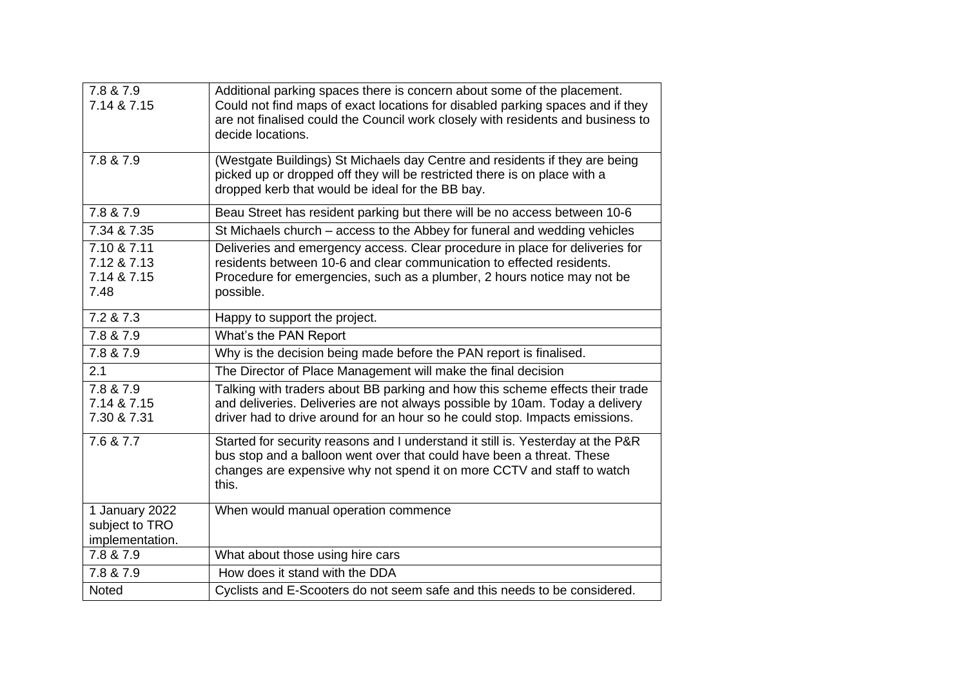| 7.8 & 7.9<br>7.14 & 7.15                            | Additional parking spaces there is concern about some of the placement.<br>Could not find maps of exact locations for disabled parking spaces and if they<br>are not finalised could the Council work closely with residents and business to<br>decide locations. |
|-----------------------------------------------------|-------------------------------------------------------------------------------------------------------------------------------------------------------------------------------------------------------------------------------------------------------------------|
| 7.8 & 7.9                                           | (Westgate Buildings) St Michaels day Centre and residents if they are being<br>picked up or dropped off they will be restricted there is on place with a<br>dropped kerb that would be ideal for the BB bay.                                                      |
| 7.8 & 7.9                                           | Beau Street has resident parking but there will be no access between 10-6                                                                                                                                                                                         |
| 7.34 & 7.35                                         | St Michaels church - access to the Abbey for funeral and wedding vehicles                                                                                                                                                                                         |
| 7.10 & 7.11<br>7.12 & 7.13<br>7.14 & 7.15<br>7.48   | Deliveries and emergency access. Clear procedure in place for deliveries for<br>residents between 10-6 and clear communication to effected residents.<br>Procedure for emergencies, such as a plumber, 2 hours notice may not be<br>possible.                     |
| 7.2 & 7.3                                           | Happy to support the project.                                                                                                                                                                                                                                     |
| 7.8 & 7.9                                           | What's the PAN Report                                                                                                                                                                                                                                             |
| 7.8 & 7.9                                           | Why is the decision being made before the PAN report is finalised.                                                                                                                                                                                                |
| 2.1                                                 | The Director of Place Management will make the final decision                                                                                                                                                                                                     |
| 7.8 & 7.9<br>7.14 & 7.15<br>7.30 & 7.31             | Talking with traders about BB parking and how this scheme effects their trade<br>and deliveries. Deliveries are not always possible by 10am. Today a delivery<br>driver had to drive around for an hour so he could stop. Impacts emissions.                      |
| 7.6 & 7.7                                           | Started for security reasons and I understand it still is. Yesterday at the P&R<br>bus stop and a balloon went over that could have been a threat. These<br>changes are expensive why not spend it on more CCTV and staff to watch<br>this.                       |
| 1 January 2022<br>subject to TRO<br>implementation. | When would manual operation commence                                                                                                                                                                                                                              |
| 7.8 & 7.9                                           | What about those using hire cars                                                                                                                                                                                                                                  |
| 7.8 & 7.9                                           | How does it stand with the DDA                                                                                                                                                                                                                                    |
| Noted                                               | Cyclists and E-Scooters do not seem safe and this needs to be considered.                                                                                                                                                                                         |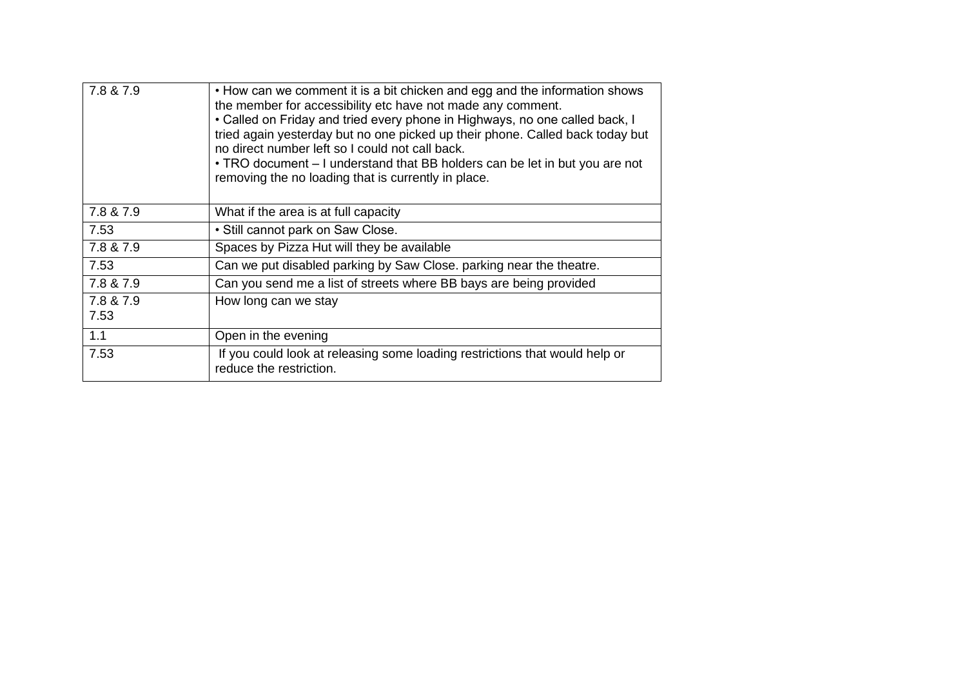| 7.8 & 7.9         | • How can we comment it is a bit chicken and egg and the information shows<br>the member for accessibility etc have not made any comment.<br>• Called on Friday and tried every phone in Highways, no one called back, I<br>tried again yesterday but no one picked up their phone. Called back today but<br>no direct number left so I could not call back.<br>• TRO document – I understand that BB holders can be let in but you are not<br>removing the no loading that is currently in place. |
|-------------------|----------------------------------------------------------------------------------------------------------------------------------------------------------------------------------------------------------------------------------------------------------------------------------------------------------------------------------------------------------------------------------------------------------------------------------------------------------------------------------------------------|
| 7.8 & 7.9         | What if the area is at full capacity                                                                                                                                                                                                                                                                                                                                                                                                                                                               |
| 7.53              | • Still cannot park on Saw Close.                                                                                                                                                                                                                                                                                                                                                                                                                                                                  |
| 7.8 & 7.9         | Spaces by Pizza Hut will they be available                                                                                                                                                                                                                                                                                                                                                                                                                                                         |
| 7.53              | Can we put disabled parking by Saw Close. parking near the theatre.                                                                                                                                                                                                                                                                                                                                                                                                                                |
| 7.8 & 7.9         | Can you send me a list of streets where BB bays are being provided                                                                                                                                                                                                                                                                                                                                                                                                                                 |
| 7.8 & 7.9<br>7.53 | How long can we stay                                                                                                                                                                                                                                                                                                                                                                                                                                                                               |
| 1.1               | Open in the evening                                                                                                                                                                                                                                                                                                                                                                                                                                                                                |
| 7.53              | If you could look at releasing some loading restrictions that would help or<br>reduce the restriction.                                                                                                                                                                                                                                                                                                                                                                                             |